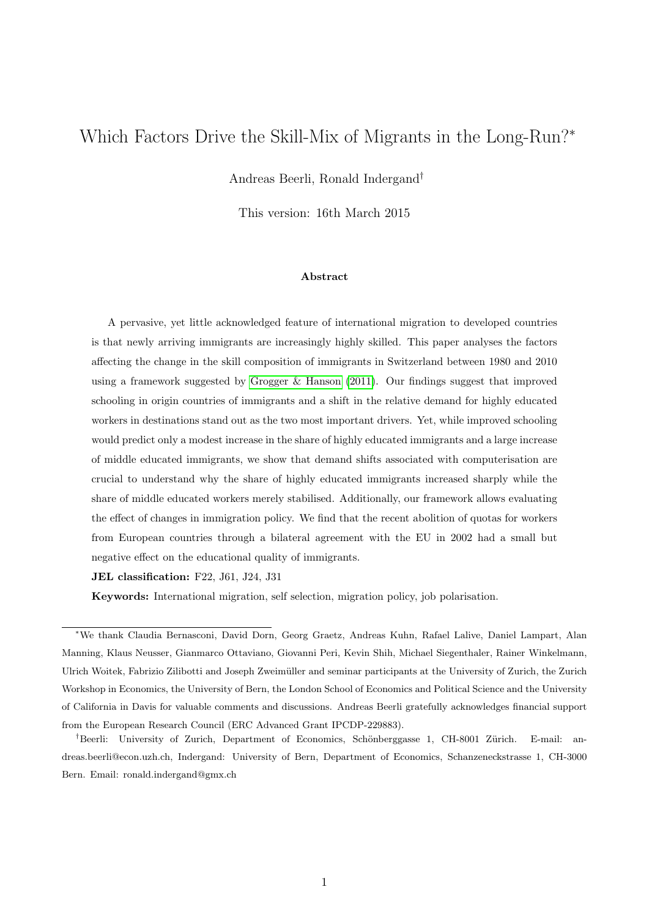# <span id="page-0-0"></span>Which Factors Drive the Skill-Mix of Migrants in the Long-Run?<sup>∗</sup>

Andreas Beerli, Ronald Indergand†

This version: 16th March 2015

#### Abstract

A pervasive, yet little acknowledged feature of international migration to developed countries is that newly arriving immigrants are increasingly highly skilled. This paper analyses the factors affecting the change in the skill composition of immigrants in Switzerland between 1980 and 2010 using a framework suggested by [Grogger & Hanson](#page-40-0) [\(2011\)](#page-40-0). Our findings suggest that improved schooling in origin countries of immigrants and a shift in the relative demand for highly educated workers in destinations stand out as the two most important drivers. Yet, while improved schooling would predict only a modest increase in the share of highly educated immigrants and a large increase of middle educated immigrants, we show that demand shifts associated with computerisation are crucial to understand why the share of highly educated immigrants increased sharply while the share of middle educated workers merely stabilised. Additionally, our framework allows evaluating the effect of changes in immigration policy. We find that the recent abolition of quotas for workers from European countries through a bilateral agreement with the EU in 2002 had a small but negative effect on the educational quality of immigrants.

JEL classification: F22, J61, J24, J31

Keywords: International migration, self selection, migration policy, job polarisation.

<sup>∗</sup>We thank Claudia Bernasconi, David Dorn, Georg Graetz, Andreas Kuhn, Rafael Lalive, Daniel Lampart, Alan Manning, Klaus Neusser, Gianmarco Ottaviano, Giovanni Peri, Kevin Shih, Michael Siegenthaler, Rainer Winkelmann, Ulrich Woitek, Fabrizio Zilibotti and Joseph Zweimuller and seminar participants at the University of Zurich, the Zurich ¨ Workshop in Economics, the University of Bern, the London School of Economics and Political Science and the University of California in Davis for valuable comments and discussions. Andreas Beerli gratefully acknowledges financial support from the European Research Council (ERC Advanced Grant IPCDP-229883).

<sup>&</sup>lt;sup>†</sup>Beerli: University of Zurich, Department of Economics, Schönberggasse 1, CH-8001 Zürich. E-mail: andreas.beerli@econ.uzh.ch, Indergand: University of Bern, Department of Economics, Schanzeneckstrasse 1, CH-3000 Bern. Email: ronald.indergand@gmx.ch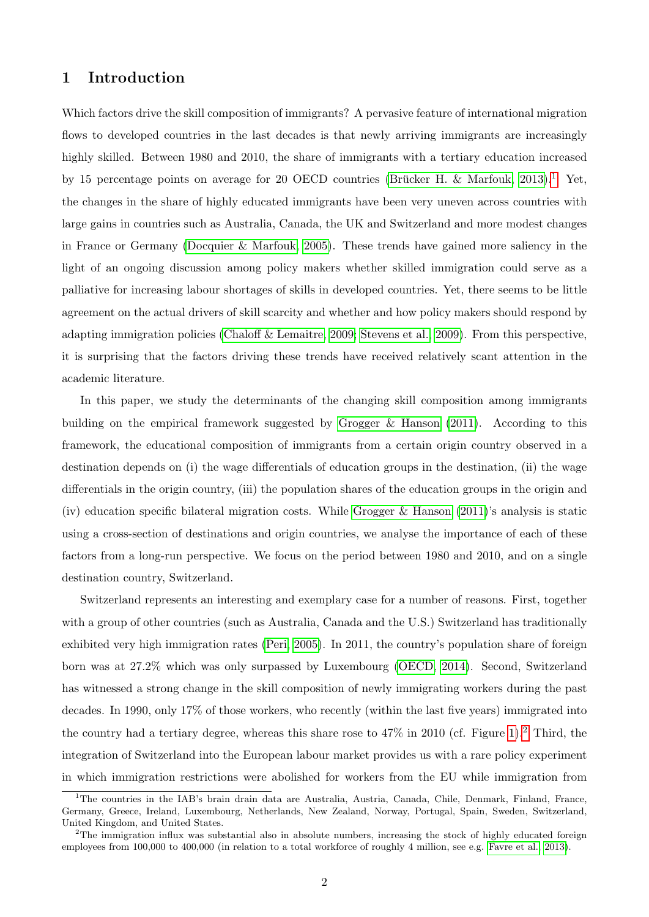# 1 Introduction

Which factors drive the skill composition of immigrants? A pervasive feature of international migration flows to developed countries in the last decades is that newly arriving immigrants are increasingly highly skilled. Between 1980 and 2010, the share of immigrants with a tertiary education increased by [1](#page-0-0)5 percentage points on average for 20 OECD countries (Brücker H. & Marfouk, 2013).<sup>1</sup> Yet, the changes in the share of highly educated immigrants have been very uneven across countries with large gains in countries such as Australia, Canada, the UK and Switzerland and more modest changes in France or Germany [\(Docquier & Marfouk, 2005\)](#page-40-1). These trends have gained more saliency in the light of an ongoing discussion among policy makers whether skilled immigration could serve as a palliative for increasing labour shortages of skills in developed countries. Yet, there seems to be little agreement on the actual drivers of skill scarcity and whether and how policy makers should respond by adapting immigration policies [\(Chaloff & Lemaitre, 2009;](#page-40-2) [Stevens et al., 2009\)](#page-41-0). From this perspective, it is surprising that the factors driving these trends have received relatively scant attention in the academic literature.

In this paper, we study the determinants of the changing skill composition among immigrants building on the empirical framework suggested by [Grogger & Hanson](#page-40-0) [\(2011\)](#page-40-0). According to this framework, the educational composition of immigrants from a certain origin country observed in a destination depends on (i) the wage differentials of education groups in the destination, (ii) the wage differentials in the origin country, (iii) the population shares of the education groups in the origin and (iv) education specific bilateral migration costs. While [Grogger & Hanson](#page-40-0) [\(2011\)](#page-40-0)'s analysis is static using a cross-section of destinations and origin countries, we analyse the importance of each of these factors from a long-run perspective. We focus on the period between 1980 and 2010, and on a single destination country, Switzerland.

Switzerland represents an interesting and exemplary case for a number of reasons. First, together with a group of other countries (such as Australia, Canada and the U.S.) Switzerland has traditionally exhibited very high immigration rates [\(Peri, 2005\)](#page-41-1). In 2011, the country's population share of foreign born was at 27.2% which was only surpassed by Luxembourg [\(OECD, 2014\)](#page-41-2). Second, Switzerland has witnessed a strong change in the skill composition of newly immigrating workers during the past decades. In 1990, only 17% of those workers, who recently (within the last five years) immigrated into the country had a tertiary degree, whereas this share rose to  $47\%$  in 2010 (cf. Figure [1\)](#page-2-0).<sup>[2](#page-0-0)</sup> Third, the integration of Switzerland into the European labour market provides us with a rare policy experiment in which immigration restrictions were abolished for workers from the EU while immigration from

<sup>&</sup>lt;sup>1</sup>The countries in the IAB's brain drain data are Australia, Austria, Canada, Chile, Denmark, Finland, France, Germany, Greece, Ireland, Luxembourg, Netherlands, New Zealand, Norway, Portugal, Spain, Sweden, Switzerland, United Kingdom, and United States.

<sup>&</sup>lt;sup>2</sup>The immigration influx was substantial also in absolute numbers, increasing the stock of highly educated foreign employees from 100,000 to 400,000 (in relation to a total workforce of roughly 4 million, see e.g. [Favre et al., 2013\)](#page-40-3).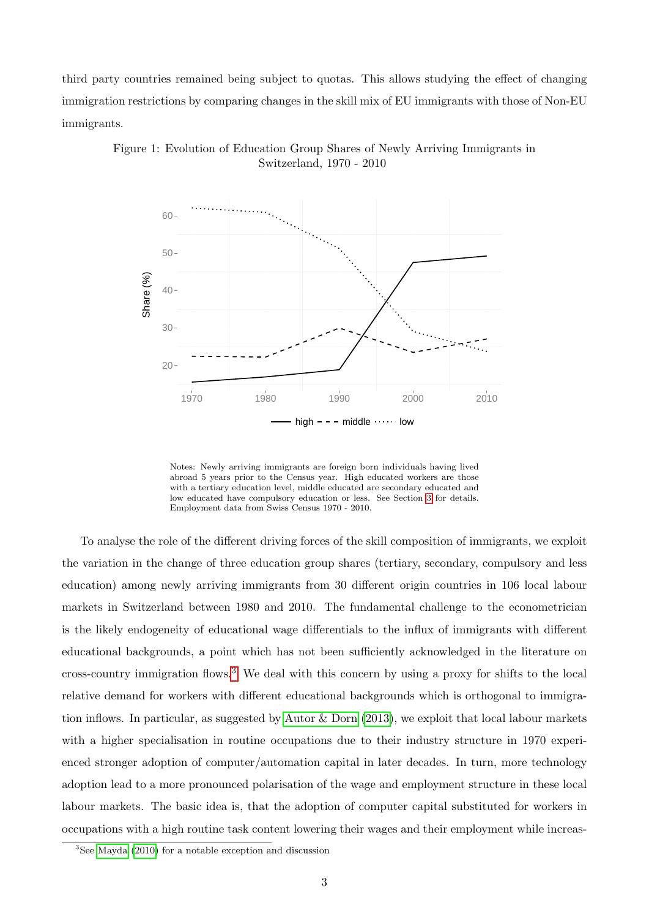third party countries remained being subject to quotas. This allows studying the effect of changing immigration restrictions by comparing changes in the skill mix of EU immigrants with those of Non-EU immigrants.



<span id="page-2-0"></span>Figure 1: Evolution of Education Group Shares of Newly Arriving Immigrants in Switzerland, 1970 - 2010

Notes: Newly arriving immigrants are foreign born individuals having lived abroad 5 years prior to the Census year. High educated workers are those with a tertiary education level, middle educated are secondary educated and low educated have compulsory education or less. See Section [3](#page-10-0) for details. Employment data from Swiss Census 1970 - 2010.

To analyse the role of the different driving forces of the skill composition of immigrants, we exploit the variation in the change of three education group shares (tertiary, secondary, compulsory and less education) among newly arriving immigrants from 30 different origin countries in 106 local labour markets in Switzerland between 1980 and 2010. The fundamental challenge to the econometrician is the likely endogeneity of educational wage differentials to the influx of immigrants with different educational backgrounds, a point which has not been sufficiently acknowledged in the literature on cross-country immigration flows.[3](#page-0-0) We deal with this concern by using a proxy for shifts to the local relative demand for workers with different educational backgrounds which is orthogonal to immigration inflows. In particular, as suggested by [Autor & Dorn](#page-39-1) [\(2013\)](#page-39-1), we exploit that local labour markets with a higher specialisation in routine occupations due to their industry structure in 1970 experienced stronger adoption of computer/automation capital in later decades. In turn, more technology adoption lead to a more pronounced polarisation of the wage and employment structure in these local labour markets. The basic idea is, that the adoption of computer capital substituted for workers in occupations with a high routine task content lowering their wages and their employment while increas-

 ${}^{3}$ See [Mayda](#page-40-4) [\(2010\)](#page-40-4) for a notable exception and discussion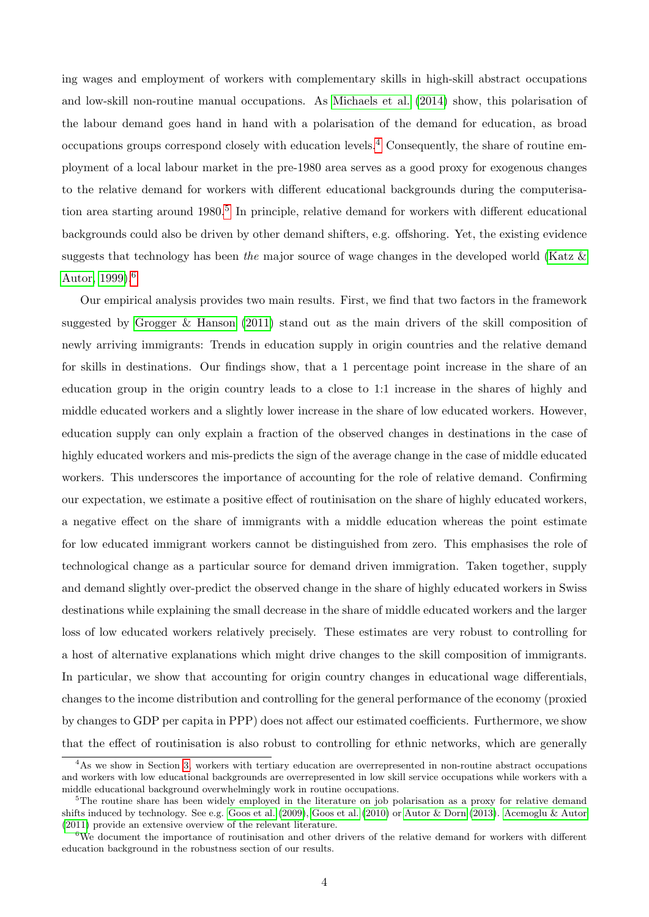ing wages and employment of workers with complementary skills in high-skill abstract occupations and low-skill non-routine manual occupations. As [Michaels et al.](#page-40-5) [\(2014\)](#page-40-5) show, this polarisation of the labour demand goes hand in hand with a polarisation of the demand for education, as broad occupations groups correspond closely with education levels.[4](#page-0-0) Consequently, the share of routine employment of a local labour market in the pre-1980 area serves as a good proxy for exogenous changes to the relative demand for workers with different educational backgrounds during the computerisa-tion area starting around 1980.<sup>[5](#page-0-0)</sup> In principle, relative demand for workers with different educational backgrounds could also be driven by other demand shifters, e.g. offshoring. Yet, the existing evidence suggests that technology has been the major source of wage changes in the developed world (Katz  $\&$ [Autor, 1999\)](#page-40-6).[6](#page-0-0)

Our empirical analysis provides two main results. First, we find that two factors in the framework suggested by [Grogger & Hanson](#page-40-0) [\(2011\)](#page-40-0) stand out as the main drivers of the skill composition of newly arriving immigrants: Trends in education supply in origin countries and the relative demand for skills in destinations. Our findings show, that a 1 percentage point increase in the share of an education group in the origin country leads to a close to 1:1 increase in the shares of highly and middle educated workers and a slightly lower increase in the share of low educated workers. However, education supply can only explain a fraction of the observed changes in destinations in the case of highly educated workers and mis-predicts the sign of the average change in the case of middle educated workers. This underscores the importance of accounting for the role of relative demand. Confirming our expectation, we estimate a positive effect of routinisation on the share of highly educated workers, a negative effect on the share of immigrants with a middle education whereas the point estimate for low educated immigrant workers cannot be distinguished from zero. This emphasises the role of technological change as a particular source for demand driven immigration. Taken together, supply and demand slightly over-predict the observed change in the share of highly educated workers in Swiss destinations while explaining the small decrease in the share of middle educated workers and the larger loss of low educated workers relatively precisely. These estimates are very robust to controlling for a host of alternative explanations which might drive changes to the skill composition of immigrants. In particular, we show that accounting for origin country changes in educational wage differentials, changes to the income distribution and controlling for the general performance of the economy (proxied by changes to GDP per capita in PPP) does not affect our estimated coefficients. Furthermore, we show that the effect of routinisation is also robust to controlling for ethnic networks, which are generally

 ${}^{4}$ As we show in Section [3,](#page-10-0) workers with tertiary education are overrepresented in non-routine abstract occupations and workers with low educational backgrounds are overrepresented in low skill service occupations while workers with a middle educational background overwhelmingly work in routine occupations.

<sup>&</sup>lt;sup>5</sup>The routine share has been widely employed in the literature on job polarisation as a proxy for relative demand shifts induced by technology. See e.g. [Goos et al.](#page-40-7) [\(2009\)](#page-40-7), [Goos et al.](#page-40-8) [\(2010\)](#page-40-8) or [Autor & Dorn](#page-39-1) [\(2013\)](#page-39-1). [Acemoglu & Autor](#page-39-2) [\(2011\)](#page-39-2) provide an extensive overview of the relevant literature.

<sup>6</sup>We document the importance of routinisation and other drivers of the relative demand for workers with different education background in the robustness section of our results.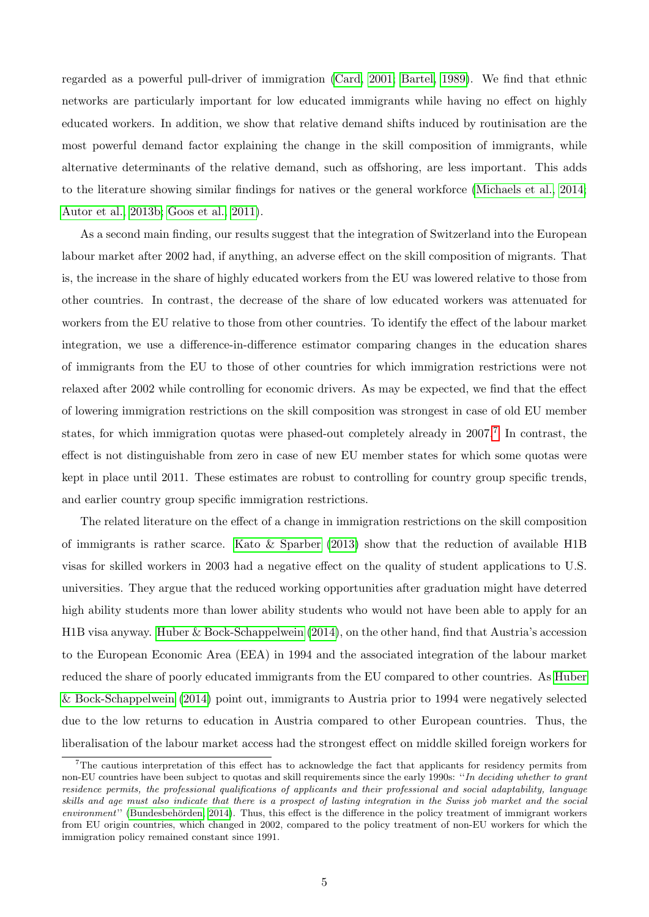regarded as a powerful pull-driver of immigration [\(Card, 2001;](#page-39-3) [Bartel, 1989\)](#page-39-4). We find that ethnic networks are particularly important for low educated immigrants while having no effect on highly educated workers. In addition, we show that relative demand shifts induced by routinisation are the most powerful demand factor explaining the change in the skill composition of immigrants, while alternative determinants of the relative demand, such as offshoring, are less important. This adds to the literature showing similar findings for natives or the general workforce [\(Michaels et al., 2014;](#page-40-5) [Autor et al., 2013b;](#page-39-5) [Goos et al., 2011\)](#page-40-9).

As a second main finding, our results suggest that the integration of Switzerland into the European labour market after 2002 had, if anything, an adverse effect on the skill composition of migrants. That is, the increase in the share of highly educated workers from the EU was lowered relative to those from other countries. In contrast, the decrease of the share of low educated workers was attenuated for workers from the EU relative to those from other countries. To identify the effect of the labour market integration, we use a difference-in-difference estimator comparing changes in the education shares of immigrants from the EU to those of other countries for which immigration restrictions were not relaxed after 2002 while controlling for economic drivers. As may be expected, we find that the effect of lowering immigration restrictions on the skill composition was strongest in case of old EU member states, for which immigration quotas were phased-out completely already in  $2007$  $2007$ .<sup>7</sup> In contrast, the effect is not distinguishable from zero in case of new EU member states for which some quotas were kept in place until 2011. These estimates are robust to controlling for country group specific trends, and earlier country group specific immigration restrictions.

The related literature on the effect of a change in immigration restrictions on the skill composition of immigrants is rather scarce. Kato  $\&$  Sparber [\(2013\)](#page-40-10) show that the reduction of available H1B visas for skilled workers in 2003 had a negative effect on the quality of student applications to U.S. universities. They argue that the reduced working opportunities after graduation might have deterred high ability students more than lower ability students who would not have been able to apply for an H1B visa anyway. [Huber & Bock-Schappelwein](#page-40-11) [\(2014\)](#page-40-11), on the other hand, find that Austria's accession to the European Economic Area (EEA) in 1994 and the associated integration of the labour market reduced the share of poorly educated immigrants from the EU compared to other countries. As [Huber](#page-40-11) [& Bock-Schappelwein](#page-40-11) [\(2014\)](#page-40-11) point out, immigrants to Austria prior to 1994 were negatively selected due to the low returns to education in Austria compared to other European countries. Thus, the liberalisation of the labour market access had the strongest effect on middle skilled foreign workers for

<sup>&</sup>lt;sup>7</sup>The cautious interpretation of this effect has to acknowledge the fact that applicants for residency permits from non-EU countries have been subject to quotas and skill requirements since the early 1990s: ''In deciding whether to grant residence permits, the professional qualifications of applicants and their professional and social adaptability, language skills and age must also indicate that there is a prospect of lasting integration in the Swiss job market and the social  $environment'$  (Bundesbehörden, 2014). Thus, this effect is the difference in the policy treatment of immigrant workers from EU origin countries, which changed in 2002, compared to the policy treatment of non-EU workers for which the immigration policy remained constant since 1991.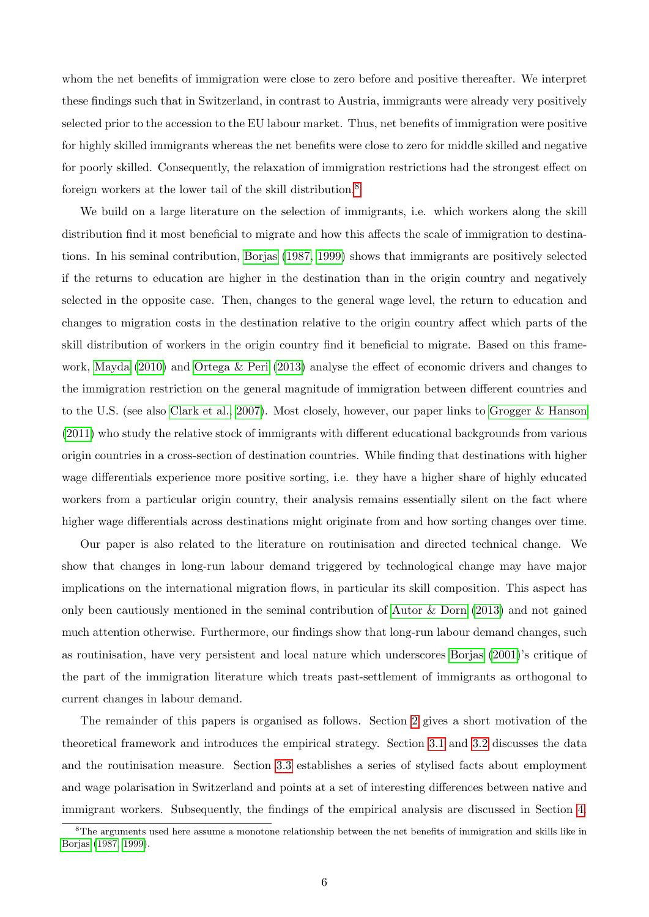whom the net benefits of immigration were close to zero before and positive thereafter. We interpret these findings such that in Switzerland, in contrast to Austria, immigrants were already very positively selected prior to the accession to the EU labour market. Thus, net benefits of immigration were positive for highly skilled immigrants whereas the net benefits were close to zero for middle skilled and negative for poorly skilled. Consequently, the relaxation of immigration restrictions had the strongest effect on foreign workers at the lower tail of the skill distribution.[8](#page-0-0)

We build on a large literature on the selection of immigrants, i.e. which workers along the skill distribution find it most beneficial to migrate and how this affects the scale of immigration to destinations. In his seminal contribution, [Borjas](#page-39-7) [\(1987,](#page-39-7) [1999\)](#page-39-8) shows that immigrants are positively selected if the returns to education are higher in the destination than in the origin country and negatively selected in the opposite case. Then, changes to the general wage level, the return to education and changes to migration costs in the destination relative to the origin country affect which parts of the skill distribution of workers in the origin country find it beneficial to migrate. Based on this framework, [Mayda](#page-40-4) [\(2010\)](#page-40-4) and [Ortega & Peri](#page-41-3) [\(2013\)](#page-41-3) analyse the effect of economic drivers and changes to the immigration restriction on the general magnitude of immigration between different countries and to the U.S. (see also [Clark et al., 2007\)](#page-40-12). Most closely, however, our paper links to [Grogger & Hanson](#page-40-0) [\(2011\)](#page-40-0) who study the relative stock of immigrants with different educational backgrounds from various origin countries in a cross-section of destination countries. While finding that destinations with higher wage differentials experience more positive sorting, i.e. they have a higher share of highly educated workers from a particular origin country, their analysis remains essentially silent on the fact where higher wage differentials across destinations might originate from and how sorting changes over time.

Our paper is also related to the literature on routinisation and directed technical change. We show that changes in long-run labour demand triggered by technological change may have major implications on the international migration flows, in particular its skill composition. This aspect has only been cautiously mentioned in the seminal contribution of [Autor & Dorn](#page-39-1) [\(2013\)](#page-39-1) and not gained much attention otherwise. Furthermore, our findings show that long-run labour demand changes, such as routinisation, have very persistent and local nature which underscores [Borjas](#page-39-9) [\(2001\)](#page-39-9)'s critique of the part of the immigration literature which treats past-settlement of immigrants as orthogonal to current changes in labour demand.

The remainder of this papers is organised as follows. Section [2](#page-6-0) gives a short motivation of the theoretical framework and introduces the empirical strategy. Section [3.1](#page-10-1) and [3.2](#page-12-0) discusses the data and the routinisation measure. Section [3.3](#page-14-0) establishes a series of stylised facts about employment and wage polarisation in Switzerland and points at a set of interesting differences between native and immigrant workers. Subsequently, the findings of the empirical analysis are discussed in Section [4.](#page-20-0)

<sup>8</sup>The arguments used here assume a monotone relationship between the net benefits of immigration and skills like in [Borjas](#page-39-7) [\(1987,](#page-39-7) [1999\)](#page-39-8).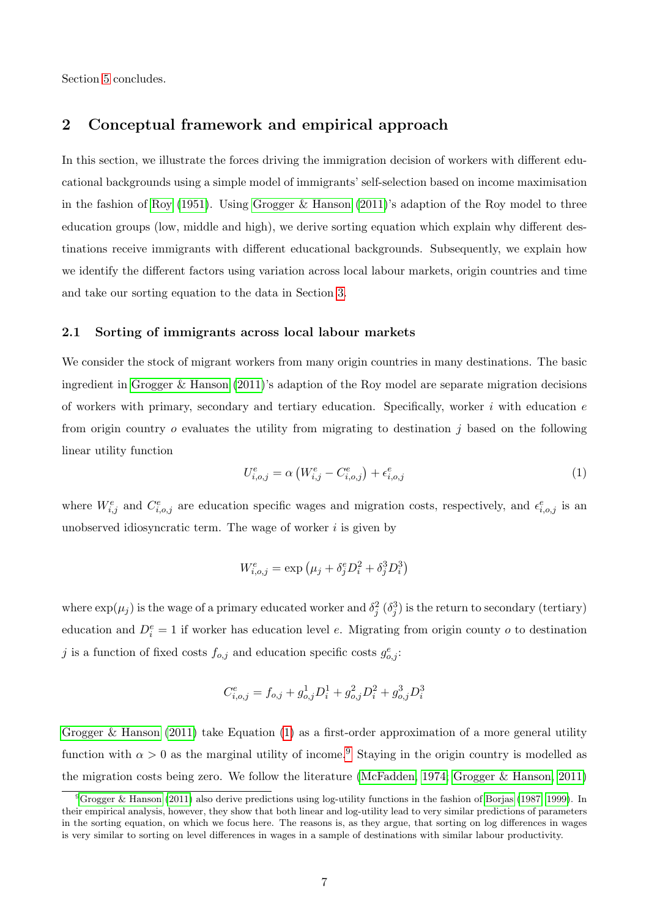Section [5](#page-38-0) concludes.

# <span id="page-6-0"></span>2 Conceptual framework and empirical approach

In this section, we illustrate the forces driving the immigration decision of workers with different educational backgrounds using a simple model of immigrants' self-selection based on income maximisation in the fashion of [Roy](#page-41-4) [\(1951\)](#page-41-4). Using [Grogger & Hanson](#page-40-0) [\(2011\)](#page-40-0)'s adaption of the Roy model to three education groups (low, middle and high), we derive sorting equation which explain why different destinations receive immigrants with different educational backgrounds. Subsequently, we explain how we identify the different factors using variation across local labour markets, origin countries and time and take our sorting equation to the data in Section [3.](#page-10-0)

### 2.1 Sorting of immigrants across local labour markets

We consider the stock of migrant workers from many origin countries in many destinations. The basic ingredient in [Grogger & Hanson](#page-40-0) [\(2011\)](#page-40-0)'s adaption of the Roy model are separate migration decisions of workers with primary, secondary and tertiary education. Specifically, worker  $i$  with education  $e$ from origin country  $o$  evaluates the utility from migrating to destination  $j$  based on the following linear utility function

<span id="page-6-1"></span>
$$
U_{i,o,j}^{e} = \alpha \left( W_{i,j}^{e} - C_{i,o,j}^{e} \right) + \epsilon_{i,o,j}^{e}
$$
 (1)

where  $W_{i,j}^e$  and  $C_{i,o,j}^e$  are education specific wages and migration costs, respectively, and  $\epsilon_{i,o,j}^e$  is an unobserved idiosyncratic term. The wage of worker  $i$  is given by

$$
W_{i,o,j}^e = \exp\left(\mu_j + \delta_j^e D_i^2 + \delta_j^3 D_i^3\right)
$$

where  $\exp(\mu_j)$  is the wage of a primary educated worker and  $\delta_j^2$   $(\delta_j^3)$  is the return to secondary (tertiary) education and  $D_i^e = 1$  if worker has education level e. Migrating from origin county o to destination j is a function of fixed costs  $f_{o,j}$  and education specific costs  $g_{o,j}^e$ :

$$
C_{i,o,j}^e = f_{o,j} + g_{o,j}^1 D_i^1 + g_{o,j}^2 D_i^2 + g_{o,j}^3 D_i^3
$$

[Grogger & Hanson](#page-40-0) [\(2011\)](#page-40-0) take Equation [\(1\)](#page-6-1) as a first-order approximation of a more general utility function with  $\alpha > 0$  as the marginal utility of income.<sup>[9](#page-0-0)</sup> Staying in the origin country is modelled as the migration costs being zero. We follow the literature [\(McFadden, 1974;](#page-40-13) [Grogger & Hanson, 2011\)](#page-40-0)

<sup>9</sup>[Grogger & Hanson](#page-40-0) [\(2011\)](#page-40-0) also derive predictions using log-utility functions in the fashion of [Borjas](#page-39-7) [\(1987,](#page-39-7) [1999\)](#page-39-8). In their empirical analysis, however, they show that both linear and log-utility lead to very similar predictions of parameters in the sorting equation, on which we focus here. The reasons is, as they argue, that sorting on log differences in wages is very similar to sorting on level differences in wages in a sample of destinations with similar labour productivity.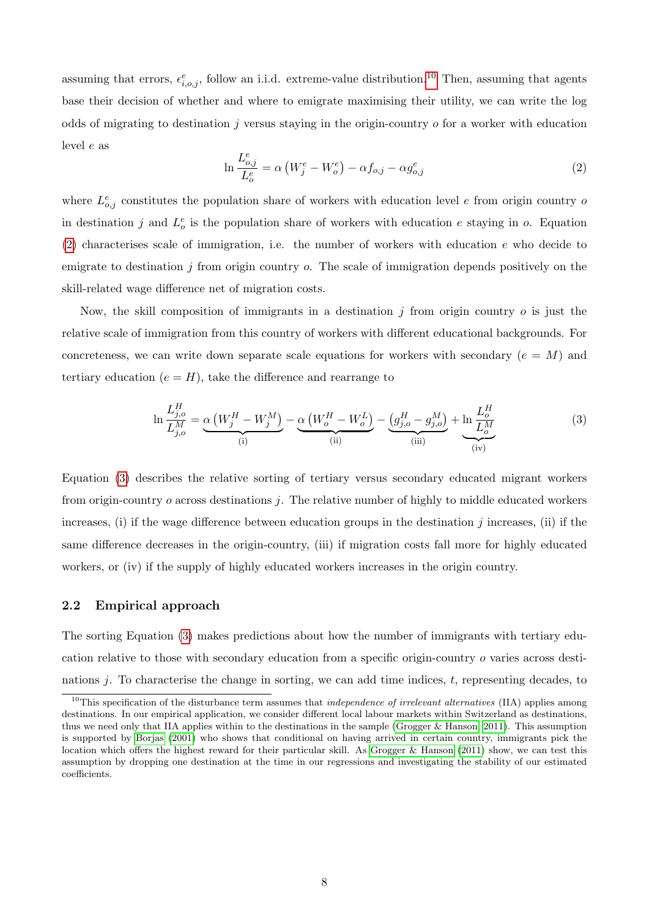<span id="page-7-0"></span>assuming that errors,  $\epsilon_{i,o,j}^e$ , follow an i.i.d. extreme-value distribution.<sup>[10](#page-0-0)</sup> Then, assuming that agents base their decision of whether and where to emigrate maximising their utility, we can write the log odds of migrating to destination  $j$  versus staying in the origin-country  $\sigma$  for a worker with education level e as

$$
\ln \frac{L_{o,j}^e}{L_o^e} = \alpha \left( W_j^e - W_o^e \right) - \alpha f_{o,j} - \alpha g_{o,j}^e \tag{2}
$$

where  $L_{o,j}^e$  constitutes the population share of workers with education level e from origin country of in destination j and  $L_o^e$  is the population share of workers with education e staying in o. Equation  $(2)$  characterises scale of immigration, i.e. the number of workers with education e who decide to emigrate to destination  $j$  from origin country  $o$ . The scale of immigration depends positively on the skill-related wage difference net of migration costs.

Now, the skill composition of immigrants in a destination  $j$  from origin country  $o$  is just the relative scale of immigration from this country of workers with different educational backgrounds. For concreteness, we can write down separate scale equations for workers with secondary ( $e = M$ ) and tertiary education  $(e = H)$ , take the difference and rearrange to

<span id="page-7-1"></span>
$$
\ln \frac{L_{j,o}^H}{L_{j,o}^M} = \underbrace{\alpha \left( W_j^H - W_j^M \right)}_{\text{(i)}} - \underbrace{\alpha \left( W_o^H - W_o^L \right)}_{\text{(ii)}} - \underbrace{\left( g_{j,o}^H - g_{j,o}^M \right)}_{\text{(iii)}} + \underbrace{\ln \frac{L_o^H}{L_o^M}}_{\text{(iv)}}
$$
(3)

Equation [\(3\)](#page-7-1) describes the relative sorting of tertiary versus secondary educated migrant workers from origin-country  $\rho$  across destinations  $j$ . The relative number of highly to middle educated workers increases, (i) if the wage difference between education groups in the destination  $j$  increases, (ii) if the same difference decreases in the origin-country, (iii) if migration costs fall more for highly educated workers, or (iv) if the supply of highly educated workers increases in the origin country.

### 2.2 Empirical approach

The sorting Equation [\(3\)](#page-7-1) makes predictions about how the number of immigrants with tertiary education relative to those with secondary education from a specific origin-country o varies across destinations  $j$ . To characterise the change in sorting, we can add time indices,  $t$ , representing decades, to

 $10$ This specification of the disturbance term assumes that *independence of irrelevant alternatives* (IIA) applies among destinations. In our empirical application, we consider different local labour markets within Switzerland as destinations, thus we need only that IIA applies within to the destinations in the sample [\(Grogger & Hanson, 2011\)](#page-40-0). This assumption is supported by [Borjas](#page-39-9) [\(2001\)](#page-39-9) who shows that conditional on having arrived in certain country, immigrants pick the location which offers the highest reward for their particular skill. As [Grogger & Hanson](#page-40-0) [\(2011\)](#page-40-0) show, we can test this assumption by dropping one destination at the time in our regressions and investigating the stability of our estimated coefficients.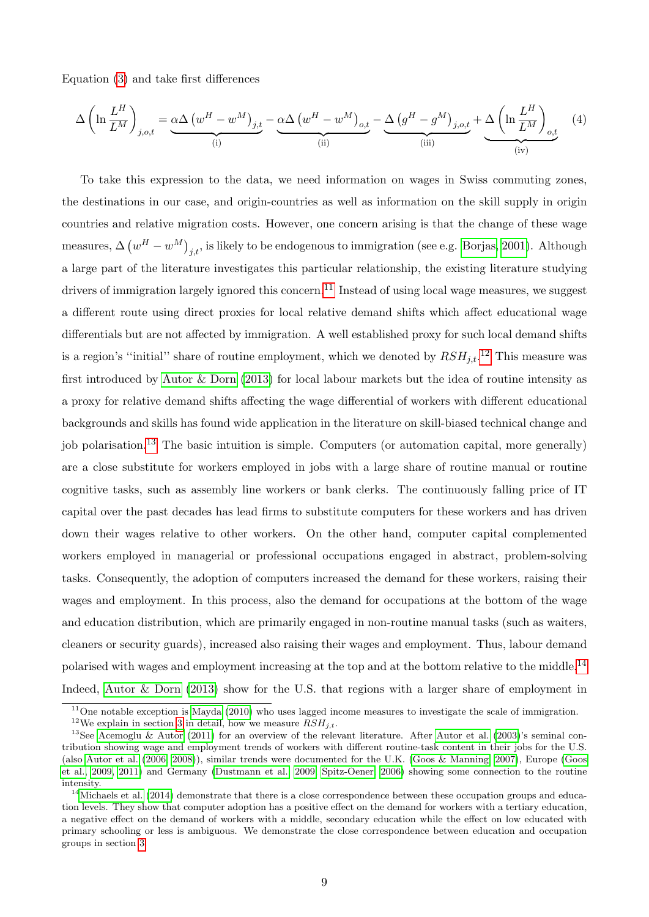Equation [\(3\)](#page-7-1) and take first differences

<span id="page-8-0"></span>
$$
\Delta \left( \ln \frac{L^H}{L^M} \right)_{j,o,t} = \underbrace{\alpha \Delta \left( w^H - w^M \right)_{j,t}}_{\text{(i)}} - \underbrace{\alpha \Delta \left( w^H - w^M \right)_{o,t}}_{\text{(ii)}} - \underbrace{\Delta \left( g^H - g^M \right)_{j,o,t}}_{\text{(iii)}} + \underbrace{\Delta \left( \ln \frac{L^H}{L^M} \right)_{o,t}}_{\text{(iv)}} \tag{4}
$$

To take this expression to the data, we need information on wages in Swiss commuting zones, the destinations in our case, and origin-countries as well as information on the skill supply in origin countries and relative migration costs. However, one concern arising is that the change of these wage measures,  $\Delta \left(w^H - w^M\right)_{j,t}$ , is likely to be endogenous to immigration (see e.g. [Borjas, 2001\)](#page-39-9). Although a large part of the literature investigates this particular relationship, the existing literature studying drivers of immigration largely ignored this concern.<sup>[11](#page-0-0)</sup> Instead of using local wage measures, we suggest a different route using direct proxies for local relative demand shifts which affect educational wage differentials but are not affected by immigration. A well established proxy for such local demand shifts is a region's "initial" share of routine employment, which we denoted by  $RSH_{j,t}$ .<sup>[12](#page-0-0)</sup> This measure was first introduced by [Autor & Dorn](#page-39-1) [\(2013\)](#page-39-1) for local labour markets but the idea of routine intensity as a proxy for relative demand shifts affecting the wage differential of workers with different educational backgrounds and skills has found wide application in the literature on skill-biased technical change and job polarisation.[13](#page-0-0) The basic intuition is simple. Computers (or automation capital, more generally) are a close substitute for workers employed in jobs with a large share of routine manual or routine cognitive tasks, such as assembly line workers or bank clerks. The continuously falling price of IT capital over the past decades has lead firms to substitute computers for these workers and has driven down their wages relative to other workers. On the other hand, computer capital complemented workers employed in managerial or professional occupations engaged in abstract, problem-solving tasks. Consequently, the adoption of computers increased the demand for these workers, raising their wages and employment. In this process, also the demand for occupations at the bottom of the wage and education distribution, which are primarily engaged in non-routine manual tasks (such as waiters, cleaners or security guards), increased also raising their wages and employment. Thus, labour demand polarised with wages and employment increasing at the top and at the bottom relative to the middle.<sup>[14](#page-0-0)</sup> Indeed, [Autor & Dorn](#page-39-1) [\(2013\)](#page-39-1) show for the U.S. that regions with a larger share of employment in

 $11$ One notable exception is [Mayda](#page-40-4) [\(2010\)](#page-40-4) who uses lagged income measures to investigate the scale of immigration. <sup>12</sup>We explain in section [3](#page-10-0) in detail, how we measure  $RSH_{j,t}$ .

<sup>&</sup>lt;sup>13</sup>See [Acemoglu & Autor](#page-39-2) [\(2011\)](#page-39-2) for an overview of the relevant literature. After [Autor et al.](#page-39-10) [\(2003\)](#page-39-10)'s seminal contribution showing wage and employment trends of workers with different routine-task content in their jobs for the U.S. (also [Autor et al.](#page-39-11) [\(2006,](#page-39-11) [2008\)](#page-39-12)), similar trends were documented for the U.K. [\(Goos & Manning, 2007\)](#page-40-14), Europe [\(Goos](#page-40-7) [et al., 2009,](#page-40-7) [2011\)](#page-40-9) and Germany [\(Dustmann et al., 2009;](#page-40-15) [Spitz-Oener, 2006\)](#page-41-5) showing some connection to the routine intensity.

 $14$ [Michaels et al.](#page-40-5) [\(2014\)](#page-40-5) demonstrate that there is a close correspondence between these occupation groups and education levels. They show that computer adoption has a positive effect on the demand for workers with a tertiary education, a negative effect on the demand of workers with a middle, secondary education while the effect on low educated with primary schooling or less is ambiguous. We demonstrate the close correspondence between education and occupation groups in section [3.](#page-10-0)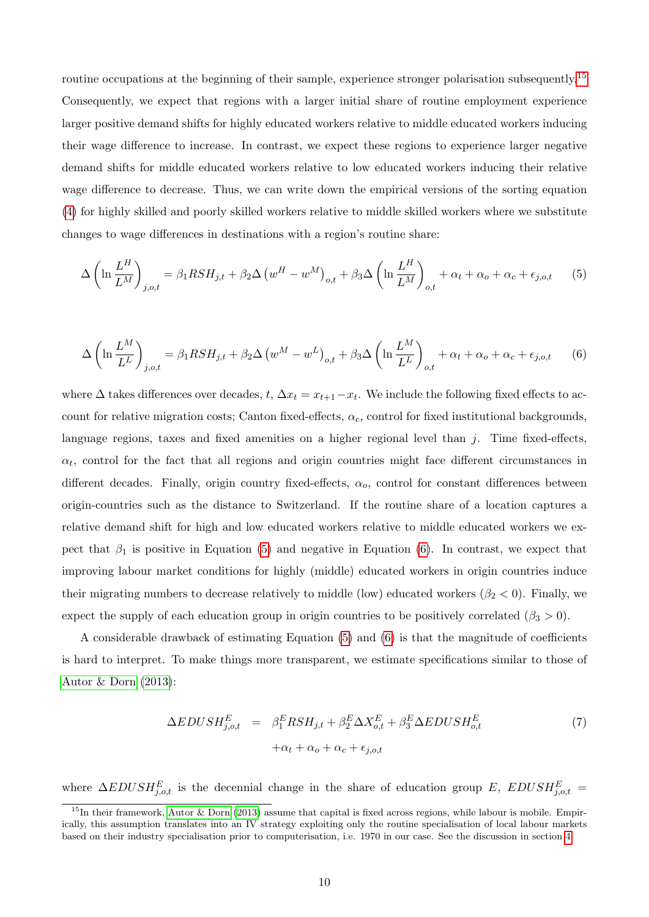routine occupations at the beginning of their sample, experience stronger polarisation subsequently.<sup>[15](#page-0-0)</sup> Consequently, we expect that regions with a larger initial share of routine employment experience larger positive demand shifts for highly educated workers relative to middle educated workers inducing their wage difference to increase. In contrast, we expect these regions to experience larger negative demand shifts for middle educated workers relative to low educated workers inducing their relative wage difference to decrease. Thus, we can write down the empirical versions of the sorting equation [\(4\)](#page-8-0) for highly skilled and poorly skilled workers relative to middle skilled workers where we substitute changes to wage differences in destinations with a region's routine share:

<span id="page-9-0"></span>
$$
\Delta \left( \ln \frac{L^H}{L^M} \right)_{j,o,t} = \beta_1 R S H_{j,t} + \beta_2 \Delta \left( w^H - w^M \right)_{o,t} + \beta_3 \Delta \left( \ln \frac{L^H}{L^M} \right)_{o,t} + \alpha_t + \alpha_o + \alpha_c + \epsilon_{j,o,t} \tag{5}
$$

<span id="page-9-1"></span>
$$
\Delta \left( \ln \frac{L^M}{L^L} \right)_{j,o,t} = \beta_1 R S H_{j,t} + \beta_2 \Delta \left( w^M - w^L \right)_{o,t} + \beta_3 \Delta \left( \ln \frac{L^M}{L^L} \right)_{o,t} + \alpha_t + \alpha_o + \alpha_c + \epsilon_{j,o,t} \tag{6}
$$

where  $\Delta$  takes differences over decades, t,  $\Delta x_t = x_{t+1} - x_t$ . We include the following fixed effects to account for relative migration costs; Canton fixed-effects,  $\alpha_c$ , control for fixed institutional backgrounds, language regions, taxes and fixed amenities on a higher regional level than  $j$ . Time fixed-effects,  $\alpha_t$ , control for the fact that all regions and origin countries might face different circumstances in different decades. Finally, origin country fixed-effects,  $\alpha_o$ , control for constant differences between origin-countries such as the distance to Switzerland. If the routine share of a location captures a relative demand shift for high and low educated workers relative to middle educated workers we expect that  $\beta_1$  is positive in Equation [\(5\)](#page-9-0) and negative in Equation [\(6\)](#page-9-1). In contrast, we expect that improving labour market conditions for highly (middle) educated workers in origin countries induce their migrating numbers to decrease relatively to middle (low) educated workers ( $\beta_2 < 0$ ). Finally, we expect the supply of each education group in origin countries to be positively correlated ( $\beta_3 > 0$ ).

A considerable drawback of estimating Equation [\(5\)](#page-9-0) and [\(6\)](#page-9-1) is that the magnitude of coefficients is hard to interpret. To make things more transparent, we estimate specifications similar to those of [Autor & Dorn](#page-39-1) [\(2013\)](#page-39-1):

<span id="page-9-2"></span>
$$
\Delta EDUSH_{j,o,t}^{E} = \beta_1^{E} RSH_{j,t} + \beta_2^{E} \Delta X_{o,t}^{E} + \beta_3^{E} \Delta EDUSH_{o,t}^{E}
$$
  
 
$$
+ \alpha_t + \alpha_o + \alpha_c + \epsilon_{j,o,t}
$$
 (7)

where  $\Delta EDUSH_{j,o,t}^{E}$  is the decennial change in the share of education group E,  $EDUSH_{j,o,t}^{E}$  =

<sup>&</sup>lt;sup>15</sup>In their framework, [Autor & Dorn](#page-39-1) [\(2013\)](#page-39-1) assume that capital is fixed across regions, while labour is mobile. Empirically, this assumption translates into an IV strategy exploiting only the routine specialisation of local labour markets based on their industry specialisation prior to computerisation, i.e. 1970 in our case. See the discussion in section [4.](#page-20-0)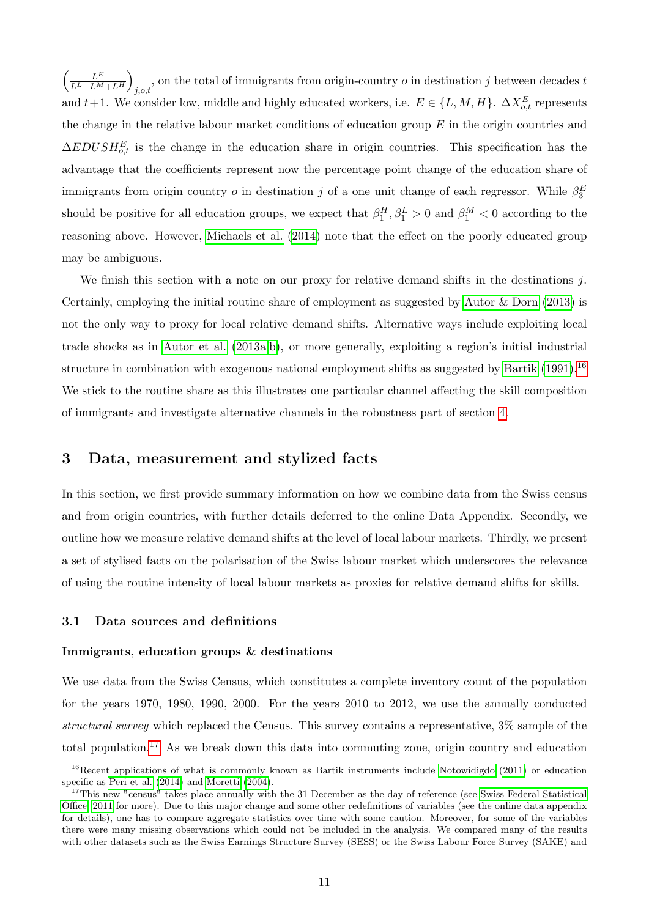$\left( \begin{array}{cc} & L^E \end{array} \right)$  $\frac{L^E}{L^L+L^M+L^H}$ , on the total of immigrants from origin-country  $o$  in destination  $j$  between decades  $t$ and t+1. We consider low, middle and highly educated workers, i.e.  $E \in \{L, M, H\}$ .  $\Delta X_{o,t}^E$  represents the change in the relative labour market conditions of education group  $E$  in the origin countries and  $\Delta EDUSH_{o,t}^{E}$  is the change in the education share in origin countries. This specification has the advantage that the coefficients represent now the percentage point change of the education share of immigrants from origin country  $o$  in destination  $j$  of a one unit change of each regressor. While  $\beta_3^E$ should be positive for all education groups, we expect that  $\beta_1^H$ ,  $\beta_1^L > 0$  and  $\beta_1^M < 0$  according to the reasoning above. However, [Michaels et al.](#page-40-5) [\(2014\)](#page-40-5) note that the effect on the poorly educated group may be ambiguous.

We finish this section with a note on our proxy for relative demand shifts in the destinations  $j$ . Certainly, employing the initial routine share of employment as suggested by Autor  $&$  Dorn [\(2013\)](#page-39-1) is not the only way to proxy for local relative demand shifts. Alternative ways include exploiting local trade shocks as in [Autor et al.](#page-39-13) [\(2013a,](#page-39-13)[b\)](#page-39-5), or more generally, exploiting a region's initial industrial structure in combination with exogenous national employment shifts as suggested by [Bartik](#page-39-14)  $(1991)$ .<sup>[16](#page-0-0)</sup> We stick to the routine share as this illustrates one particular channel affecting the skill composition of immigrants and investigate alternative channels in the robustness part of section [4.](#page-20-0)

# <span id="page-10-0"></span>3 Data, measurement and stylized facts

In this section, we first provide summary information on how we combine data from the Swiss census and from origin countries, with further details deferred to the online Data Appendix. Secondly, we outline how we measure relative demand shifts at the level of local labour markets. Thirdly, we present a set of stylised facts on the polarisation of the Swiss labour market which underscores the relevance of using the routine intensity of local labour markets as proxies for relative demand shifts for skills.

#### <span id="page-10-1"></span>3.1 Data sources and definitions

#### Immigrants, education groups & destinations

We use data from the Swiss Census, which constitutes a complete inventory count of the population for the years 1970, 1980, 1990, 2000. For the years 2010 to 2012, we use the annually conducted structural survey which replaced the Census. This survey contains a representative, 3% sample of the total population.[17](#page-0-0) As we break down this data into commuting zone, origin country and education

<sup>&</sup>lt;sup>16</sup>Recent applications of what is commonly known as Bartik instruments include [Notowidigdo](#page-41-6) [\(2011\)](#page-41-6) or education specific as [Peri et al.](#page-41-7) [\(2014\)](#page-41-7) and [Moretti](#page-40-16) [\(2004\)](#page-40-16).

<sup>&</sup>lt;sup>17</sup>This new "census" takes place annually with the 31 December as the day of reference (see [Swiss Federal Statistical](#page-41-8) [Office, 2011](#page-41-8) for more). Due to this major change and some other redefinitions of variables (see the online data appendix for details), one has to compare aggregate statistics over time with some caution. Moreover, for some of the variables there were many missing observations which could not be included in the analysis. We compared many of the results with other datasets such as the Swiss Earnings Structure Survey (SESS) or the Swiss Labour Force Survey (SAKE) and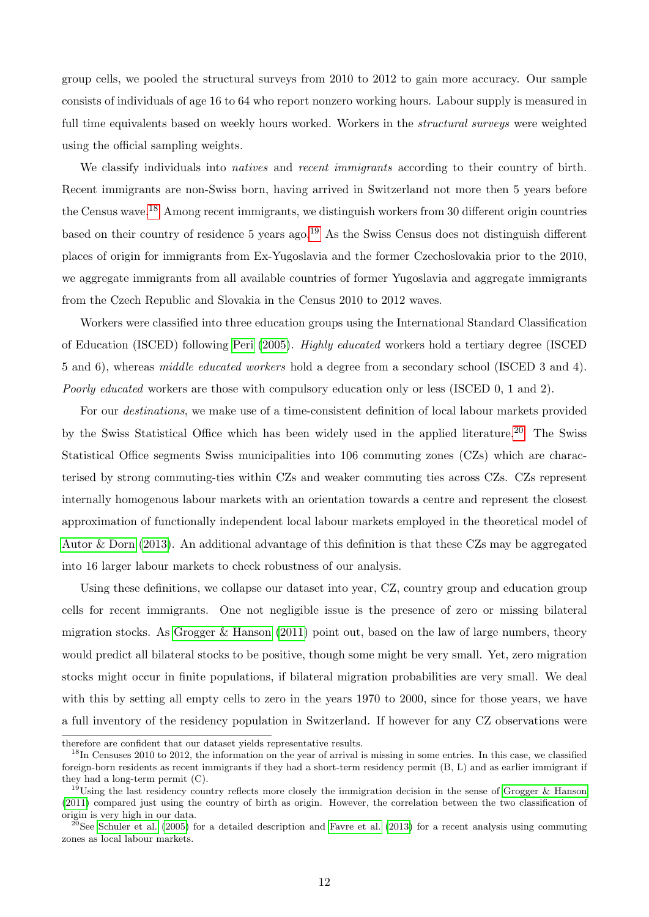group cells, we pooled the structural surveys from 2010 to 2012 to gain more accuracy. Our sample consists of individuals of age 16 to 64 who report nonzero working hours. Labour supply is measured in full time equivalents based on weekly hours worked. Workers in the *structural surveys* were weighted using the official sampling weights.

We classify individuals into *natives* and *recent immigrants* according to their country of birth. Recent immigrants are non-Swiss born, having arrived in Switzerland not more then 5 years before the Census wave.[18](#page-0-0) Among recent immigrants, we distinguish workers from 30 different origin countries based on their country of residence 5 years ago.[19](#page-0-0) As the Swiss Census does not distinguish different places of origin for immigrants from Ex-Yugoslavia and the former Czechoslovakia prior to the 2010, we aggregate immigrants from all available countries of former Yugoslavia and aggregate immigrants from the Czech Republic and Slovakia in the Census 2010 to 2012 waves.

Workers were classified into three education groups using the International Standard Classification of Education (ISCED) following [Peri](#page-41-1) [\(2005\)](#page-41-1). Highly educated workers hold a tertiary degree (ISCED 5 and 6), whereas middle educated workers hold a degree from a secondary school (ISCED 3 and 4). Poorly educated workers are those with compulsory education only or less (ISCED 0, 1 and 2).

For our destinations, we make use of a time-consistent definition of local labour markets provided by the Swiss Statistical Office which has been widely used in the applied literature.<sup>[20](#page-0-0)</sup> The Swiss Statistical Office segments Swiss municipalities into 106 commuting zones (CZs) which are characterised by strong commuting-ties within CZs and weaker commuting ties across CZs. CZs represent internally homogenous labour markets with an orientation towards a centre and represent the closest approximation of functionally independent local labour markets employed in the theoretical model of [Autor & Dorn](#page-39-1) [\(2013\)](#page-39-1). An additional advantage of this definition is that these CZs may be aggregated into 16 larger labour markets to check robustness of our analysis.

Using these definitions, we collapse our dataset into year, CZ, country group and education group cells for recent immigrants. One not negligible issue is the presence of zero or missing bilateral migration stocks. As [Grogger & Hanson](#page-40-0)  $(2011)$  point out, based on the law of large numbers, theory would predict all bilateral stocks to be positive, though some might be very small. Yet, zero migration stocks might occur in finite populations, if bilateral migration probabilities are very small. We deal with this by setting all empty cells to zero in the years 1970 to 2000, since for those years, we have a full inventory of the residency population in Switzerland. If however for any CZ observations were

therefore are confident that our dataset yields representative results.

<sup>&</sup>lt;sup>18</sup>In Censuses 2010 to 2012, the information on the year of arrival is missing in some entries. In this case, we classified foreign-born residents as recent immigrants if they had a short-term residency permit (B, L) and as earlier immigrant if they had a long-term permit (C).

<sup>&</sup>lt;sup>19</sup>Using the last residency country reflects more closely the immigration decision in the sense of [Grogger & Hanson](#page-40-0) [\(2011\)](#page-40-0) compared just using the country of birth as origin. However, the correlation between the two classification of origin is very high in our data.

 $^{20}$ See [Schuler et al.](#page-41-9) [\(2005\)](#page-41-9) for a detailed description and [Favre et al.](#page-40-3) [\(2013\)](#page-40-3) for a recent analysis using commuting zones as local labour markets.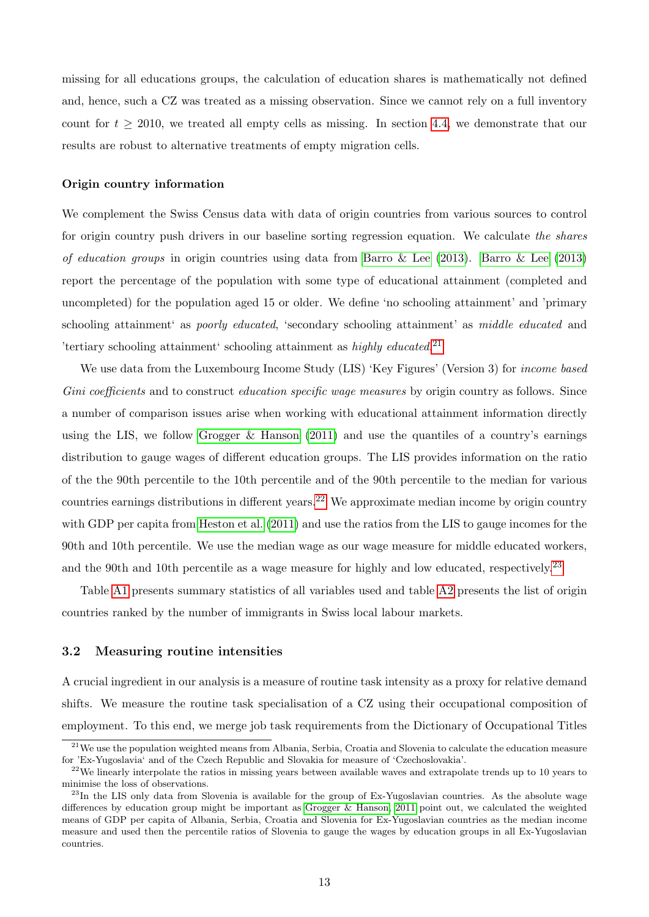missing for all educations groups, the calculation of education shares is mathematically not defined and, hence, such a CZ was treated as a missing observation. Since we cannot rely on a full inventory count for  $t \geq 2010$ , we treated all empty cells as missing. In section [4.4,](#page-37-0) we demonstrate that our results are robust to alternative treatments of empty migration cells.

#### Origin country information

We complement the Swiss Census data with data of origin countries from various sources to control for origin country push drivers in our baseline sorting regression equation. We calculate the shares of education groups in origin countries using data from [Barro & Lee](#page-39-15)  $(2013)$ . Barro & Lee  $(2013)$ report the percentage of the population with some type of educational attainment (completed and uncompleted) for the population aged 15 or older. We define 'no schooling attainment' and 'primary schooling attainment as *poorly educated*, 'secondary schooling attainment' as *middle educated* and 'tertiary schooling attainment' schooling attainment as highly educated.<sup>[21](#page-0-0)</sup>

We use data from the Luxembourg Income Study (LIS) 'Key Figures' (Version 3) for *income based* Gini coefficients and to construct education specific wage measures by origin country as follows. Since a number of comparison issues arise when working with educational attainment information directly using the LIS, we follow Grogger  $\&$  Hanson [\(2011\)](#page-40-0) and use the quantiles of a country's earnings distribution to gauge wages of different education groups. The LIS provides information on the ratio of the the 90th percentile to the 10th percentile and of the 90th percentile to the median for various countries earnings distributions in different years.<sup>[22](#page-0-0)</sup> We approximate median income by origin country with GDP per capita from [Heston et al.](#page-40-17) [\(2011\)](#page-40-17) and use the ratios from the LIS to gauge incomes for the 90th and 10th percentile. We use the median wage as our wage measure for middle educated workers, and the 90th and 10th percentile as a wage measure for highly and low educated, respectively.<sup>[23](#page-0-0)</sup>

Table [A1](#page-42-0) presents summary statistics of all variables used and table [A2](#page-43-0) presents the list of origin countries ranked by the number of immigrants in Swiss local labour markets.

### <span id="page-12-0"></span>3.2 Measuring routine intensities

A crucial ingredient in our analysis is a measure of routine task intensity as a proxy for relative demand shifts. We measure the routine task specialisation of a CZ using their occupational composition of employment. To this end, we merge job task requirements from the Dictionary of Occupational Titles

 $21$ We use the population weighted means from Albania, Serbia, Croatia and Slovenia to calculate the education measure for 'Ex-Yugoslavia' and of the Czech Republic and Slovakia for measure of 'Czechoslovakia'.

<sup>&</sup>lt;sup>22</sup>We linearly interpolate the ratios in missing years between available waves and extrapolate trends up to 10 years to minimise the loss of observations.

 $^{23}$ In the LIS only data from Slovenia is available for the group of Ex-Yugoslavian countries. As the absolute wage differences by education group might be important as [Grogger & Hanson, 2011](#page-40-0) point out, we calculated the weighted means of GDP per capita of Albania, Serbia, Croatia and Slovenia for Ex-Yugoslavian countries as the median income measure and used then the percentile ratios of Slovenia to gauge the wages by education groups in all Ex-Yugoslavian countries.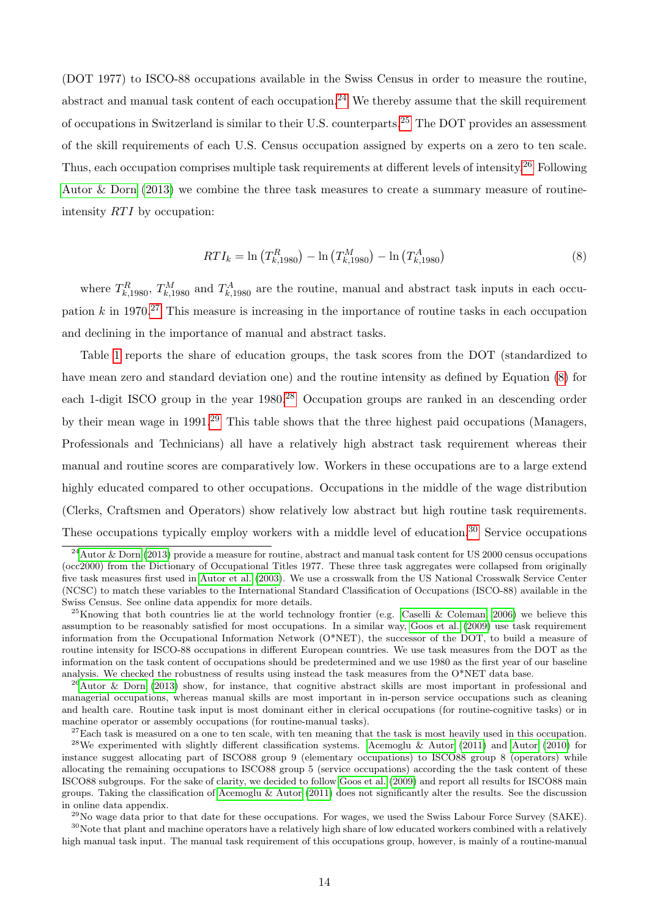(DOT 1977) to ISCO-88 occupations available in the Swiss Census in order to measure the routine, abstract and manual task content of each occupation.<sup>[24](#page-0-0)</sup> We thereby assume that the skill requirement of occupations in Switzerland is similar to their U.S. counterparts.[25](#page-0-0) The DOT provides an assessment of the skill requirements of each U.S. Census occupation assigned by experts on a zero to ten scale. Thus, each occupation comprises multiple task requirements at different levels of intensity.[26](#page-0-0) Following [Autor & Dorn](#page-39-1) [\(2013\)](#page-39-1) we combine the three task measures to create a summary measure of routineintensity  $RTI$  by occupation:

$$
RTI_k = \ln\left(T_{k,1980}^R\right) - \ln\left(T_{k,1980}^M\right) - \ln\left(T_{k,1980}^A\right) \tag{8}
$$

<span id="page-13-0"></span>where  $T_{k,1980}^R$ ,  $T_{k,1980}^M$  and  $T_{k,1980}^A$  are the routine, manual and abstract task inputs in each occupation  $k$  in 1970.<sup>[27](#page-0-0)</sup> This measure is increasing in the importance of routine tasks in each occupation and declining in the importance of manual and abstract tasks.

Table [1](#page-14-1) reports the share of education groups, the task scores from the DOT (standardized to have mean zero and standard deviation one) and the routine intensity as defined by Equation [\(8\)](#page-13-0) for each 1-digit ISCO group in the year 1980.<sup>[28](#page-0-0)</sup> Occupation groups are ranked in an descending order by their mean wage in 1991.[29](#page-0-0) This table shows that the three highest paid occupations (Managers, Professionals and Technicians) all have a relatively high abstract task requirement whereas their manual and routine scores are comparatively low. Workers in these occupations are to a large extend highly educated compared to other occupations. Occupations in the middle of the wage distribution (Clerks, Craftsmen and Operators) show relatively low abstract but high routine task requirements. These occupations typically employ workers with a middle level of education.<sup>[30](#page-0-0)</sup> Service occupations

 $30$ Note that plant and machine operators have a relatively high share of low educated workers combined with a relatively high manual task input. The manual task requirement of this occupations group, however, is mainly of a routine-manual

 $^{24}$ [Autor & Dorn](#page-39-1) [\(2013\)](#page-39-1) provide a measure for routine, abstract and manual task content for US 2000 census occupations (occ2000) from the Dictionary of Occupational Titles 1977. These three task aggregates were collapsed from originally five task measures first used in [Autor et al.](#page-39-10) [\(2003\)](#page-39-10). We use a crosswalk from the US National Crosswalk Service Center (NCSC) to match these variables to the International Standard Classification of Occupations (ISCO-88) available in the Swiss Census. See online data appendix for more details.

<sup>&</sup>lt;sup>25</sup>Knowing that both countries lie at the world technology frontier (e.g. [Caselli & Coleman, 2006\)](#page-39-16) we believe this assumption to be reasonably satisfied for most occupations. In a similar way, [Goos et al.](#page-40-7) [\(2009\)](#page-40-7) use task requirement information from the Occupational Information Network (O\*NET), the successor of the DOT, to build a measure of routine intensity for ISCO-88 occupations in different European countries. We use task measures from the DOT as the information on the task content of occupations should be predetermined and we use 1980 as the first year of our baseline analysis. We checked the robustness of results using instead the task measures from the O\*NET data base.

 $^{26}$ [Autor & Dorn](#page-39-1) [\(2013\)](#page-39-1) show, for instance, that cognitive abstract skills are most important in professional and managerial occupations, whereas manual skills are most important in in-person service occupations such as cleaning and health care. Routine task input is most dominant either in clerical occupations (for routine-cognitive tasks) or in machine operator or assembly occupations (for routine-manual tasks).

 $27$ Each task is measured on a one to ten scale, with ten meaning that the task is most heavily used in this occupation. <sup>28</sup>We experimented with slightly different classification systems. [Acemoglu & Autor](#page-39-2) [\(2011\)](#page-39-2) and [Autor](#page-39-17) [\(2010\)](#page-39-17) for instance suggest allocating part of ISCO88 group 9 (elementary occupations) to ISCO88 group 8 (operators) while allocating the remaining occupations to ISCO88 group 5 (service occupations) according the the task content of these ISCO88 subgroups. For the sake of clarity, we decided to follow [Goos et al.](#page-40-7) [\(2009\)](#page-40-7) and report all results for ISCO88 main groups. Taking the classification of [Acemoglu & Autor](#page-39-2) [\(2011\)](#page-39-2) does not significantly alter the results. See the discussion

in online data appendix.  $^{29}$ No wage data prior to that date for these occupations. For wages, we used the Swiss Labour Force Survey (SAKE).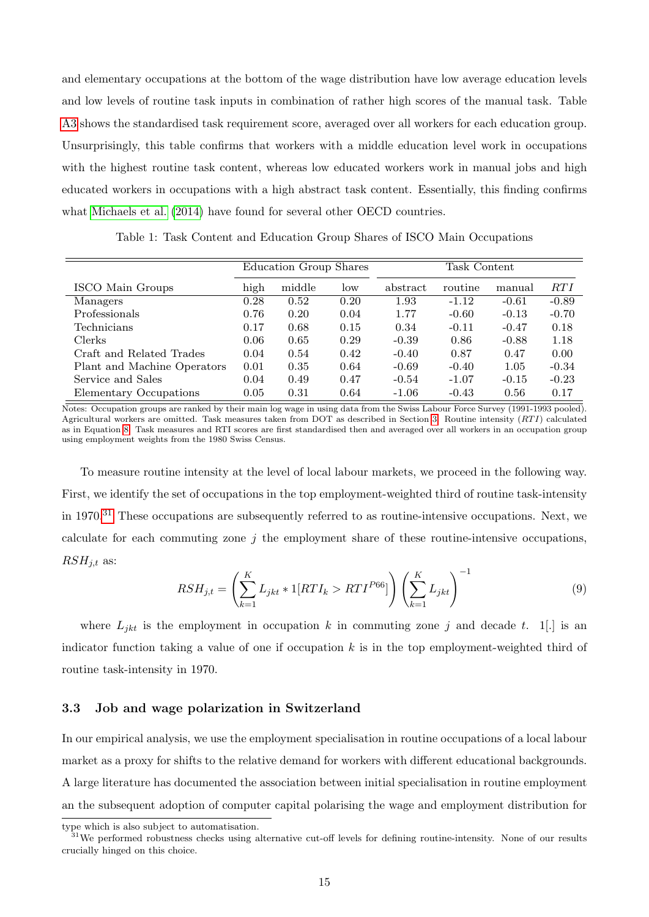and elementary occupations at the bottom of the wage distribution have low average education levels and low levels of routine task inputs in combination of rather high scores of the manual task. Table [A3](#page-43-1) shows the standardised task requirement score, averaged over all workers for each education group. Unsurprisingly, this table confirms that workers with a middle education level work in occupations with the highest routine task content, whereas low educated workers work in manual jobs and high educated workers in occupations with a high abstract task content. Essentially, this finding confirms what [Michaels et al.](#page-40-5) [\(2014\)](#page-40-5) have found for several other OECD countries.

Table 1: Task Content and Education Group Shares of ISCO Main Occupations

<span id="page-14-1"></span>

|                             | Education Group Shares |        |      | Task Content |         |         |         |
|-----------------------------|------------------------|--------|------|--------------|---------|---------|---------|
| ISCO Main Groups            | high                   | middle | low  | abstract     | routine | manual  | RTI     |
| Managers                    | 0.28                   | 0.52   | 0.20 | 1.93         | $-1.12$ | $-0.61$ | $-0.89$ |
| Professionals               | 0.76                   | 0.20   | 0.04 | 1.77         | $-0.60$ | $-0.13$ | $-0.70$ |
| Technicians                 | 0.17                   | 0.68   | 0.15 | 0.34         | $-0.11$ | $-0.47$ | 0.18    |
| Clerks                      | 0.06                   | 0.65   | 0.29 | $-0.39$      | 0.86    | $-0.88$ | 1.18    |
| Craft and Related Trades    | 0.04                   | 0.54   | 0.42 | $-0.40$      | 0.87    | 0.47    | 0.00    |
| Plant and Machine Operators | 0.01                   | 0.35   | 0.64 | $-0.69$      | $-0.40$ | 1.05    | $-0.34$ |
| Service and Sales           | 0.04                   | 0.49   | 0.47 | $-0.54$      | $-1.07$ | $-0.15$ | $-0.23$ |
| Elementary Occupations      | 0.05                   | 0.31   | 0.64 | $-1.06$      | $-0.43$ | 0.56    | 0.17    |

Notes: Occupation groups are ranked by their main log wage in using data from the Swiss Labour Force Survey (1991-1993 pooled). Agricultural workers are omitted. Task measures taken from DOT as described in Section [3.](#page-10-0) Routine intensity  $(RTI)$  calculated as in Equation [8.](#page-13-0) Task measures and RTI scores are first standardised then and averaged over all workers in an occupation group using employment weights from the 1980 Swiss Census.

To measure routine intensity at the level of local labour markets, we proceed in the following way. First, we identify the set of occupations in the top employment-weighted third of routine task-intensity in 1970.[31](#page-0-0) These occupations are subsequently referred to as routine-intensive occupations. Next, we calculate for each commuting zone  $j$  the employment share of these routine-intensive occupations,  $RSH_{j,t}$  as:

<span id="page-14-2"></span>
$$
RSH_{j,t} = \left(\sum_{k=1}^{K} L_{jkt} * 1[RTI_k > RTI^{P66}]\right) \left(\sum_{k=1}^{K} L_{jkt}\right)^{-1}
$$
(9)

where  $L_{jkt}$  is the employment in occupation k in commuting zone j and decade t. 1. is an indicator function taking a value of one if occupation  $k$  is in the top employment-weighted third of routine task-intensity in 1970.

### <span id="page-14-0"></span>3.3 Job and wage polarization in Switzerland

In our empirical analysis, we use the employment specialisation in routine occupations of a local labour market as a proxy for shifts to the relative demand for workers with different educational backgrounds. A large literature has documented the association between initial specialisation in routine employment an the subsequent adoption of computer capital polarising the wage and employment distribution for

type which is also subject to automatisation.

<sup>&</sup>lt;sup>31</sup>We performed robustness checks using alternative cut-off levels for defining routine-intensity. None of our results crucially hinged on this choice.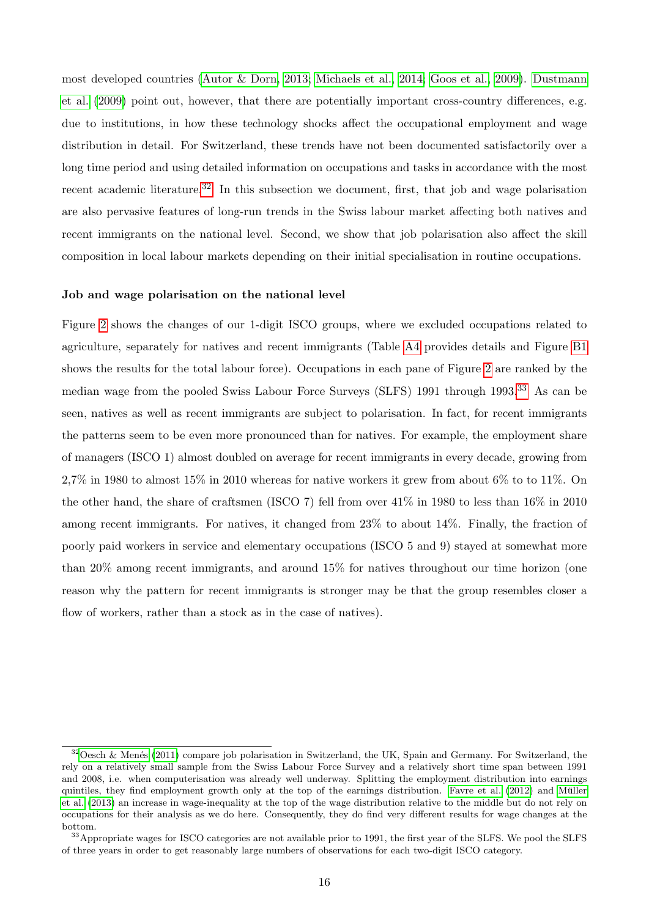most developed countries [\(Autor & Dorn, 2013;](#page-39-1) [Michaels et al., 2014;](#page-40-5) [Goos et al., 2009\)](#page-40-7). [Dustmann](#page-40-15) [et al.](#page-40-15) [\(2009\)](#page-40-15) point out, however, that there are potentially important cross-country differences, e.g. due to institutions, in how these technology shocks affect the occupational employment and wage distribution in detail. For Switzerland, these trends have not been documented satisfactorily over a long time period and using detailed information on occupations and tasks in accordance with the most recent academic literature.<sup>[32](#page-0-0)</sup> In this subsection we document, first, that job and wage polarisation are also pervasive features of long-run trends in the Swiss labour market affecting both natives and recent immigrants on the national level. Second, we show that job polarisation also affect the skill composition in local labour markets depending on their initial specialisation in routine occupations.

#### Job and wage polarisation on the national level

Figure [2](#page-16-0) shows the changes of our 1-digit ISCO groups, where we excluded occupations related to agriculture, separately for natives and recent immigrants (Table [A4](#page-44-0) provides details and Figure [B1](#page-48-0) shows the results for the total labour force). Occupations in each pane of Figure [2](#page-16-0) are ranked by the median wage from the pooled Swiss Labour Force Surveys (SLFS) 1991 through 1993.[33](#page-0-0) As can be seen, natives as well as recent immigrants are subject to polarisation. In fact, for recent immigrants the patterns seem to be even more pronounced than for natives. For example, the employment share of managers (ISCO 1) almost doubled on average for recent immigrants in every decade, growing from 2,7% in 1980 to almost 15% in 2010 whereas for native workers it grew from about 6% to to 11%. On the other hand, the share of craftsmen (ISCO 7) fell from over 41% in 1980 to less than 16% in 2010 among recent immigrants. For natives, it changed from 23% to about 14%. Finally, the fraction of poorly paid workers in service and elementary occupations (ISCO 5 and 9) stayed at somewhat more than 20% among recent immigrants, and around 15% for natives throughout our time horizon (one reason why the pattern for recent immigrants is stronger may be that the group resembles closer a flow of workers, rather than a stock as in the case of natives).

 $32$ Oesch & Menés [\(2011\)](#page-41-10) compare job polarisation in Switzerland, the UK, Spain and Germany. For Switzerland, the rely on a relatively small sample from the Swiss Labour Force Survey and a relatively short time span between 1991 and 2008, i.e. when computerisation was already well underway. Splitting the employment distribution into earnings quintiles, they find employment growth only at the top of the earnings distribution. [Favre et al.](#page-40-18) [\(2012\)](#page-40-18) and Müller [et al.](#page-41-11) [\(2013\)](#page-41-11) an increase in wage-inequality at the top of the wage distribution relative to the middle but do not rely on occupations for their analysis as we do here. Consequently, they do find very different results for wage changes at the bottom.

<sup>&</sup>lt;sup>33</sup>Appropriate wages for ISCO categories are not available prior to 1991, the first year of the SLFS. We pool the SLFS of three years in order to get reasonably large numbers of observations for each two-digit ISCO category.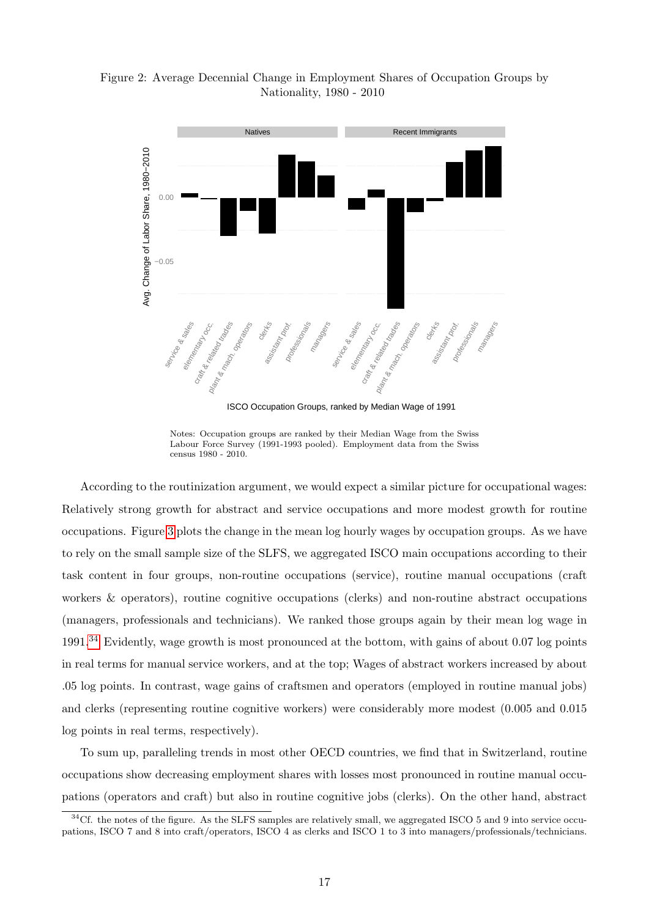<span id="page-16-0"></span>Figure 2: Average Decennial Change in Employment Shares of Occupation Groups by Nationality, 1980 - 2010



ISCO Occupation Groups, ranked by Median Wage of 1991

Notes: Occupation groups are ranked by their Median Wage from the Swiss Labour Force Survey (1991-1993 pooled). Employment data from the Swiss census 1980 - 2010.

According to the routinization argument, we would expect a similar picture for occupational wages: Relatively strong growth for abstract and service occupations and more modest growth for routine occupations. Figure [3](#page-17-0) plots the change in the mean log hourly wages by occupation groups. As we have to rely on the small sample size of the SLFS, we aggregated ISCO main occupations according to their task content in four groups, non-routine occupations (service), routine manual occupations (craft workers & operators), routine cognitive occupations (clerks) and non-routine abstract occupations (managers, professionals and technicians). We ranked those groups again by their mean log wage in 1991.[34](#page-0-0) Evidently, wage growth is most pronounced at the bottom, with gains of about 0.07 log points in real terms for manual service workers, and at the top; Wages of abstract workers increased by about .05 log points. In contrast, wage gains of craftsmen and operators (employed in routine manual jobs) and clerks (representing routine cognitive workers) were considerably more modest (0.005 and 0.015 log points in real terms, respectively).

To sum up, paralleling trends in most other OECD countries, we find that in Switzerland, routine occupations show decreasing employment shares with losses most pronounced in routine manual occupations (operators and craft) but also in routine cognitive jobs (clerks). On the other hand, abstract

 $34$ Cf. the notes of the figure. As the SLFS samples are relatively small, we aggregated ISCO 5 and 9 into service occupations, ISCO 7 and 8 into craft/operators, ISCO 4 as clerks and ISCO 1 to 3 into managers/professionals/technicians.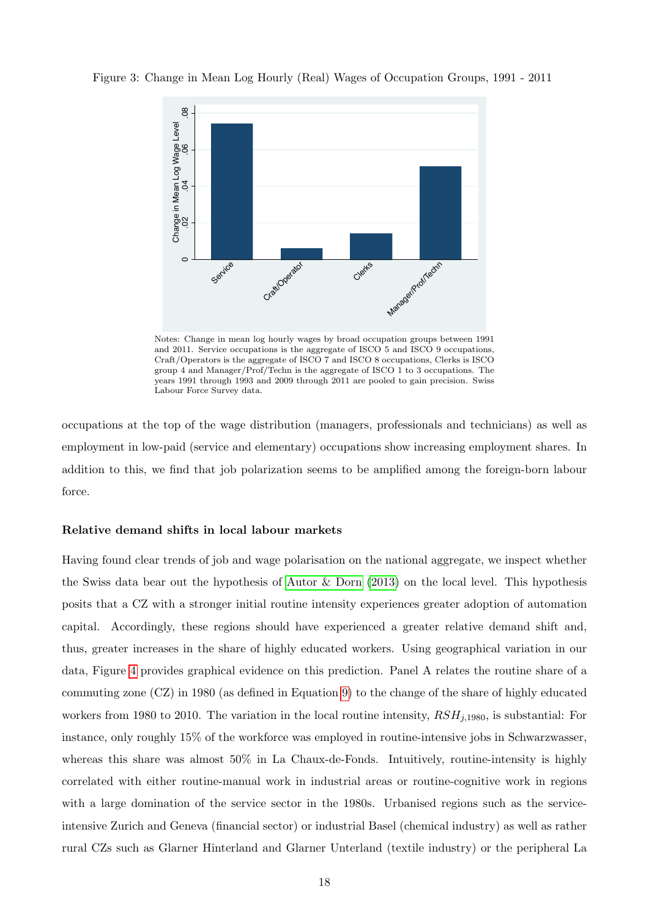

<span id="page-17-0"></span>Figure 3: Change in Mean Log Hourly (Real) Wages of Occupation Groups, 1991 - 2011

Notes: Change in mean log hourly wages by broad occupation groups between 1991 and 2011. Service occupations is the aggregate of ISCO 5 and ISCO 9 occupations, Craft/Operators is the aggregate of ISCO 7 and ISCO 8 occupations, Clerks is ISCO group 4 and Manager/Prof/Techn is the aggregate of ISCO 1 to 3 occupations. The years 1991 through 1993 and 2009 through 2011 are pooled to gain precision. Swiss Labour Force Survey data.

occupations at the top of the wage distribution (managers, professionals and technicians) as well as employment in low-paid (service and elementary) occupations show increasing employment shares. In addition to this, we find that job polarization seems to be amplified among the foreign-born labour force.

### Relative demand shifts in local labour markets

Having found clear trends of job and wage polarisation on the national aggregate, we inspect whether the Swiss data bear out the hypothesis of [Autor & Dorn](#page-39-1) [\(2013\)](#page-39-1) on the local level. This hypothesis posits that a CZ with a stronger initial routine intensity experiences greater adoption of automation capital. Accordingly, these regions should have experienced a greater relative demand shift and, thus, greater increases in the share of highly educated workers. Using geographical variation in our data, Figure [4](#page-19-0) provides graphical evidence on this prediction. Panel A relates the routine share of a commuting zone (CZ) in 1980 (as defined in Equation [9\)](#page-14-2) to the change of the share of highly educated workers from 1980 to 2010. The variation in the local routine intensity,  $RSH_{j,1980}$ , is substantial: For instance, only roughly 15% of the workforce was employed in routine-intensive jobs in Schwarzwasser, whereas this share was almost  $50\%$  in La Chaux-de-Fonds. Intuitively, routine-intensity is highly correlated with either routine-manual work in industrial areas or routine-cognitive work in regions with a large domination of the service sector in the 1980s. Urbanised regions such as the serviceintensive Zurich and Geneva (financial sector) or industrial Basel (chemical industry) as well as rather rural CZs such as Glarner Hinterland and Glarner Unterland (textile industry) or the peripheral La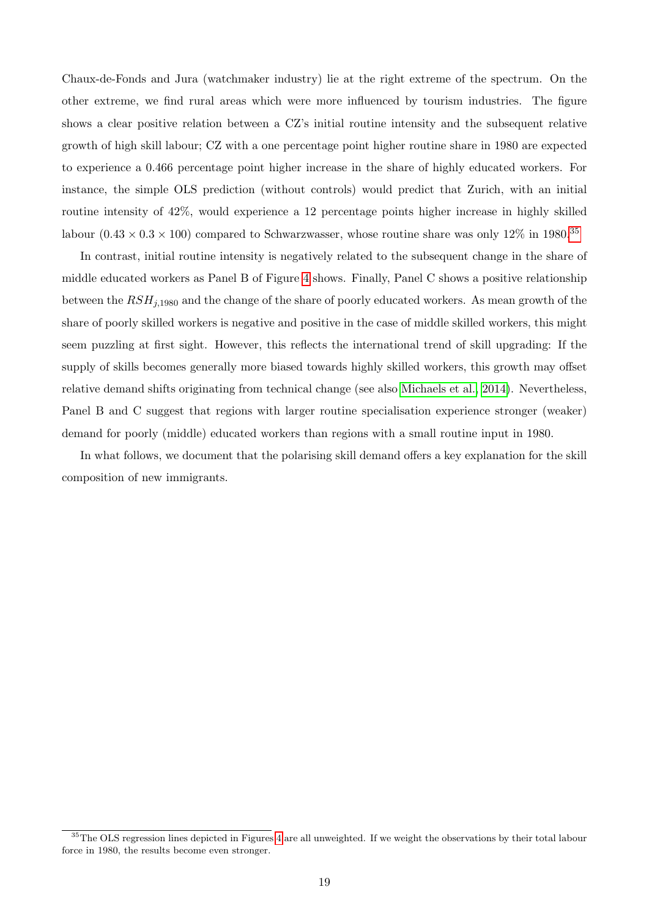Chaux-de-Fonds and Jura (watchmaker industry) lie at the right extreme of the spectrum. On the other extreme, we find rural areas which were more influenced by tourism industries. The figure shows a clear positive relation between a CZ's initial routine intensity and the subsequent relative growth of high skill labour; CZ with a one percentage point higher routine share in 1980 are expected to experience a 0.466 percentage point higher increase in the share of highly educated workers. For instance, the simple OLS prediction (without controls) would predict that Zurich, with an initial routine intensity of 42%, would experience a 12 percentage points higher increase in highly skilled labour  $(0.43 \times 0.3 \times 100)$  compared to Schwarzwasser, whose routine share was only 12% in 1980.<sup>[35](#page-0-0)</sup>

In contrast, initial routine intensity is negatively related to the subsequent change in the share of middle educated workers as Panel B of Figure [4](#page-19-0) shows. Finally, Panel C shows a positive relationship between the  $RSH_{i,1980}$  and the change of the share of poorly educated workers. As mean growth of the share of poorly skilled workers is negative and positive in the case of middle skilled workers, this might seem puzzling at first sight. However, this reflects the international trend of skill upgrading: If the supply of skills becomes generally more biased towards highly skilled workers, this growth may offset relative demand shifts originating from technical change (see also [Michaels et al., 2014\)](#page-40-5). Nevertheless, Panel B and C suggest that regions with larger routine specialisation experience stronger (weaker) demand for poorly (middle) educated workers than regions with a small routine input in 1980.

In what follows, we document that the polarising skill demand offers a key explanation for the skill composition of new immigrants.

<sup>&</sup>lt;sup>35</sup>The OLS regression lines depicted in Figures [4](#page-19-0) are all unweighted. If we weight the observations by their total labour force in 1980, the results become even stronger.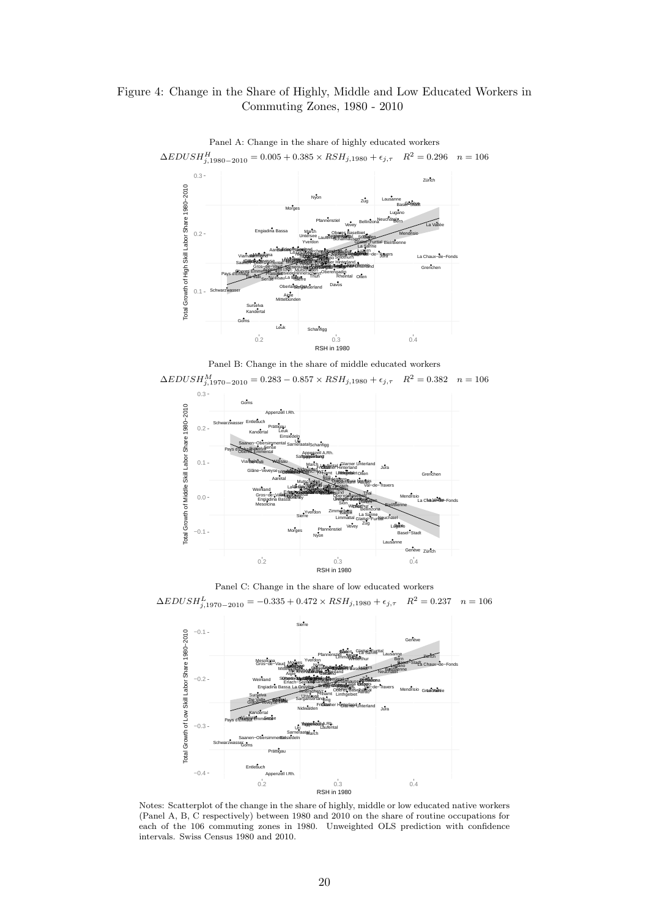# <span id="page-19-0"></span>Figure 4: Change in the Share of Highly, Middle and Low Educated Workers in Commuting Zones, 1980 - 2010



Panel A: Change in the share of highly educated workers  $\Delta EDUSH_{j,1980-2010}^{H} = 0.005 + 0.385 \times RSH_{j,1980} + \epsilon_{j,\tau}$   $R^2 = 0.296$   $n = 106$ 







Panel C: Change in the share of low educated workers

 $\Delta EDUSH_{j,1970-2010}^{L} = -0.335 + 0.472 \times RSH_{j,1980} + \epsilon_{j,\tau}$   $R^2 = 0.237$   $n = 106$ 



Notes: Scatterplot of the change in the share of highly, middle or low educated native workers (Panel A, B, C respectively) between 1980 and 2010 on the share of routine occupations for each of the 106 commuting zones in 1980. Unweighted OLS prediction with confidence intervals. Swiss Census 1980 and 2010.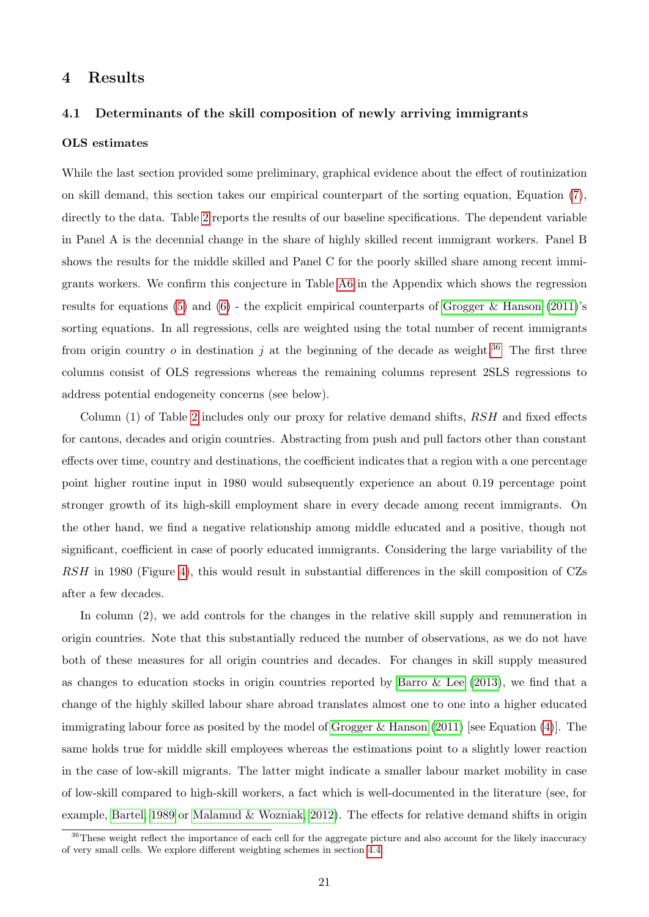# <span id="page-20-0"></span>4 Results

### 4.1 Determinants of the skill composition of newly arriving immigrants

#### OLS estimates

While the last section provided some preliminary, graphical evidence about the effect of routinization on skill demand, this section takes our empirical counterpart of the sorting equation, Equation [\(7\)](#page-9-2), directly to the data. Table [2](#page-23-0) reports the results of our baseline specifications. The dependent variable in Panel A is the decennial change in the share of highly skilled recent immigrant workers. Panel B shows the results for the middle skilled and Panel C for the poorly skilled share among recent immigrants workers. We confirm this conjecture in Table [A6](#page-45-0) in the Appendix which shows the regression results for equations [\(5\)](#page-9-0) and [\(6\)](#page-9-1) - the explicit empirical counterparts of [Grogger & Hanson](#page-40-0) [\(2011\)](#page-40-0)'s sorting equations. In all regressions, cells are weighted using the total number of recent immigrants from origin country o in destination j at the beginning of the decade as weight.<sup>[36](#page-0-0)</sup> The first three columns consist of OLS regressions whereas the remaining columns represent 2SLS regressions to address potential endogeneity concerns (see below).

Column (1) of Table [2](#page-23-0) includes only our proxy for relative demand shifts, RSH and fixed effects for cantons, decades and origin countries. Abstracting from push and pull factors other than constant effects over time, country and destinations, the coefficient indicates that a region with a one percentage point higher routine input in 1980 would subsequently experience an about 0.19 percentage point stronger growth of its high-skill employment share in every decade among recent immigrants. On the other hand, we find a negative relationship among middle educated and a positive, though not significant, coefficient in case of poorly educated immigrants. Considering the large variability of the RSH in 1980 (Figure [4\)](#page-19-0), this would result in substantial differences in the skill composition of CZs after a few decades.

In column (2), we add controls for the changes in the relative skill supply and remuneration in origin countries. Note that this substantially reduced the number of observations, as we do not have both of these measures for all origin countries and decades. For changes in skill supply measured as changes to education stocks in origin countries reported by Barro  $\&$  Lee [\(2013\)](#page-39-15), we find that a change of the highly skilled labour share abroad translates almost one to one into a higher educated immigrating labour force as posited by the model of Grogger  $\&$  Hanson [\(2011\)](#page-40-0) [see Equation [\(4\)](#page-8-0)]. The same holds true for middle skill employees whereas the estimations point to a slightly lower reaction in the case of low-skill migrants. The latter might indicate a smaller labour market mobility in case of low-skill compared to high-skill workers, a fact which is well-documented in the literature (see, for example, [Bartel, 1989](#page-39-4) or [Malamud & Wozniak, 2012\)](#page-40-19). The effects for relative demand shifts in origin

<sup>&</sup>lt;sup>36</sup>These weight reflect the importance of each cell for the aggregate picture and also account for the likely inaccuracy of very small cells. We explore different weighting schemes in section [4.4.](#page-36-0)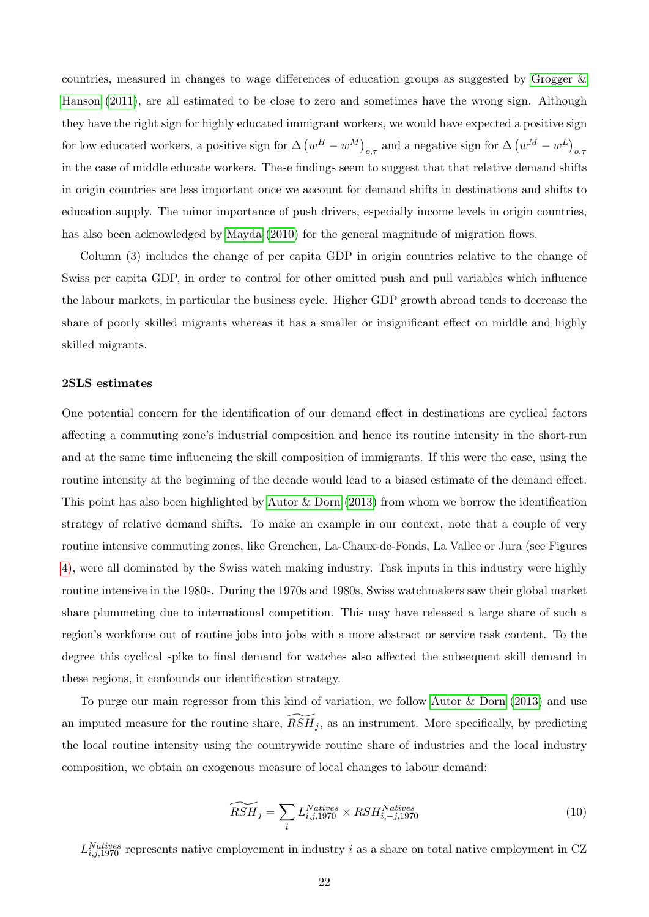countries, measured in changes to wage differences of education groups as suggested by [Grogger &](#page-40-0) [Hanson](#page-40-0) [\(2011\)](#page-40-0), are all estimated to be close to zero and sometimes have the wrong sign. Although they have the right sign for highly educated immigrant workers, we would have expected a positive sign for low educated workers, a positive sign for  $\Delta (w^H - w^M)_{o,\tau}$  and a negative sign for  $\Delta (w^M - w^L)_{o,\tau}$ in the case of middle educate workers. These findings seem to suggest that that relative demand shifts in origin countries are less important once we account for demand shifts in destinations and shifts to education supply. The minor importance of push drivers, especially income levels in origin countries, has also been acknowledged by [Mayda](#page-40-4) [\(2010\)](#page-40-4) for the general magnitude of migration flows.

Column (3) includes the change of per capita GDP in origin countries relative to the change of Swiss per capita GDP, in order to control for other omitted push and pull variables which influence the labour markets, in particular the business cycle. Higher GDP growth abroad tends to decrease the share of poorly skilled migrants whereas it has a smaller or insignificant effect on middle and highly skilled migrants.

#### 2SLS estimates

One potential concern for the identification of our demand effect in destinations are cyclical factors affecting a commuting zone's industrial composition and hence its routine intensity in the short-run and at the same time influencing the skill composition of immigrants. If this were the case, using the routine intensity at the beginning of the decade would lead to a biased estimate of the demand effect. This point has also been highlighted by [Autor & Dorn](#page-39-1) [\(2013\)](#page-39-1) from whom we borrow the identification strategy of relative demand shifts. To make an example in our context, note that a couple of very routine intensive commuting zones, like Grenchen, La-Chaux-de-Fonds, La Vallee or Jura (see Figures [4\)](#page-19-0), were all dominated by the Swiss watch making industry. Task inputs in this industry were highly routine intensive in the 1980s. During the 1970s and 1980s, Swiss watchmakers saw their global market share plummeting due to international competition. This may have released a large share of such a region's workforce out of routine jobs into jobs with a more abstract or service task content. To the degree this cyclical spike to final demand for watches also affected the subsequent skill demand in these regions, it confounds our identification strategy.

To purge our main regressor from this kind of variation, we follow [Autor & Dorn](#page-39-1) [\(2013\)](#page-39-1) and use an imputed measure for the routine share,  $\widetilde{RSH}_i$ , as an instrument. More specifically, by predicting the local routine intensity using the countrywide routine share of industries and the local industry composition, we obtain an exogenous measure of local changes to labour demand:

$$
\widetilde{RSH}_j = \sum_i L_{i,j,1970}^{Natives} \times RSH_{i,-j,1970}^{Natives}
$$
\n(10)

<span id="page-21-0"></span> $L_{i,j,1970}^{Natives}$  represents native employement in industry i as a share on total native employment in CZ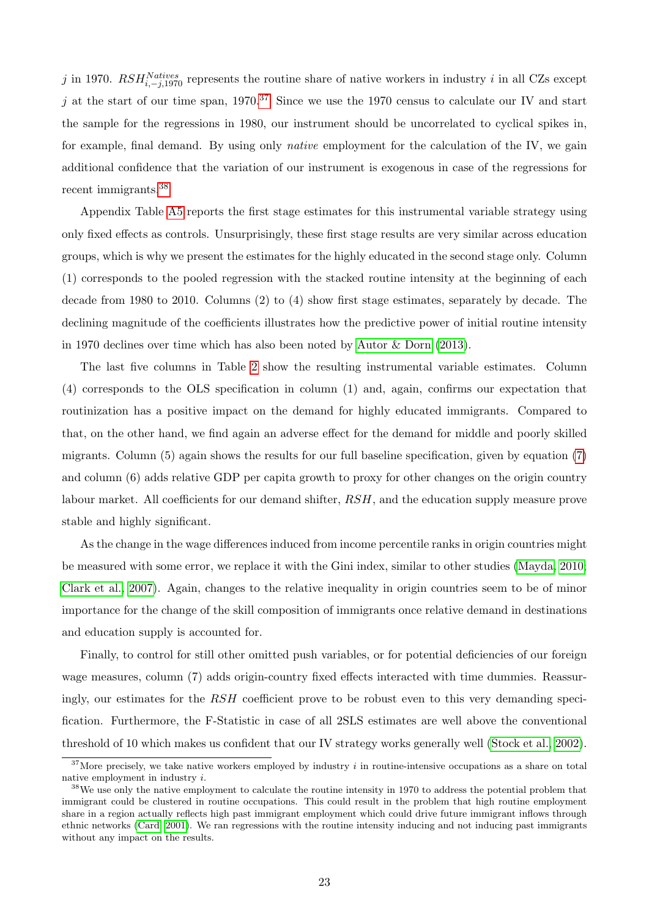j in 1970.  $RSH_{i,-j,1970}^{Natives}$  represents the routine share of native workers in industry i in all CZs except j at the start of our time span,  $1970.^{37}$  $1970.^{37}$  $1970.^{37}$  Since we use the 1970 census to calculate our IV and start the sample for the regressions in 1980, our instrument should be uncorrelated to cyclical spikes in, for example, final demand. By using only native employment for the calculation of the IV, we gain additional confidence that the variation of our instrument is exogenous in case of the regressions for recent immigrants.[38](#page-0-0)

Appendix Table [A5](#page-45-1) reports the first stage estimates for this instrumental variable strategy using only fixed effects as controls. Unsurprisingly, these first stage results are very similar across education groups, which is why we present the estimates for the highly educated in the second stage only. Column (1) corresponds to the pooled regression with the stacked routine intensity at the beginning of each decade from 1980 to 2010. Columns (2) to (4) show first stage estimates, separately by decade. The declining magnitude of the coefficients illustrates how the predictive power of initial routine intensity in 1970 declines over time which has also been noted by [Autor & Dorn](#page-39-1) [\(2013\)](#page-39-1).

The last five columns in Table [2](#page-23-0) show the resulting instrumental variable estimates. Column (4) corresponds to the OLS specification in column (1) and, again, confirms our expectation that routinization has a positive impact on the demand for highly educated immigrants. Compared to that, on the other hand, we find again an adverse effect for the demand for middle and poorly skilled migrants. Column (5) again shows the results for our full baseline specification, given by equation [\(7\)](#page-9-2) and column (6) adds relative GDP per capita growth to proxy for other changes on the origin country labour market. All coefficients for our demand shifter, RSH, and the education supply measure prove stable and highly significant.

As the change in the wage differences induced from income percentile ranks in origin countries might be measured with some error, we replace it with the Gini index, similar to other studies [\(Mayda, 2010;](#page-40-4) [Clark et al., 2007\)](#page-40-12). Again, changes to the relative inequality in origin countries seem to be of minor importance for the change of the skill composition of immigrants once relative demand in destinations and education supply is accounted for.

Finally, to control for still other omitted push variables, or for potential deficiencies of our foreign wage measures, column (7) adds origin-country fixed effects interacted with time dummies. Reassuringly, our estimates for the RSH coefficient prove to be robust even to this very demanding specification. Furthermore, the F-Statistic in case of all 2SLS estimates are well above the conventional threshold of 10 which makes us confident that our IV strategy works generally well [\(Stock et al., 2002\)](#page-41-12).

 $37$ More precisely, we take native workers employed by industry i in routine-intensive occupations as a share on total native employment in industry i.

<sup>&</sup>lt;sup>38</sup>We use only the native employment to calculate the routine intensity in 1970 to address the potential problem that immigrant could be clustered in routine occupations. This could result in the problem that high routine employment share in a region actually reflects high past immigrant employment which could drive future immigrant inflows through ethnic networks [\(Card, 2001\)](#page-39-3). We ran regressions with the routine intensity inducing and not inducing past immigrants without any impact on the results.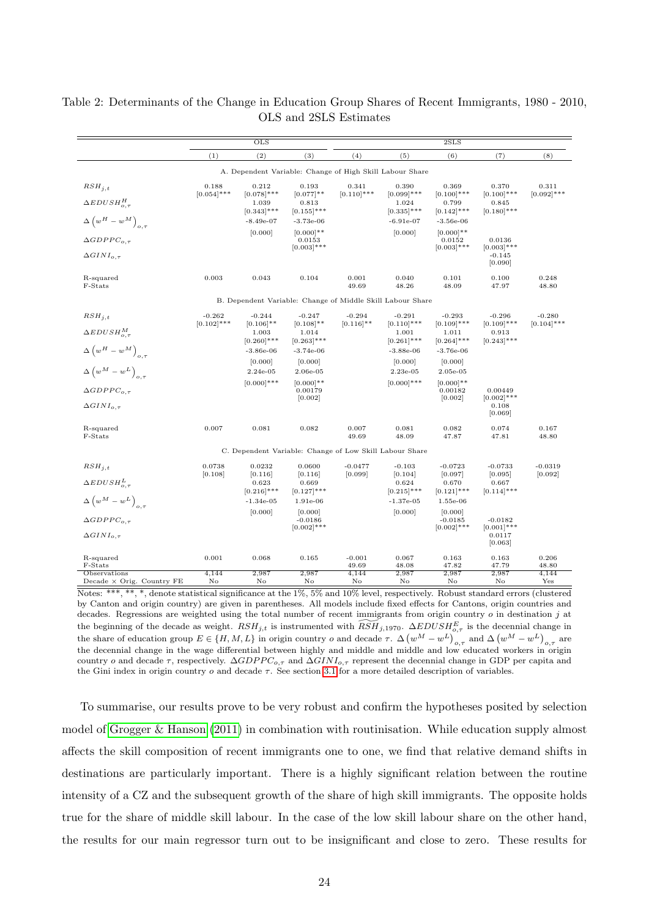|                                                      | $\overline{\mathrm{OLS}}$ |                                                            |                                        | 2SLS              |                                         |                                         |                                                |                |
|------------------------------------------------------|---------------------------|------------------------------------------------------------|----------------------------------------|-------------------|-----------------------------------------|-----------------------------------------|------------------------------------------------|----------------|
|                                                      | (1)                       | (2)                                                        | (3)                                    | (4)               | (5)                                     | (6)                                     | (7)                                            | (8)            |
|                                                      |                           | A. Dependent Variable: Change of High Skill Labour Share   |                                        |                   |                                         |                                         |                                                |                |
| $RSH_{i,t}$                                          | 0.188                     | 0.212                                                      | 0.193                                  | 0.341             | 0.390                                   | 0.369                                   | 0.370                                          | 0.311          |
| $\triangle EDUSH_{0.7}^H$                            | $[0.054]$ ***             | $[0.078]$ ***<br>1.039<br>$[0.343]$ ***                    | $[0.077]$ **<br>0.813<br>$[0.155]$ *** | $[0.110]$ ***     | $[0.099]$ ***<br>1.024<br>$[0.335]$ *** | $[0.100]$ ***<br>0.799<br>$[0.142]$ *** | $[0.100]$ ***<br>0.845<br>$[0.180]$ ***        | $[0.092]$ ***  |
| $\Delta \left( w^H - w^M \right)_{o,\tau}$           |                           | $-8.49e-07$                                                | $-3.73e-06$                            |                   | $-6.91e-07$                             | $-3.56e-06$                             |                                                |                |
| $\Delta GDPPC_{o.\tau}$                              |                           | [0.000]                                                    | $[0.000]**$<br>0.0153<br>$[0.003]$ *** |                   | [0.000]                                 | $[0.000]**$<br>0.0152<br>$[0.003]$ ***  | 0.0136<br>$[0.003]$ ***                        |                |
| $\Delta GINI_{o,\tau}$                               |                           |                                                            |                                        |                   |                                         |                                         | $-0.145$<br>[0.090]                            |                |
| R-squared<br>F-Stats                                 | 0.003                     | 0.043                                                      | 0.104                                  | 0.001<br>49.69    | 0.040<br>48.26                          | 0.101<br>48.09                          | 0.100<br>47.97                                 | 0.248<br>48.80 |
|                                                      |                           | B. Dependent Variable: Change of Middle Skill Labour Share |                                        |                   |                                         |                                         |                                                |                |
| $RSH_{i.t.}$                                         | $-0.262$                  | $-0.244$                                                   | $-0.247$                               | $-0.294$          | $-0.291$                                | $-0.293$                                | $-0.296$                                       | $-0.280$       |
| $\Delta EDUSH_{o,\tau}^{M}$                          | $[0.102]$ ***             | $[0.106]$ **<br>1.003<br>$[0.260]$ ***                     | $[0.108]$ **<br>1.014<br>$[0.263]$ *** | $[0.116]$ **      | $[0.110]$ ***<br>1.001<br>$[0.261]$ *** | $[0.109]$ ***<br>1.011<br>$[0.264]$ *** | $[0.109]$ ***<br>0.913<br>$[0.243]$ ***        | $[0.104]$ ***  |
| $\Delta \left( w^H - w^M \right)_{o,\tau}$           |                           | $-3.86e-06$                                                | $-3.74e-06$                            |                   | $-3.88e-06$                             | $-3.76e-06$                             |                                                |                |
|                                                      |                           | [0.000]                                                    | [0.000]                                |                   | [0.000]                                 | [0.000]                                 |                                                |                |
| $\Delta \left( w^M - w^L \right)_{o,\tau}$           |                           | $2.24e-05$<br>$[0.000]$ ***                                | 2.06e-05<br>$[0.000]**$                |                   | $2.23e-05$<br>$[0.000]$ ***             | $2.05e-05$<br>$[0.000]**$               |                                                |                |
| $\triangle GDPPC_{0.\tau}$                           |                           |                                                            | 0.00179<br>[0.002]                     |                   |                                         | 0.00182<br>[0.002]                      | 0.00449<br>$[0.002]$ ***                       |                |
| $\Delta GINI_{o.\tau}$                               |                           |                                                            |                                        |                   |                                         |                                         | 0.108<br>[0.069]                               |                |
| R-squared<br>F-Stats                                 | 0.007                     | 0.081                                                      | 0.082                                  | 0.007<br>49.69    | 0.081<br>48.09                          | 0.082<br>47.87                          | 0.074<br>47.81                                 | 0.167<br>48.80 |
|                                                      |                           | C. Dependent Variable: Change of Low Skill Labour Share    |                                        |                   |                                         |                                         |                                                |                |
| $RSH_{i,t}$                                          | 0.0738                    | 0.0232                                                     | 0.0600                                 | $-0.0477$         | $-0.103$                                | $-0.0723$                               | $-0.0733$                                      | $-0.0319$      |
| $\Delta EDUSH_{o,\tau}^L$                            | [0.108]                   | [0.116]<br>0.623<br>$[0.216]$ ***                          | [0.116]<br>0.669<br>$[0.127]$ ***      | [0.099]           | [0.104]<br>0.624<br>$[0.215]$ ***       | [0.097]<br>0.670<br>$[0.121]$ ***       | [0.095]<br>0.667<br>$[0.114]$ ***              | [0.092]        |
| $\Delta \left( w^M - w^L \right)_{o,\tau}$           |                           | $-1.34e-05$                                                | 1.91e-06                               |                   | $-1.37e-0.5$                            | 1.55e-06                                |                                                |                |
| $\triangle GDPPC_{0.\tau}$<br>$\Delta GINI_{o.\tau}$ |                           | [0.000]                                                    | [0.000]<br>$-0.0186$<br>$[0.002]$ ***  |                   | [0.000]                                 | [0.000]<br>$-0.0185$<br>$[0.002]$ ***   | $-0.0182$<br>$[0.001]***$<br>0.0117<br>[0.063] |                |
| R-squared<br>F-Stats                                 | 0.001                     | 0.068                                                      | 0.165                                  | $-0.001$<br>49.69 | 0.067<br>48.08                          | 0.163<br>47.82                          | 0.163<br>47.79                                 | 0.206<br>48.80 |
| Observations<br>Decade × Orig. Country FE            | 4,144<br>No               | 2,987<br>No                                                | 2,987<br>No                            | 4,144<br>No       | 2,987<br>No                             | 2,987<br>No                             | 2,987<br>No                                    | 4,144<br>Yes   |

<span id="page-23-0"></span>Table 2: Determinants of the Change in Education Group Shares of Recent Immigrants, 1980 - 2010, OLS and 2SLS Estimates

Notes: \*\*\*, \*\*, \*, denote statistical significance at the 1%, 5% and 10% level, respectively. Robust standard errors (clustered by Canton and origin country) are given in parentheses. All models include fixed effects for Cantons, origin countries and decades. Regressions are weighted using the total number of recent immigrants from origin country  $o$  in destination j at the beginning of the decade as weight.  $RSH_{j,t}$  is instrumented with  $\widetilde{RSH}_{j,1970}$ .  $\Delta EDUSH_{o,\tau}^E$  is the decennial change in the share of education group  $E \in \{H, M, L\}$  in origin country o and decade  $\tau$ .  $\Delta (w^M - w^L)_{o,\tau}$  and  $\Delta (w^M - w^L)_{o,\tau}$  are the decennial change in the wage differential between highly and middle and middle and low educated workers in origin country o and decade  $\tau$ , respectively.  $\Delta GDPPC_{o,\tau}$  and  $\Delta GINI_{o,\tau}$  represent the decennial change in GDP per capita and the Gini index in origin country  $o$  and decade  $\tau$ . See section [3.1](#page-10-1) for a more detailed description of variables.

To summarise, our results prove to be very robust and confirm the hypotheses posited by selection model of [Grogger & Hanson](#page-40-0) [\(2011\)](#page-40-0) in combination with routinisation. While education supply almost affects the skill composition of recent immigrants one to one, we find that relative demand shifts in destinations are particularly important. There is a highly significant relation between the routine intensity of a CZ and the subsequent growth of the share of high skill immigrants. The opposite holds true for the share of middle skill labour. In the case of the low skill labour share on the other hand, the results for our main regressor turn out to be insignificant and close to zero. These results for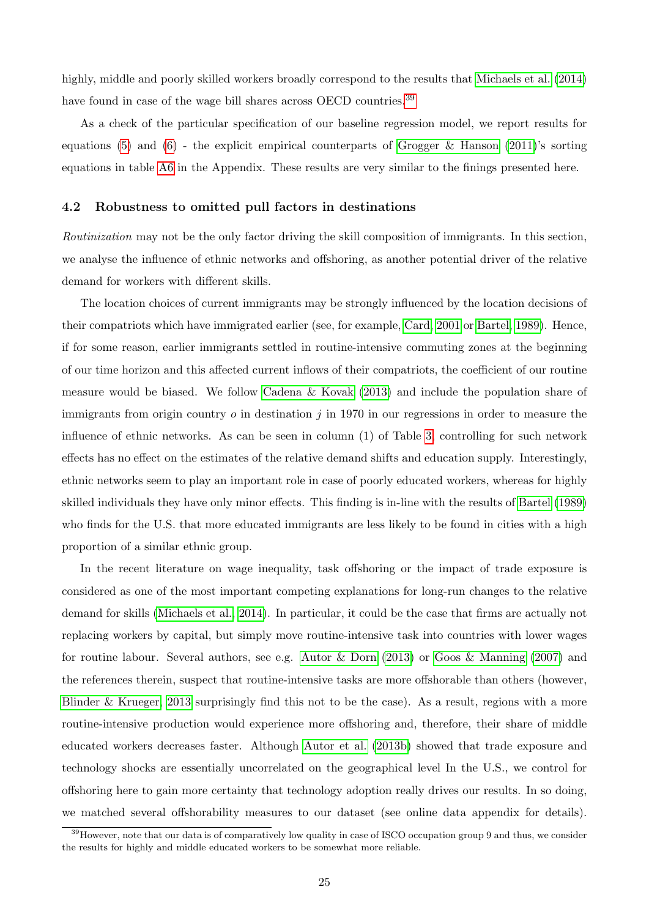highly, middle and poorly skilled workers broadly correspond to the results that [Michaels et al.](#page-40-5) [\(2014\)](#page-40-5) have found in case of the wage bill shares across OECD countries.<sup>[39](#page-0-0)</sup>

As a check of the particular specification of our baseline regression model, we report results for equations [\(5\)](#page-9-0) and [\(6\)](#page-9-1) - the explicit empirical counterparts of [Grogger & Hanson](#page-40-0) [\(2011\)](#page-40-0)'s sorting equations in table [A6](#page-45-0) in the Appendix. These results are very similar to the finings presented here.

#### 4.2 Robustness to omitted pull factors in destinations

Routinization may not be the only factor driving the skill composition of immigrants. In this section, we analyse the influence of ethnic networks and offshoring, as another potential driver of the relative demand for workers with different skills.

The location choices of current immigrants may be strongly influenced by the location decisions of their compatriots which have immigrated earlier (see, for example, [Card, 2001](#page-39-3) or [Bartel, 1989\)](#page-39-4). Hence, if for some reason, earlier immigrants settled in routine-intensive commuting zones at the beginning of our time horizon and this affected current inflows of their compatriots, the coefficient of our routine measure would be biased. We follow [Cadena & Kovak](#page-39-18) [\(2013\)](#page-39-18) and include the population share of immigrants from origin country  $o$  in destination  $j$  in 1970 in our regressions in order to measure the influence of ethnic networks. As can be seen in column (1) of Table [3,](#page-26-0) controlling for such network effects has no effect on the estimates of the relative demand shifts and education supply. Interestingly, ethnic networks seem to play an important role in case of poorly educated workers, whereas for highly skilled individuals they have only minor effects. This finding is in-line with the results of [Bartel](#page-39-4) ([1989\)](#page-39-4) who finds for the U.S. that more educated immigrants are less likely to be found in cities with a high proportion of a similar ethnic group.

In the recent literature on wage inequality, task offshoring or the impact of trade exposure is considered as one of the most important competing explanations for long-run changes to the relative demand for skills [\(Michaels et al., 2014\)](#page-40-5). In particular, it could be the case that firms are actually not replacing workers by capital, but simply move routine-intensive task into countries with lower wages for routine labour. Several authors, see e.g. [Autor & Dorn](#page-39-1) [\(2013\)](#page-39-1) or [Goos & Manning](#page-40-14) [\(2007\)](#page-40-14) and the references therein, suspect that routine-intensive tasks are more offshorable than others (however, [Blinder & Krueger, 2013](#page-39-19) surprisingly find this not to be the case). As a result, regions with a more routine-intensive production would experience more offshoring and, therefore, their share of middle educated workers decreases faster. Although [Autor et al.](#page-39-5) [\(2013b\)](#page-39-5) showed that trade exposure and technology shocks are essentially uncorrelated on the geographical level In the U.S., we control for offshoring here to gain more certainty that technology adoption really drives our results. In so doing, we matched several offshorability measures to our dataset (see online data appendix for details).

<sup>&</sup>lt;sup>39</sup>However, note that our data is of comparatively low quality in case of ISCO occupation group 9 and thus, we consider the results for highly and middle educated workers to be somewhat more reliable.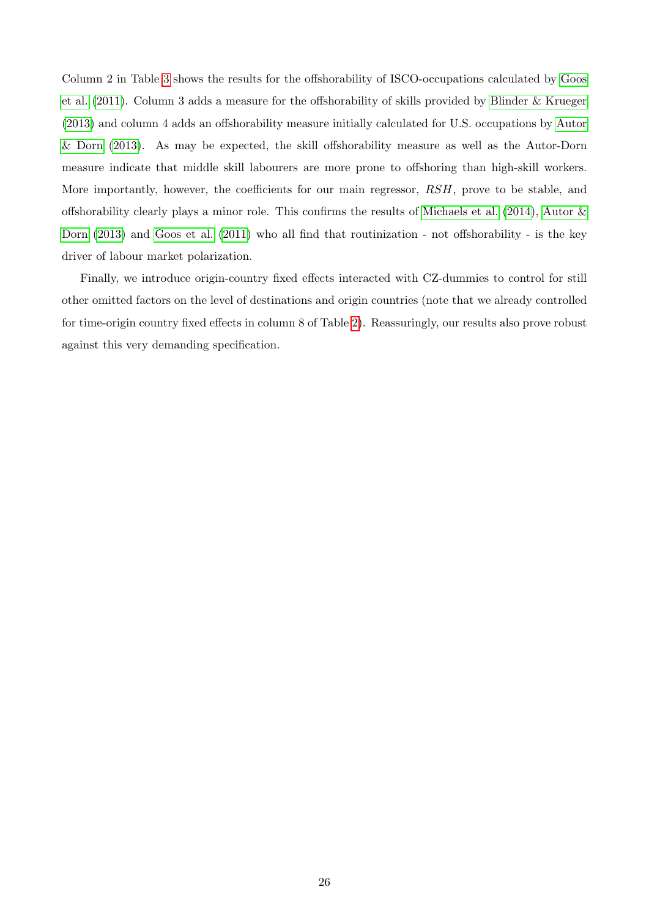Column 2 in Table [3](#page-26-0) shows the results for the offshorability of ISCO-occupations calculated by [Goos](#page-40-9) [et al.](#page-40-9) [\(2011\)](#page-40-9). Column 3 adds a measure for the offshorability of skills provided by [Blinder & Krueger](#page-39-19) [\(2013\)](#page-39-19) and column 4 adds an offshorability measure initially calculated for U.S. occupations by [Autor](#page-39-1) [& Dorn](#page-39-1) [\(2013\)](#page-39-1). As may be expected, the skill offshorability measure as well as the Autor-Dorn measure indicate that middle skill labourers are more prone to offshoring than high-skill workers. More importantly, however, the coefficients for our main regressor,  $RSH$ , prove to be stable, and offshorability clearly plays a minor role. This confirms the results of [Michaels et al.](#page-40-5) [\(2014\)](#page-40-5), [Autor &](#page-39-1) [Dorn](#page-39-1) [\(2013\)](#page-39-1) and [Goos et al.](#page-40-9) [\(2011\)](#page-40-9) who all find that routinization - not offshorability - is the key driver of labour market polarization.

Finally, we introduce origin-country fixed effects interacted with CZ-dummies to control for still other omitted factors on the level of destinations and origin countries (note that we already controlled for time-origin country fixed effects in column 8 of Table [2\)](#page-23-0). Reassuringly, our results also prove robust against this very demanding specification.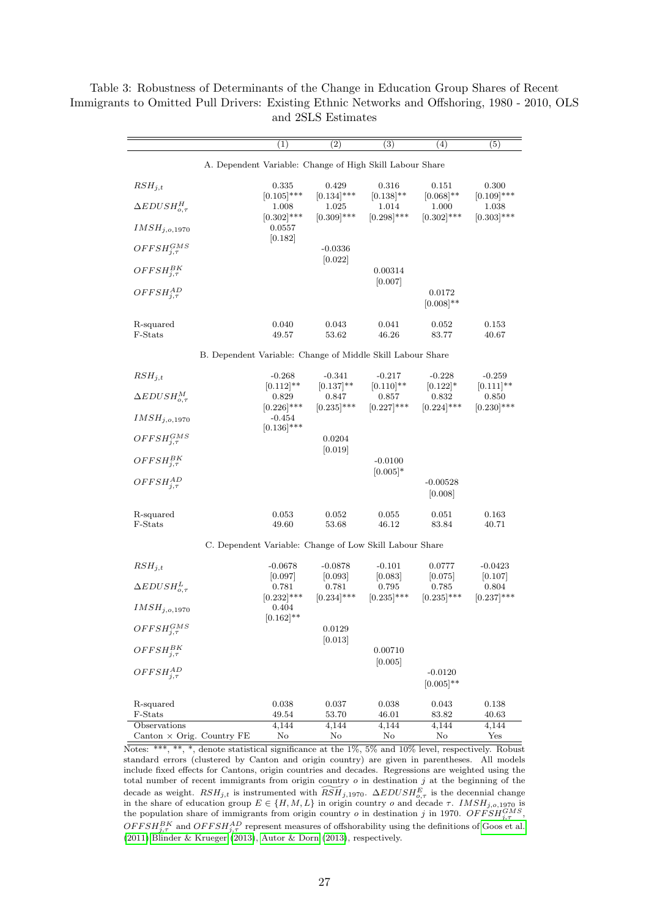$(1)$   $(2)$   $(3)$   $(4)$   $(5)$ A. Dependent Variable: Change of High Skill Labour Share  $RSH_{j,t}$  0.335 0.429 0.316 0.151 0.300  $[0.105]***$   $[0.134]***$   $[0.138]**$   $[0.068]**$   $[0.109]***$  $\Delta EDUSH_{o.\tau}^H$  $\frac{H}{\rho,\tau}$  1.008 1.025 1.014 1.000 1.038  $[0.302]^{***}$   $[0.309]^{***}$   $[0.298]^{***}$   $[0.302]^{***}$   $[0.303]^{***}$  $IMSH<sub>j,o,1970</sub>$ [0.182]  $OFFSH^{GMS}_{i,\tau}$  $-0.0336$ [0.022]  $OFFSH^{BK}_{i\tau}$  $0.00314$ [0.007]  $OFFSH^{AD}_{1\tau}$  $_{j,\tau}^{AD}$  0.0172  $[0.008]$ \*\* R-squared 0.040 0.043 0.041 0.052 0.153<br>
F-Stats 49.57 53.62 46.26 83.77 40.67 F-Stats 49.57 53.62 46.26 83.77 40.67 B. Dependent Variable: Change of Middle Skill Labour Share  $RSH_{j,t}$  -0.268 -0.341 -0.217 -0.228 -0.259  $[0.112]^{**}$   $[0.137]^{**}$   $[0.110]^{**}$   $[0.122]^{*}$   $[0.111]^{**}$  $\triangle EDUSH_{o,\tau}^{M}$  0.829 0.847 0.857 0.832 0.850<br>  $[0.226]^{***}$   $[0.235]^{***}$   $[0.237]^{***}$   $[0.224]^{***}$   $[0.230]^{***}$  $[0.227]***$  $IMSH<sub>j,o,1970</sub>$  -0.454  $[0.136]$ \*\*\*  $OFFSH^{GMS}_{i,\tau}$ 0.0204 [0.019]  $OFFSH^{BK}_{i\tau}$  ${}_{j,\tau}^{B K}$  -0.0100  $[0.005]$ \*  $OFFSH^{AD}_{i,\tau}$  $_{j,\tau}^{AD}$  -0.00528 [0.008] R-squared 0.053 0.052 0.055 0.051 0.163 F-Stats 49.60 53.68 46.12 83.84 40.71 C. Dependent Variable: Change of Low Skill Labour Share  $RSH_{j,t}$  -0.0678 -0.0878 -0.101 0.0777 -0.0423  $[0.097]$   $[0.093]$   $[0.083]$   $[0.075]$   $[0.107]$  $\triangle EDUSH_{a\tau}^L$  $\frac{L}{\rho_{0,\tau}}$  0.781 0.795 0.785 0.804  $[0.232]$ \*\*\*  $[0.234]$ \*\*\*  $[0.235]$ \*\*\*  $[0.235]$ \*\*\*  $[0.237]$ \*\*\*  $IMSH_{i.o.1970}$  0.404  $[0.162]$ \*\*  $OFFSH^{GMS}_{1\tau}$  $j,τ$  0.0129 [0.013]  $OFFSH_{i,\tau}^{BK}$  $j,τ$  0.00710 [0.005]  $OFFSH^{AD}_{i,\tau}$  $_{j,\tau}^{AD}$  -0.0120  $[0.005]$ \*\* R-squared 0.038 0.037 0.038 0.043 0.138 F-Stats 49.54 53.70 46.01 83.82 40.63 Observations 4,144 4,144 4,144 4,144 4,144 Canton × Orig. Country FE No No No No Yes

<span id="page-26-0"></span>Table 3: Robustness of Determinants of the Change in Education Group Shares of Recent Immigrants to Omitted Pull Drivers: Existing Ethnic Networks and Offshoring, 1980 - 2010, OLS and 2SLS Estimates

 $\overline{\text{Notes: }***, **, *},$  denote statistical significance at the 1\%, 5\% and 10\% level, respectively. Robust standard errors (clustered by Canton and origin country) are given in parentheses. All models include fixed effects for Cantons, origin countries and decades. Regressions are weighted using the total number of recent immigrants from origin country  $o$  in destination  $j$  at the beginning of the decade as weight.  $RSH_{j,t}$  is instrumented with  $\widetilde{RSH}_{j,1970}$ .  $\Delta EDUSH_{o,\tau}^{E}$  is the decennial change in the share of education group  $E \in \{H, M, L\}$  in origin country o and decade  $\tau$ . IMSH<sub>i,o,1970</sub> is the population share of immigrants from origin country *o* in destination *j* in 1970.  $OFFSH_{j,\tau}^{GMS}$ ,  $OFFSH_{j,\tau}^{BK}$  and  $OFFSH_{j,\tau}^{AD}$  represent measures of offshorability using the definitions of [Goos et al.](#page-40-9) [\(2011\)](#page-40-9)[,Blinder & Krueger](#page-39-19) [\(2013\)](#page-39-19), [Autor & Dorn](#page-39-1) [\(2013\)](#page-39-1), respectively.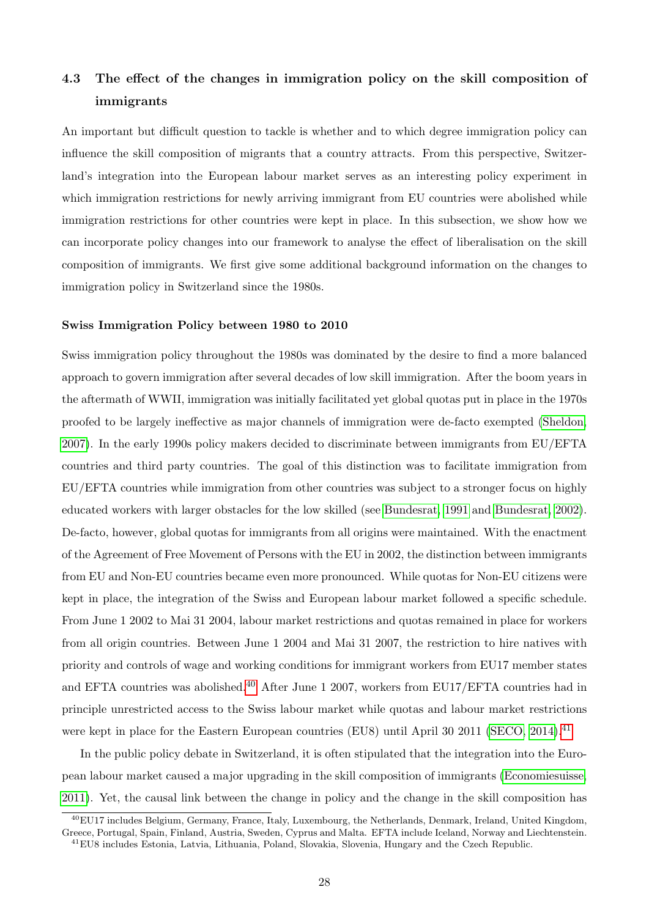# 4.3 The effect of the changes in immigration policy on the skill composition of immigrants

An important but difficult question to tackle is whether and to which degree immigration policy can influence the skill composition of migrants that a country attracts. From this perspective, Switzerland's integration into the European labour market serves as an interesting policy experiment in which immigration restrictions for newly arriving immigrant from EU countries were abolished while immigration restrictions for other countries were kept in place. In this subsection, we show how we can incorporate policy changes into our framework to analyse the effect of liberalisation on the skill composition of immigrants. We first give some additional background information on the changes to immigration policy in Switzerland since the 1980s.

#### Swiss Immigration Policy between 1980 to 2010

Swiss immigration policy throughout the 1980s was dominated by the desire to find a more balanced approach to govern immigration after several decades of low skill immigration. After the boom years in the aftermath of WWII, immigration was initially facilitated yet global quotas put in place in the 1970s proofed to be largely ineffective as major channels of immigration were de-facto exempted [\(Sheldon,](#page-41-13) [2007\)](#page-41-13). In the early 1990s policy makers decided to discriminate between immigrants from EU/EFTA countries and third party countries. The goal of this distinction was to facilitate immigration from EU/EFTA countries while immigration from other countries was subject to a stronger focus on highly educated workers with larger obstacles for the low skilled (see [Bundesrat, 1991](#page-39-20) and [Bundesrat, 2002\)](#page-39-21). De-facto, however, global quotas for immigrants from all origins were maintained. With the enactment of the Agreement of Free Movement of Persons with the EU in 2002, the distinction between immigrants from EU and Non-EU countries became even more pronounced. While quotas for Non-EU citizens were kept in place, the integration of the Swiss and European labour market followed a specific schedule. From June 1 2002 to Mai 31 2004, labour market restrictions and quotas remained in place for workers from all origin countries. Between June 1 2004 and Mai 31 2007, the restriction to hire natives with priority and controls of wage and working conditions for immigrant workers from EU17 member states and EFTA countries was abolished.<sup>[40](#page-0-0)</sup> After June 1 2007, workers from EU17/EFTA countries had in principle unrestricted access to the Swiss labour market while quotas and labour market restrictions were kept in place for the Eastern European countries (EU8) until April 30 2011 [\(SECO, 2014\)](#page-41-14).<sup>[41](#page-0-0)</sup>

In the public policy debate in Switzerland, it is often stipulated that the integration into the European labour market caused a major upgrading in the skill composition of immigrants [\(Economiesuisse,](#page-40-20) [2011\)](#page-40-20). Yet, the causal link between the change in policy and the change in the skill composition has

<sup>40</sup>EU17 includes Belgium, Germany, France, Italy, Luxembourg, the Netherlands, Denmark, Ireland, United Kingdom, Greece, Portugal, Spain, Finland, Austria, Sweden, Cyprus and Malta. EFTA include Iceland, Norway and Liechtenstein. <sup>41</sup>EU8 includes Estonia, Latvia, Lithuania, Poland, Slovakia, Slovenia, Hungary and the Czech Republic.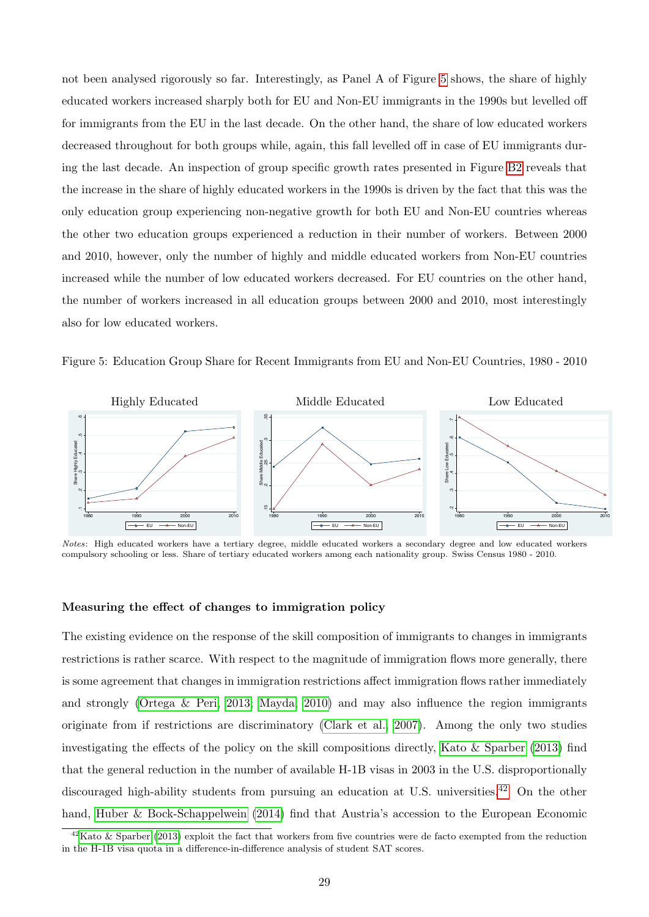not been analysed rigorously so far. Interestingly, as Panel A of Figure [5](#page-28-0) shows, the share of highly educated workers increased sharply both for EU and Non-EU immigrants in the 1990s but levelled off for immigrants from the EU in the last decade. On the other hand, the share of low educated workers decreased throughout for both groups while, again, this fall levelled off in case of EU immigrants during the last decade. An inspection of group specific growth rates presented in Figure [B2](#page-49-0) reveals that the increase in the share of highly educated workers in the 1990s is driven by the fact that this was the only education group experiencing non-negative growth for both EU and Non-EU countries whereas the other two education groups experienced a reduction in their number of workers. Between 2000 and 2010, however, only the number of highly and middle educated workers from Non-EU countries increased while the number of low educated workers decreased. For EU countries on the other hand, the number of workers increased in all education groups between 2000 and 2010, most interestingly also for low educated workers.

<span id="page-28-0"></span>Figure 5: Education Group Share for Recent Immigrants from EU and Non-EU Countries, 1980 - 2010



Notes: High educated workers have a tertiary degree, middle educated workers a secondary degree and low educated workers compulsory schooling or less. Share of tertiary educated workers among each nationality group. Swiss Census 1980 - 2010.

#### Measuring the effect of changes to immigration policy

The existing evidence on the response of the skill composition of immigrants to changes in immigrants restrictions is rather scarce. With respect to the magnitude of immigration flows more generally, there is some agreement that changes in immigration restrictions affect immigration flows rather immediately and strongly [\(Ortega & Peri, 2013;](#page-41-3) [Mayda, 2010\)](#page-40-4) and may also influence the region immigrants originate from if restrictions are discriminatory [\(Clark et al., 2007\)](#page-40-12). Among the only two studies investigating the effects of the policy on the skill compositions directly, [Kato & Sparber](#page-40-10) [\(2013\)](#page-40-10) find that the general reduction in the number of available H-1B visas in 2003 in the U.S. disproportionally discouraged high-ability students from pursuing an education at U.S. universities.<sup>[42](#page-0-0)</sup> On the other hand, [Huber & Bock-Schappelwein](#page-40-11) [\(2014\)](#page-40-11) find that Austria's accession to the European Economic

 $^{42}$ [Kato & Sparber](#page-40-10) [\(2013\)](#page-40-10) exploit the fact that workers from five countries were de facto exempted from the reduction in the H-1B visa quota in a difference-in-difference analysis of student SAT scores.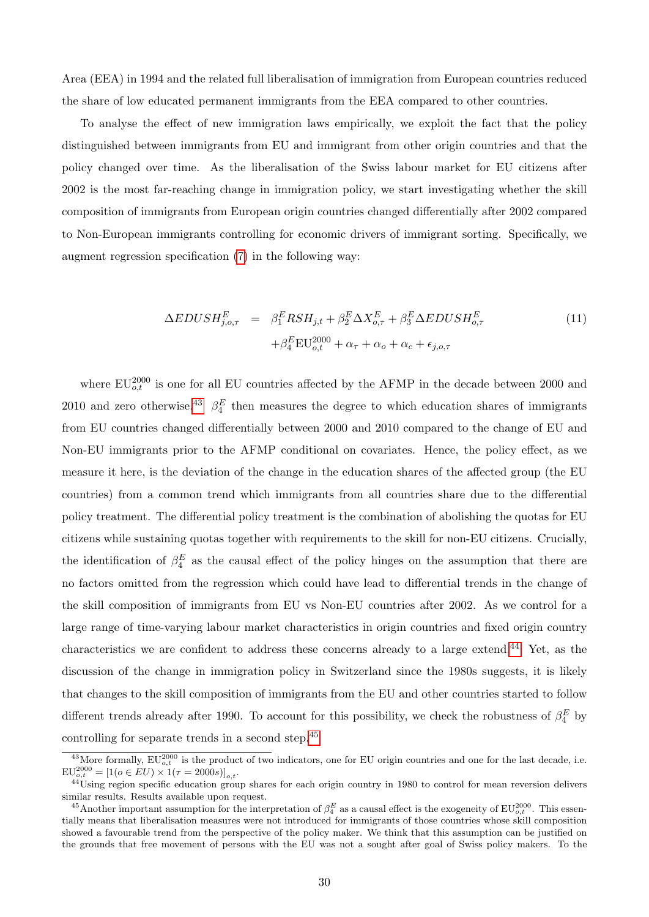Area (EEA) in 1994 and the related full liberalisation of immigration from European countries reduced the share of low educated permanent immigrants from the EEA compared to other countries.

To analyse the effect of new immigration laws empirically, we exploit the fact that the policy distinguished between immigrants from EU and immigrant from other origin countries and that the policy changed over time. As the liberalisation of the Swiss labour market for EU citizens after 2002 is the most far-reaching change in immigration policy, we start investigating whether the skill composition of immigrants from European origin countries changed differentially after 2002 compared to Non-European immigrants controlling for economic drivers of immigrant sorting. Specifically, we augment regression specification [\(7\)](#page-9-2) in the following way:

<span id="page-29-0"></span>
$$
\Delta EDUSH_{j,o,\tau}^{E} = \beta_1^{E} RSH_{j,t} + \beta_2^{E} \Delta X_{o,\tau}^{E} + \beta_3^{E} \Delta EDUSH_{o,\tau}^{E}
$$
  
+
$$
\beta_4^{E} EU_{o,t}^{2000} + \alpha_\tau + \alpha_o + \alpha_c + \epsilon_{j,o,\tau}
$$
 (11)

where  $EU_{o,t}^{2000}$  is one for all EU countries affected by the AFMP in the decade between 2000 and 2010 and zero otherwise.<sup>[43](#page-0-0)</sup>  $\beta_4^E$  then measures the degree to which education shares of immigrants from EU countries changed differentially between 2000 and 2010 compared to the change of EU and Non-EU immigrants prior to the AFMP conditional on covariates. Hence, the policy effect, as we measure it here, is the deviation of the change in the education shares of the affected group (the EU countries) from a common trend which immigrants from all countries share due to the differential policy treatment. The differential policy treatment is the combination of abolishing the quotas for EU citizens while sustaining quotas together with requirements to the skill for non-EU citizens. Crucially, the identification of  $\beta_4^E$  as the causal effect of the policy hinges on the assumption that there are no factors omitted from the regression which could have lead to differential trends in the change of the skill composition of immigrants from EU vs Non-EU countries after 2002. As we control for a large range of time-varying labour market characteristics in origin countries and fixed origin country characteristics we are confident to address these concerns already to a large extend.<sup>[44](#page-0-0)</sup> Yet, as the discussion of the change in immigration policy in Switzerland since the 1980s suggests, it is likely that changes to the skill composition of immigrants from the EU and other countries started to follow different trends already after 1990. To account for this possibility, we check the robustness of  $\beta_4^E$  by controlling for separate trends in a second step.[45](#page-0-0)

<sup>&</sup>lt;sup>43</sup>More formally,  $EU_{o,t}^{2000}$  is the product of two indicators, one for EU origin countries and one for the last decade, i.e.  $EU_{o,t}^{2000} = [1(o \in EU) \times 1(\tau = 2000s)]_{o,t}.$ 

<sup>&</sup>lt;sup>44</sup>Using region specific education group shares for each origin country in 1980 to control for mean reversion delivers similar results. Results available upon request.

<sup>&</sup>lt;sup>45</sup>Another important assumption for the interpretation of  $\beta_4^E$  as a causal effect is the exogeneity of  $EU_{o,t}^{2000}$ . This essentially means that liberalisation measures were not introduced for immigrants of those countries whose skill composition showed a favourable trend from the perspective of the policy maker. We think that this assumption can be justified on the grounds that free movement of persons with the EU was not a sought after goal of Swiss policy makers. To the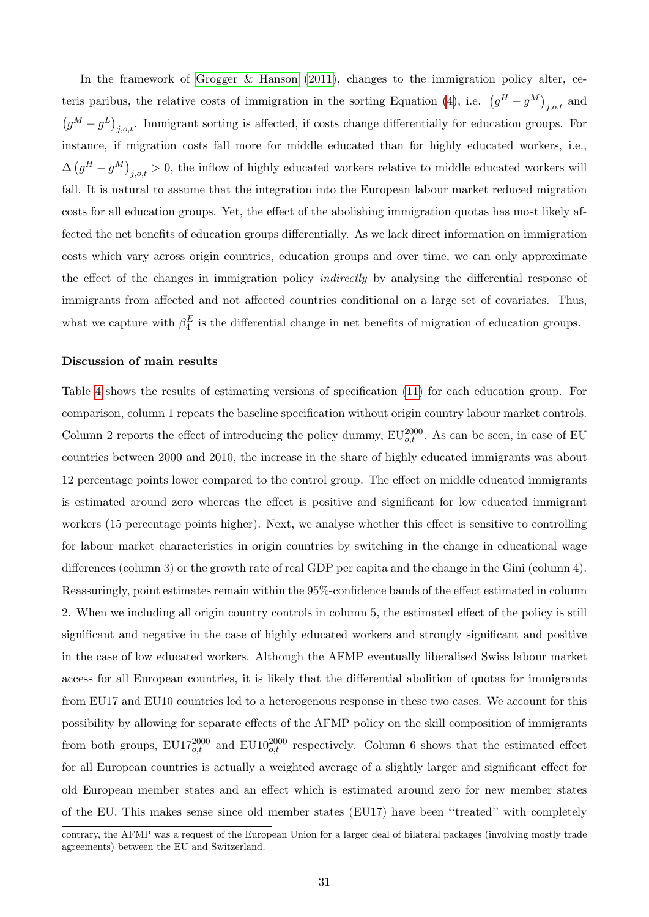In the framework of [Grogger & Hanson](#page-40-0) [\(2011\)](#page-40-0), changes to the immigration policy alter, ce-teris paribus, the relative costs of immigration in the sorting Equation [\(4\)](#page-8-0), i.e.  $(g^H - g^M)_{j,o,t}$  and  $(g^M - g^L)_{j,o,t}$ . Immigrant sorting is affected, if costs change differentially for education groups. For instance, if migration costs fall more for middle educated than for highly educated workers, i.e.,  $\Delta \left( g^H - g^M \right)_{j,o,t} > 0$ , the inflow of highly educated workers relative to middle educated workers will fall. It is natural to assume that the integration into the European labour market reduced migration costs for all education groups. Yet, the effect of the abolishing immigration quotas has most likely affected the net benefits of education groups differentially. As we lack direct information on immigration costs which vary across origin countries, education groups and over time, we can only approximate the effect of the changes in immigration policy indirectly by analysing the differential response of immigrants from affected and not affected countries conditional on a large set of covariates. Thus, what we capture with  $\beta_4^E$  is the differential change in net benefits of migration of education groups.

#### Discussion of main results

Table [4](#page-32-0) shows the results of estimating versions of specification [\(11\)](#page-29-0) for each education group. For comparison, column 1 repeats the baseline specification without origin country labour market controls. Column 2 reports the effect of introducing the policy dummy,  $EU_{o,t}^{2000}$ . As can be seen, in case of EU countries between 2000 and 2010, the increase in the share of highly educated immigrants was about 12 percentage points lower compared to the control group. The effect on middle educated immigrants is estimated around zero whereas the effect is positive and significant for low educated immigrant workers (15 percentage points higher). Next, we analyse whether this effect is sensitive to controlling for labour market characteristics in origin countries by switching in the change in educational wage differences (column 3) or the growth rate of real GDP per capita and the change in the Gini (column 4). Reassuringly, point estimates remain within the 95%-confidence bands of the effect estimated in column 2. When we including all origin country controls in column 5, the estimated effect of the policy is still significant and negative in the case of highly educated workers and strongly significant and positive in the case of low educated workers. Although the AFMP eventually liberalised Swiss labour market access for all European countries, it is likely that the differential abolition of quotas for immigrants from EU17 and EU10 countries led to a heterogenous response in these two cases. We account for this possibility by allowing for separate effects of the AFMP policy on the skill composition of immigrants from both groups,  $EU17_{o,t}^{2000}$  and  $EU10_{o,t}^{2000}$  respectively. Column 6 shows that the estimated effect for all European countries is actually a weighted average of a slightly larger and significant effect for old European member states and an effect which is estimated around zero for new member states of the EU. This makes sense since old member states (EU17) have been ''treated'' with completely

contrary, the AFMP was a request of the European Union for a larger deal of bilateral packages (involving mostly trade agreements) between the EU and Switzerland.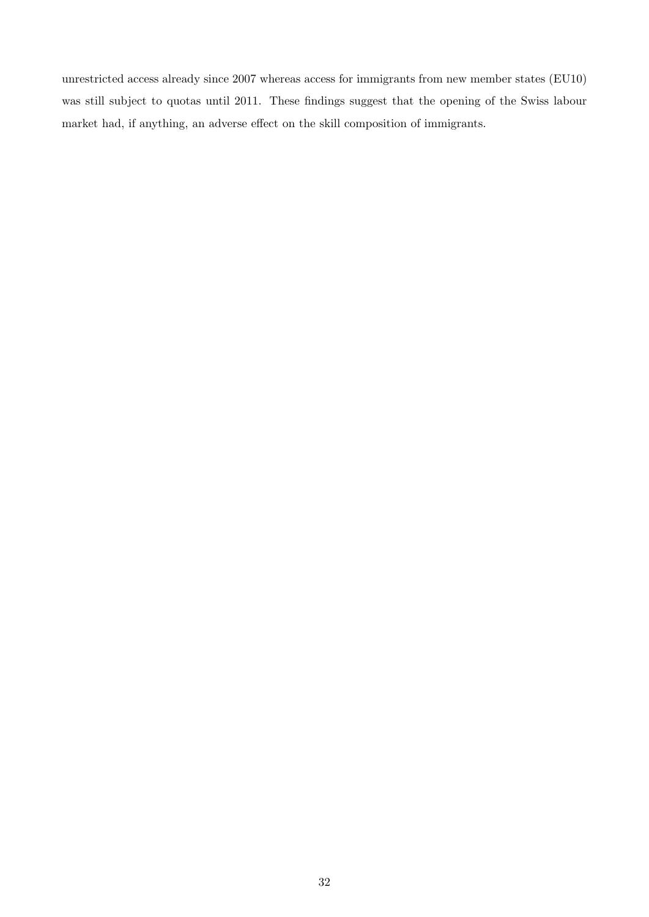unrestricted access already since 2007 whereas access for immigrants from new member states (EU10) was still subject to quotas until 2011. These findings suggest that the opening of the Swiss labour market had, if anything, an adverse effect on the skill composition of immigrants.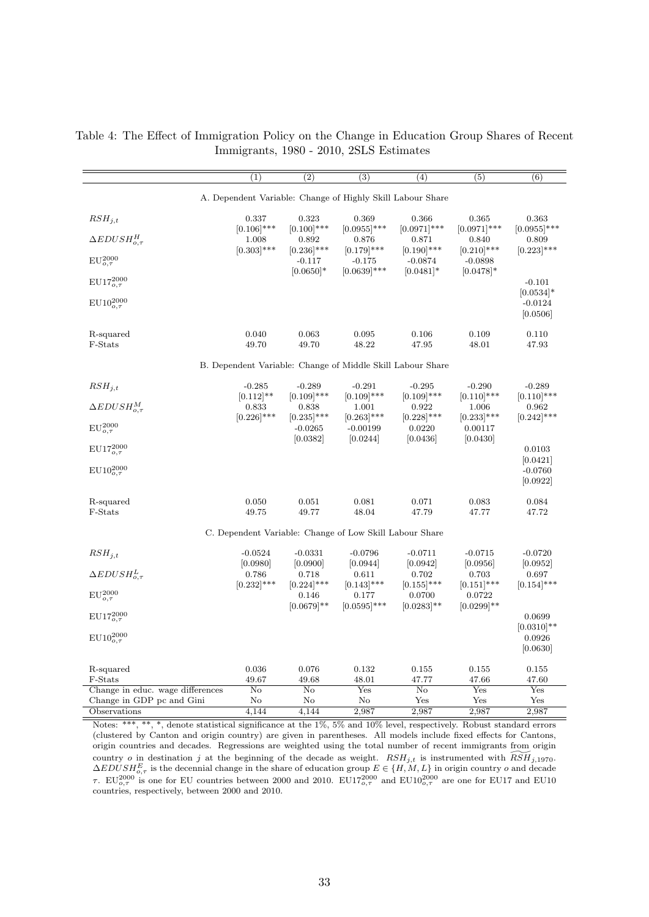|                                             | (1)                    | $\overline{(2)}$                       | $\overline{(3)}$                                           | $\left( 4\right)$       | $\overline{(5)}$                     | (6)                                  |
|---------------------------------------------|------------------------|----------------------------------------|------------------------------------------------------------|-------------------------|--------------------------------------|--------------------------------------|
|                                             |                        |                                        | A. Dependent Variable: Change of Highly Skill Labour Share |                         |                                      |                                      |
| $RSH_{j,t}$                                 | 0.337<br>$[0.106]$ *** | 0.323<br>$[0.100]$ ***                 | 0.369<br>$[0.0955]$ ***                                    | 0.366<br>$[0.0971]$ *** | 0.365<br>$[0.0971]$ ***              | 0.363<br>$[0.0955]$ ***              |
| $\Delta EDUSH_{o,\tau}^H$                   | 1.008<br>$[0.303]$ *** | 0.892<br>$[0.236]$ ***                 | 0.876<br>$[0.179]$ ***                                     | 0.871<br>$[0.190]$ ***  | 0.840<br>$[0.210]$ ***               | 0.809<br>$[0.223]$ ***               |
| $EU_{o,\tau}^{2000}$                        |                        | $-0.117$                               | $-0.175$                                                   | $-0.0874$               | $-0.0898$                            |                                      |
| $EU17_{o,\tau}^{2000}$                      |                        | $[0.0650]$ *                           | $[0.0639]$ ***                                             | $[0.0481]$ *            | $[0.0478]$ *                         | $-0.101$                             |
| $EU10_{o,\tau}^{2000}$                      |                        |                                        |                                                            |                         |                                      | $[0.0534]*$<br>$-0.0124$<br>[0.0506] |
| R-squared<br>F-Stats                        | 0.040<br>49.70         | 0.063<br>49.70                         | 0.095<br>48.22                                             | 0.106<br>47.95          | 0.109<br>48.01                       | 0.110<br>47.93                       |
|                                             |                        |                                        | B. Dependent Variable: Change of Middle Skill Labour Share |                         |                                      |                                      |
| $RSH_{j,t}$                                 | $-0.285$               | $-0.289$                               | $-0.291$                                                   | $-0.295$                | $-0.290$                             | $-0.289$                             |
| $\Delta EDUSH_{o.\tau}^M$                   | $[0.112]$ **<br>0.833  | $[0.109]$ ***<br>0.838                 | $[0.109]$ ***<br>1.001                                     | $[0.109]$ ***<br>0.922  | $[0.110]$ ***<br>1.006               | $[0.110]$ ***<br>0.962               |
| $EU_{o,\tau}^{2000}$                        | $[0.226]$ ***          | $[0.235]$ ***<br>$-0.0265$<br>[0.0382] | $[0.263]$ ***<br>$-0.00199$                                | $[0.228]$ ***<br>0.0220 | $[0.233]$ ***<br>0.00117<br>[0.0430] | $[0.242]$ ***                        |
| $EU17_{o,\tau}^{2000}$                      |                        |                                        | 0.0244                                                     | [0.0436]                |                                      | 0.0103                               |
| $EU10_{o,\tau}^{2000}$                      |                        |                                        |                                                            |                         |                                      | [0.0421]<br>$-0.0760$<br>[0.0922]    |
| R-squared<br>F-Stats                        | 0.050<br>49.75         | 0.051<br>49.77                         | 0.081<br>48.04                                             | 0.071<br>47.79          | 0.083<br>47.77                       | 0.084<br>47.72                       |
|                                             |                        |                                        | C. Dependent Variable: Change of Low Skill Labour Share    |                         |                                      |                                      |
| $RSH_{j,t}$                                 | $-0.0524$              | $-0.0331$                              | $-0.0796$                                                  | $-0.0711$               | $-0.0715$                            | $-0.0720$                            |
| $\Delta EDUSH_{o.\tau}^L$                   | [0.0980]<br>0.786      | [0.0900]<br>0.718                      | [0.0944]<br>0.611                                          | [0.0942]<br>0.702       | [0.0956]<br>0.703                    | [0.0952]<br>0.697                    |
| $EU_{o,\tau}^{2000}$                        | $[0.232]$ ***          | $[0.224]$ ***<br>0.146                 | $[0.143]$ ***<br>0.177                                     | $[0.155]$ ***<br>0.0700 | $[0.151]$ ***<br>0.0722              | $[0.154]$ ***                        |
| $EU17_{o,\tau}^{2000}$                      |                        | $[0.0679]$ **                          | $[0.0595]***$                                              | $[0.0283]$ **           | $[0.0299]$ **                        | 0.0699                               |
| $EU10_{o,\tau}^{2000}$                      |                        |                                        |                                                            |                         |                                      | $[0.0310]$ **<br>0.0926<br>[0.0630]  |
| R-squared                                   | 0.036                  | 0.076                                  | 0.132                                                      | 0.155                   | 0.155                                | 0.155                                |
| F-Stats<br>Change in educ. wage differences | 49.67<br>No            | 49.68<br>No                            | 48.01<br>Yes                                               | 47.77<br>No             | 47.66<br>Yes                         | 47.60<br>Yes                         |
| Change in GDP pc and Gini                   | No                     | No                                     | No                                                         | Yes                     | Yes                                  | Yes                                  |
| Observations                                | 4,144                  | 4,144                                  | 2,987                                                      | 2,987                   | 2,987                                | 2,987                                |

<span id="page-32-0"></span>Table 4: The Effect of Immigration Policy on the Change in Education Group Shares of Recent Immigrants, 1980 - 2010, 2SLS Estimates

Notes: \*\*\*, \*\*, \*, denote statistical significance at the 1%, 5% and 10% level, respectively. Robust standard errors (clustered by Canton and origin country) are given in parentheses. All models include fixed effects for Cantons, origin countries and decades. Regressions are weighted using the total number of recent immigrants from origin country o in destination j at the beginning of the decade as weight.  $RSH_{j,t}$  is instrumented with  $\widetilde{RSH}_{j,1970}$ .  $\Delta EDUSH_{\mathcal{O}_{\tau}}^E$  is the decennial change in the share of education group  $E \in \{H, M, L\}$  in origin country o and decade τ. EU<sup>2</sup><sub>0,7</sub> is one for EU countries between 2000 and 2010. EU17<sup>2000</sup> and EU10<sup>2000</sup> are one for EU17 and EU10 countries, respectively, between 2000 and 2010.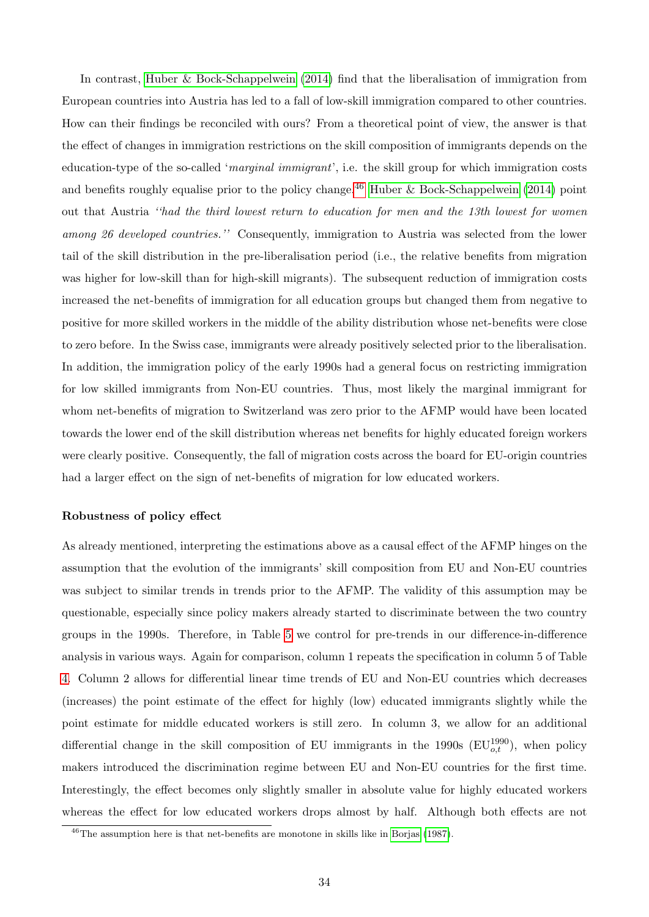In contrast, [Huber & Bock-Schappelwein](#page-40-11) [\(2014\)](#page-40-11) find that the liberalisation of immigration from European countries into Austria has led to a fall of low-skill immigration compared to other countries. How can their findings be reconciled with ours? From a theoretical point of view, the answer is that the effect of changes in immigration restrictions on the skill composition of immigrants depends on the education-type of the so-called 'marginal immigrant', i.e. the skill group for which immigration costs and benefits roughly equalise prior to the policy change.<sup>[46](#page-0-0)</sup> [Huber & Bock-Schappelwein](#page-40-11) [\(2014\)](#page-40-11) point out that Austria ''had the third lowest return to education for men and the 13th lowest for women among 26 developed countries." Consequently, immigration to Austria was selected from the lower tail of the skill distribution in the pre-liberalisation period (i.e., the relative benefits from migration was higher for low-skill than for high-skill migrants). The subsequent reduction of immigration costs increased the net-benefits of immigration for all education groups but changed them from negative to positive for more skilled workers in the middle of the ability distribution whose net-benefits were close to zero before. In the Swiss case, immigrants were already positively selected prior to the liberalisation. In addition, the immigration policy of the early 1990s had a general focus on restricting immigration for low skilled immigrants from Non-EU countries. Thus, most likely the marginal immigrant for whom net-benefits of migration to Switzerland was zero prior to the AFMP would have been located towards the lower end of the skill distribution whereas net benefits for highly educated foreign workers were clearly positive. Consequently, the fall of migration costs across the board for EU-origin countries had a larger effect on the sign of net-benefits of migration for low educated workers.

#### Robustness of policy effect

As already mentioned, interpreting the estimations above as a causal effect of the AFMP hinges on the assumption that the evolution of the immigrants' skill composition from EU and Non-EU countries was subject to similar trends in trends prior to the AFMP. The validity of this assumption may be questionable, especially since policy makers already started to discriminate between the two country groups in the 1990s. Therefore, in Table [5](#page-35-0) we control for pre-trends in our difference-in-difference analysis in various ways. Again for comparison, column 1 repeats the specification in column 5 of Table [4.](#page-32-0) Column 2 allows for differential linear time trends of EU and Non-EU countries which decreases (increases) the point estimate of the effect for highly (low) educated immigrants slightly while the point estimate for middle educated workers is still zero. In column 3, we allow for an additional differential change in the skill composition of EU immigrants in the 1990s  $(EU_{o,t}^{1990})$ , when policy makers introduced the discrimination regime between EU and Non-EU countries for the first time. Interestingly, the effect becomes only slightly smaller in absolute value for highly educated workers whereas the effect for low educated workers drops almost by half. Although both effects are not

<sup>46</sup>The assumption here is that net-benefits are monotone in skills like in [Borjas](#page-39-7) [\(1987\)](#page-39-7).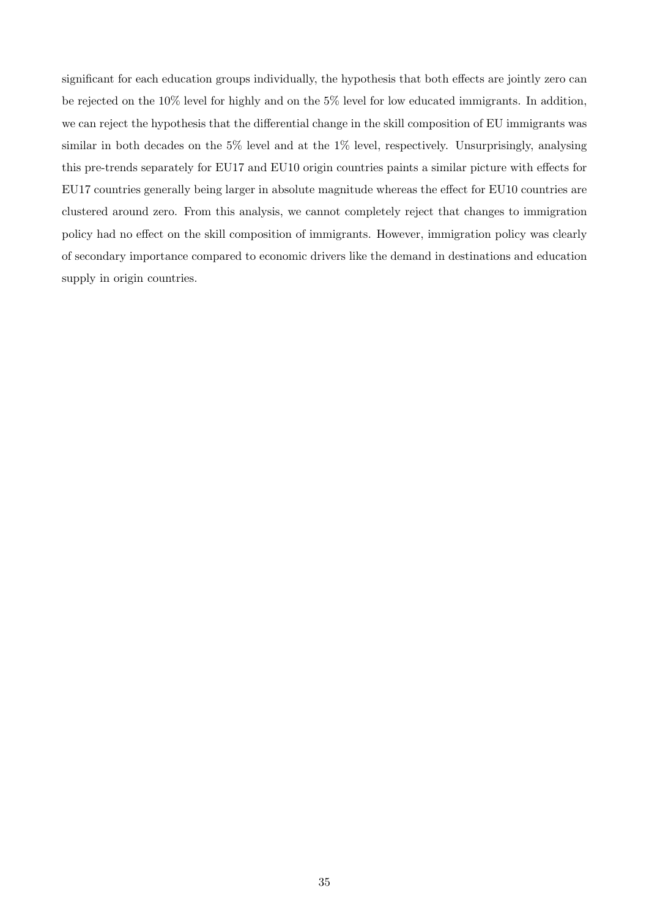significant for each education groups individually, the hypothesis that both effects are jointly zero can be rejected on the 10% level for highly and on the 5% level for low educated immigrants. In addition, we can reject the hypothesis that the differential change in the skill composition of EU immigrants was similar in both decades on the  $5\%$  level and at the  $1\%$  level, respectively. Unsurprisingly, analysing this pre-trends separately for EU17 and EU10 origin countries paints a similar picture with effects for EU17 countries generally being larger in absolute magnitude whereas the effect for EU10 countries are clustered around zero. From this analysis, we cannot completely reject that changes to immigration policy had no effect on the skill composition of immigrants. However, immigration policy was clearly of secondary importance compared to economic drivers like the demand in destinations and education supply in origin countries.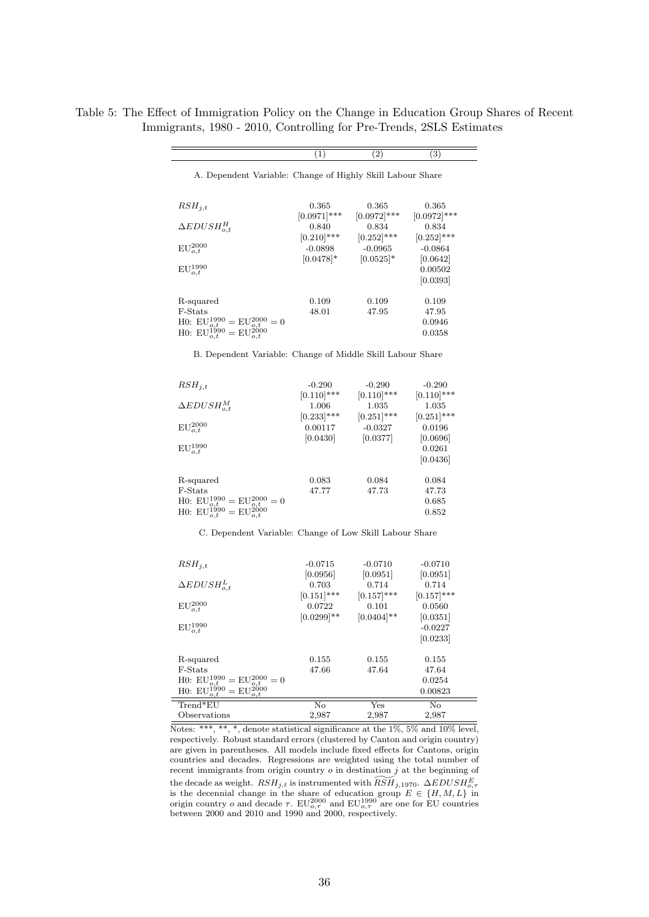<span id="page-35-0"></span>Table 5: The Effect of Immigration Policy on the Change in Education Group Shares of Recent Immigrants, 1980 - 2010, Controlling for Pre-Trends, 2SLS Estimates

|                                                                                                                                 | (1)                        | (2)                        | (3)                        |
|---------------------------------------------------------------------------------------------------------------------------------|----------------------------|----------------------------|----------------------------|
| A. Dependent Variable: Change of Highly Skill Labour Share                                                                      |                            |                            |                            |
| $RSH_{i,t}$                                                                                                                     | 0.365                      | 0.365                      | 0.365                      |
| $\Delta EDUSH_{o.t}^H$                                                                                                          | $[0.0971]$ ***<br>0.840    | $[0.0972]$ ***<br>0.834    | $[0.0972]$ ***<br>0.834    |
| $EU_{o,t}^{2000}$                                                                                                               | $[0.210]$ ***<br>$-0.0898$ | $[0.252]$ ***<br>$-0.0965$ | $[0.252]$ ***<br>$-0.0864$ |
|                                                                                                                                 | $[0.0478]$ *               | $ 0.0525 $ *               | 0.0642                     |
| $EU_{o,t}^{1990}$                                                                                                               |                            |                            | 0.00502<br> 0.0393         |
| R-squared                                                                                                                       | 0.109                      | 0.109                      | 0.109                      |
| F-Stats                                                                                                                         | 48.01                      | 47.95                      | 47.95                      |
| H0: $EU_{o,t}^{1990} = EU_{o,t}^{2000} = 0$<br>H0: $EU_{o,t}^{1990} = EU_{o,t}^{2000}$                                          |                            |                            | 0.0946<br>0.0358           |
| B. Dependent Variable: Change of Middle Skill Labour Share                                                                      |                            |                            |                            |
| $RSH_{i,t}$                                                                                                                     | $-0.290$                   | $-0.290$                   | $-0.290$                   |
|                                                                                                                                 | $[0.110]$ ***              | $[0.110]$ ***              | $[0.110]$ ***              |
| $\Delta EDUSH_{o,t}$                                                                                                            | 1.006                      | 1.035                      | 1.035                      |
|                                                                                                                                 | $[0.233]$ ***<br>0.00117   | $[0.251]$ ***              | $(0.251 ***$               |
| ${\rm EU}_{o,t}^{2000}$                                                                                                         | 0.0430                     | $-0.0327$<br>[0.0377]      | 0.0196<br> 0.0696          |
| $\text{EU}^{1990}_{o,t}$                                                                                                        |                            |                            | 0.0261                     |
|                                                                                                                                 |                            |                            | 0.0436                     |
| R-squared                                                                                                                       | 0.083                      | 0.084                      | 0.084                      |
| $_{\rm F-Stats}$                                                                                                                | 47.77                      | 47.73                      | 47.73                      |
| H0: $EU_{q,t_{00}}^{1990} = EU_{q,t_{00}}^{2000} = 0$<br>H0: $EU_{o,t}^{1000} = EU_{o,t}^{0,t}$                                 |                            |                            | 0.685<br>0.852             |
| C. Dependent Variable: Change of Low Skill Labour Share                                                                         |                            |                            |                            |
| $RSH_{i,t}$                                                                                                                     | $-0.0715$                  | $-0.0710$                  | $-0.0710$                  |
|                                                                                                                                 | 0.0956                     | 0.0951                     | 0.0951                     |
| $\Delta EDUSH_{o,t}$                                                                                                            | 0.703                      | 0.714                      | 0.714                      |
|                                                                                                                                 | $[0.151]$ ***              | $[0.157]$ ***              | $[0.157]$ ***              |
| $EU_{o,t}^{2000}$                                                                                                               | 0.0722                     | 0.101                      | 0.0560                     |
|                                                                                                                                 | $[0.0299]$ **              | $[0.0404]$ **              | 0.0351 <br>$-0.0227$       |
| ${\rm EU}_{o,t}^{1990}$                                                                                                         |                            |                            | [0.0233]                   |
| R-squared                                                                                                                       | 0.155                      | 0.155                      | 0.155                      |
| F-Stats                                                                                                                         | 47.66                      | 47.64                      | 47.64                      |
| $=$ EU <sub>2</sub> <sup>2000</sup> $=$ 0<br>H0: $\mathbf{EU}^{1990}_{o,t}$ H0: $\mathbf{EU}^{1990}_{o,t}$<br>$\frac{6}{12000}$ |                            |                            | 0.0254                     |
| : E<br>o.t                                                                                                                      |                            |                            | 0.00823                    |
| $\mathrm{Trend}^*\mathrm{EU}$                                                                                                   | No                         | $_{\rm Yes}$               | $\overline{\text{No}}$     |
| Observations<br>***, **, *, denote statistical significance at the $1\%$ , $5\%$ and $10\%$ level                               | 2,987                      | 2,987                      | $^{2,987}$                 |

Notes: \*\*\*, \*\*, \*, denote statistical significance at the 1%, 5% and 10% level, respectively. Robust standard errors (clustered by Canton and origin country) are given in parentheses. All models include fixed effects for Cantons, origin countries and decades. Regressions are weighted using the total number of recent immigrants from origin country  $o$  in destination  $j$  at the beginning of the decade as weight.  $RSH_{j,t}$  is instrumented with  $\widetilde{RSH}_{j,1970}$ .  $\Delta EDUSH_{0,\tau}$  is the decennial change in the share of education group  $E \in \{H, M, L\}$  in origin country *o* and decade  $\tau$ . EU<sup>2</sup><sub>0,7</sub><sup>0</sup> and EU<sup>19<sub>0</sub>,7</sub><sup>0</sup> are one for EU countries between 2000 and 2010 and 1990 and 2000, respectively.</sup>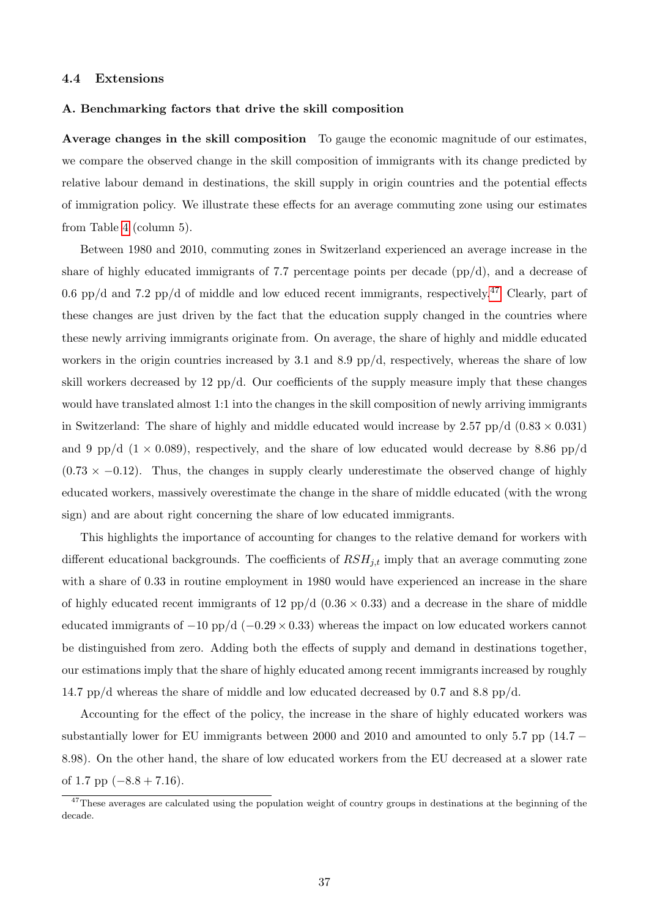### <span id="page-36-0"></span>4.4 Extensions

#### A. Benchmarking factors that drive the skill composition

Average changes in the skill composition To gauge the economic magnitude of our estimates, we compare the observed change in the skill composition of immigrants with its change predicted by relative labour demand in destinations, the skill supply in origin countries and the potential effects of immigration policy. We illustrate these effects for an average commuting zone using our estimates from Table [4](#page-32-0) (column 5).

Between 1980 and 2010, commuting zones in Switzerland experienced an average increase in the share of highly educated immigrants of 7.7 percentage points per decade (pp/d), and a decrease of 0.6 pp/d and 7.2 pp/d of middle and low educed recent immigrants, respectively.<sup>[47](#page-0-0)</sup> Clearly, part of these changes are just driven by the fact that the education supply changed in the countries where these newly arriving immigrants originate from. On average, the share of highly and middle educated workers in the origin countries increased by 3.1 and 8.9 pp/d, respectively, whereas the share of low skill workers decreased by 12 pp/d. Our coefficients of the supply measure imply that these changes would have translated almost 1:1 into the changes in the skill composition of newly arriving immigrants in Switzerland: The share of highly and middle educated would increase by  $2.57$  pp/d  $(0.83 \times 0.031)$ and 9 pp/d  $(1 \times 0.089)$ , respectively, and the share of low educated would decrease by 8.86 pp/d  $(0.73 \times -0.12)$ . Thus, the changes in supply clearly underestimate the observed change of highly educated workers, massively overestimate the change in the share of middle educated (with the wrong sign) and are about right concerning the share of low educated immigrants.

This highlights the importance of accounting for changes to the relative demand for workers with different educational backgrounds. The coefficients of  $RSH_{j,t}$  imply that an average commuting zone with a share of 0.33 in routine employment in 1980 would have experienced an increase in the share of highly educated recent immigrants of 12 pp/d  $(0.36 \times 0.33)$  and a decrease in the share of middle educated immigrants of  $-10$  pp/d ( $-0.29 \times 0.33$ ) whereas the impact on low educated workers cannot be distinguished from zero. Adding both the effects of supply and demand in destinations together, our estimations imply that the share of highly educated among recent immigrants increased by roughly 14.7 pp/d whereas the share of middle and low educated decreased by 0.7 and 8.8 pp/d.

Accounting for the effect of the policy, the increase in the share of highly educated workers was substantially lower for EU immigrants between 2000 and 2010 and amounted to only 5.7 pp (14.7  $-$ 8.98). On the other hand, the share of low educated workers from the EU decreased at a slower rate of 1.7 pp  $(-8.8 + 7.16)$ .

<sup>&</sup>lt;sup>47</sup>These averages are calculated using the population weight of country groups in destinations at the beginning of the decade.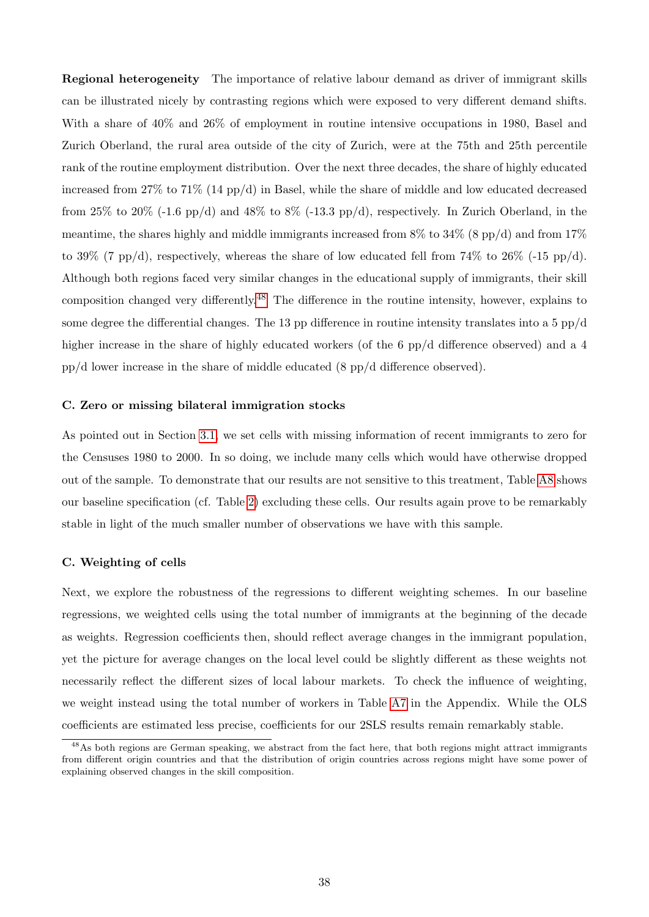Regional heterogeneity The importance of relative labour demand as driver of immigrant skills can be illustrated nicely by contrasting regions which were exposed to very different demand shifts. With a share of 40% and 26% of employment in routine intensive occupations in 1980, Basel and Zurich Oberland, the rural area outside of the city of Zurich, were at the 75th and 25th percentile rank of the routine employment distribution. Over the next three decades, the share of highly educated increased from 27% to 71% (14 pp/d) in Basel, while the share of middle and low educated decreased from 25% to 20% (-1.6 pp/d) and 48% to 8% (-13.3 pp/d), respectively. In Zurich Oberland, in the meantime, the shares highly and middle immigrants increased from  $8\%$  to  $34\%$  (8 pp/d) and from  $17\%$ to 39% (7 pp/d), respectively, whereas the share of low educated fell from  $74\%$  to  $26\%$  (-15 pp/d). Although both regions faced very similar changes in the educational supply of immigrants, their skill composition changed very differently.[48](#page-0-0) The difference in the routine intensity, however, explains to some degree the differential changes. The 13 pp difference in routine intensity translates into a 5  $pp/d$ higher increase in the share of highly educated workers (of the 6 pp/d difference observed) and a 4 pp/d lower increase in the share of middle educated (8 pp/d difference observed).

#### <span id="page-37-0"></span>C. Zero or missing bilateral immigration stocks

As pointed out in Section [3.1,](#page-10-1) we set cells with missing information of recent immigrants to zero for the Censuses 1980 to 2000. In so doing, we include many cells which would have otherwise dropped out of the sample. To demonstrate that our results are not sensitive to this treatment, Table [A8](#page-47-0) shows our baseline specification (cf. Table [2\)](#page-23-0) excluding these cells. Our results again prove to be remarkably stable in light of the much smaller number of observations we have with this sample.

#### C. Weighting of cells

Next, we explore the robustness of the regressions to different weighting schemes. In our baseline regressions, we weighted cells using the total number of immigrants at the beginning of the decade as weights. Regression coefficients then, should reflect average changes in the immigrant population, yet the picture for average changes on the local level could be slightly different as these weights not necessarily reflect the different sizes of local labour markets. To check the influence of weighting, we weight instead using the total number of workers in Table [A7](#page-46-0) in the Appendix. While the OLS coefficients are estimated less precise, coefficients for our 2SLS results remain remarkably stable.

<sup>&</sup>lt;sup>48</sup>As both regions are German speaking, we abstract from the fact here, that both regions might attract immigrants from different origin countries and that the distribution of origin countries across regions might have some power of explaining observed changes in the skill composition.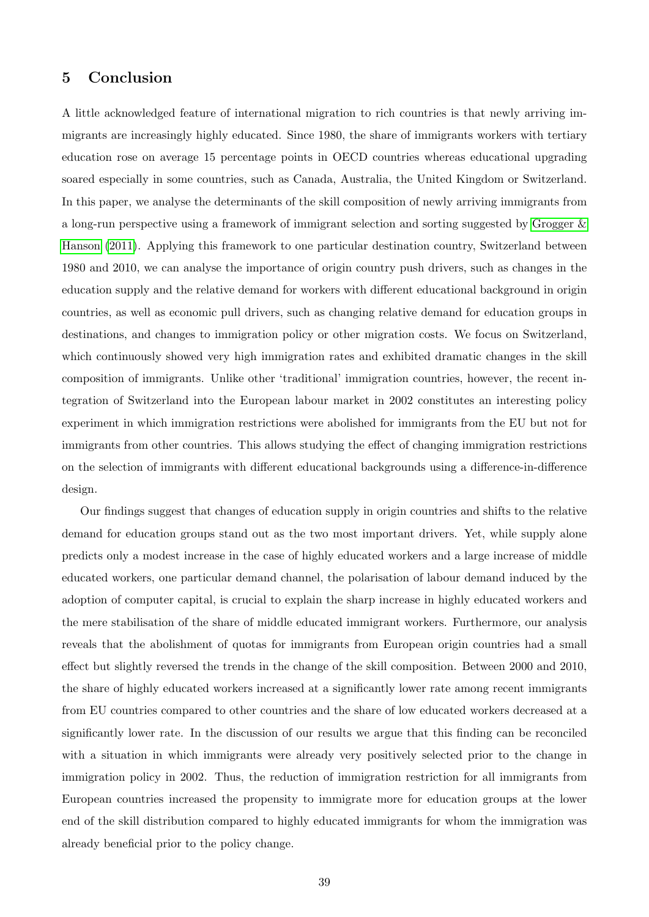# <span id="page-38-0"></span>5 Conclusion

A little acknowledged feature of international migration to rich countries is that newly arriving immigrants are increasingly highly educated. Since 1980, the share of immigrants workers with tertiary education rose on average 15 percentage points in OECD countries whereas educational upgrading soared especially in some countries, such as Canada, Australia, the United Kingdom or Switzerland. In this paper, we analyse the determinants of the skill composition of newly arriving immigrants from a long-run perspective using a framework of immigrant selection and sorting suggested by [Grogger &](#page-40-0) [Hanson](#page-40-0) [\(2011\)](#page-40-0). Applying this framework to one particular destination country, Switzerland between 1980 and 2010, we can analyse the importance of origin country push drivers, such as changes in the education supply and the relative demand for workers with different educational background in origin countries, as well as economic pull drivers, such as changing relative demand for education groups in destinations, and changes to immigration policy or other migration costs. We focus on Switzerland, which continuously showed very high immigration rates and exhibited dramatic changes in the skill composition of immigrants. Unlike other 'traditional' immigration countries, however, the recent integration of Switzerland into the European labour market in 2002 constitutes an interesting policy experiment in which immigration restrictions were abolished for immigrants from the EU but not for immigrants from other countries. This allows studying the effect of changing immigration restrictions on the selection of immigrants with different educational backgrounds using a difference-in-difference design.

Our findings suggest that changes of education supply in origin countries and shifts to the relative demand for education groups stand out as the two most important drivers. Yet, while supply alone predicts only a modest increase in the case of highly educated workers and a large increase of middle educated workers, one particular demand channel, the polarisation of labour demand induced by the adoption of computer capital, is crucial to explain the sharp increase in highly educated workers and the mere stabilisation of the share of middle educated immigrant workers. Furthermore, our analysis reveals that the abolishment of quotas for immigrants from European origin countries had a small effect but slightly reversed the trends in the change of the skill composition. Between 2000 and 2010, the share of highly educated workers increased at a significantly lower rate among recent immigrants from EU countries compared to other countries and the share of low educated workers decreased at a significantly lower rate. In the discussion of our results we argue that this finding can be reconciled with a situation in which immigrants were already very positively selected prior to the change in immigration policy in 2002. Thus, the reduction of immigration restriction for all immigrants from European countries increased the propensity to immigrate more for education groups at the lower end of the skill distribution compared to highly educated immigrants for whom the immigration was already beneficial prior to the policy change.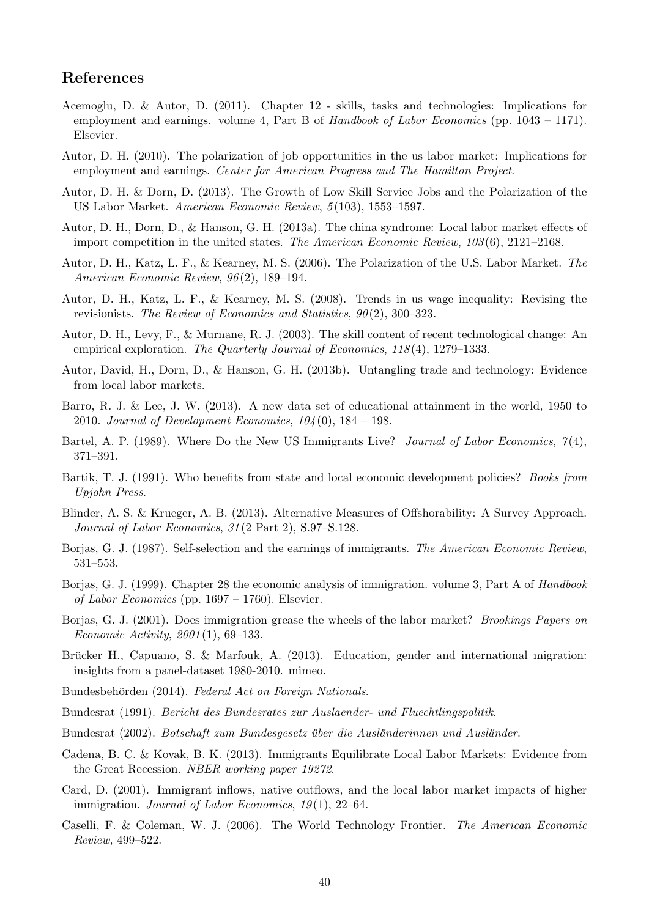# References

- <span id="page-39-2"></span>Acemoglu, D. & Autor, D. (2011). Chapter 12 - skills, tasks and technologies: Implications for employment and earnings. volume 4, Part B of Handbook of Labor Economics (pp. 1043 – 1171). Elsevier.
- <span id="page-39-17"></span>Autor, D. H. (2010). The polarization of job opportunities in the us labor market: Implications for employment and earnings. Center for American Progress and The Hamilton Project.
- <span id="page-39-1"></span>Autor, D. H. & Dorn, D. (2013). The Growth of Low Skill Service Jobs and the Polarization of the US Labor Market. American Economic Review, 5 (103), 1553–1597.
- <span id="page-39-13"></span>Autor, D. H., Dorn, D., & Hanson, G. H. (2013a). The china syndrome: Local labor market effects of import competition in the united states. The American Economic Review, 103 (6), 2121–2168.
- <span id="page-39-11"></span>Autor, D. H., Katz, L. F., & Kearney, M. S. (2006). The Polarization of the U.S. Labor Market. The American Economic Review, 96 (2), 189–194.
- <span id="page-39-12"></span>Autor, D. H., Katz, L. F., & Kearney, M. S. (2008). Trends in us wage inequality: Revising the revisionists. The Review of Economics and Statistics,  $90(2)$ , 300–323.
- <span id="page-39-10"></span>Autor, D. H., Levy, F., & Murnane, R. J. (2003). The skill content of recent technological change: An empirical exploration. The Quarterly Journal of Economics, 118(4), 1279–1333.
- <span id="page-39-5"></span>Autor, David, H., Dorn, D., & Hanson, G. H. (2013b). Untangling trade and technology: Evidence from local labor markets.
- <span id="page-39-15"></span>Barro, R. J. & Lee, J. W. (2013). A new data set of educational attainment in the world, 1950 to 2010. Journal of Development Economics,  $104(0)$ , 184 – 198.
- <span id="page-39-4"></span>Bartel, A. P. (1989). Where Do the New US Immigrants Live? Journal of Labor Economics,  $\gamma(4)$ , 371–391.
- <span id="page-39-14"></span>Bartik, T. J. (1991). Who benefits from state and local economic development policies? *Books from* Upjohn Press.
- <span id="page-39-19"></span>Blinder, A. S. & Krueger, A. B. (2013). Alternative Measures of Offshorability: A Survey Approach. Journal of Labor Economics, 31 (2 Part 2), S.97–S.128.
- <span id="page-39-7"></span>Borjas, G. J. (1987). Self-selection and the earnings of immigrants. The American Economic Review, 531–553.
- <span id="page-39-8"></span>Borjas, G. J. (1999). Chapter 28 the economic analysis of immigration. volume 3, Part A of Handbook of Labor Economics (pp.  $1697 - 1760$ ). Elsevier.
- <span id="page-39-9"></span>Borjas, G. J. (2001). Does immigration grease the wheels of the labor market? Brookings Papers on Economic Activity, 2001 (1), 69–133.
- <span id="page-39-0"></span>Brücker H., Capuano, S. & Marfouk, A. (2013). Education, gender and international migration: insights from a panel-dataset 1980-2010. mimeo.
- <span id="page-39-6"></span>Bundesbehörden (2014). Federal Act on Foreign Nationals.
- <span id="page-39-20"></span>Bundesrat (1991). Bericht des Bundesrates zur Auslaender- und Fluechtlingspolitik.
- <span id="page-39-21"></span>Bundesrat (2002). Botschaft zum Bundesgesetz über die Ausländerinnen und Ausländer.
- <span id="page-39-18"></span>Cadena, B. C. & Kovak, B. K. (2013). Immigrants Equilibrate Local Labor Markets: Evidence from the Great Recession. NBER working paper 19272.
- <span id="page-39-3"></span>Card, D. (2001). Immigrant inflows, native outflows, and the local labor market impacts of higher immigration. Journal of Labor Economics,  $19(1)$ ,  $22-64$ .
- <span id="page-39-16"></span>Caselli, F. & Coleman, W. J. (2006). The World Technology Frontier. The American Economic Review, 499–522.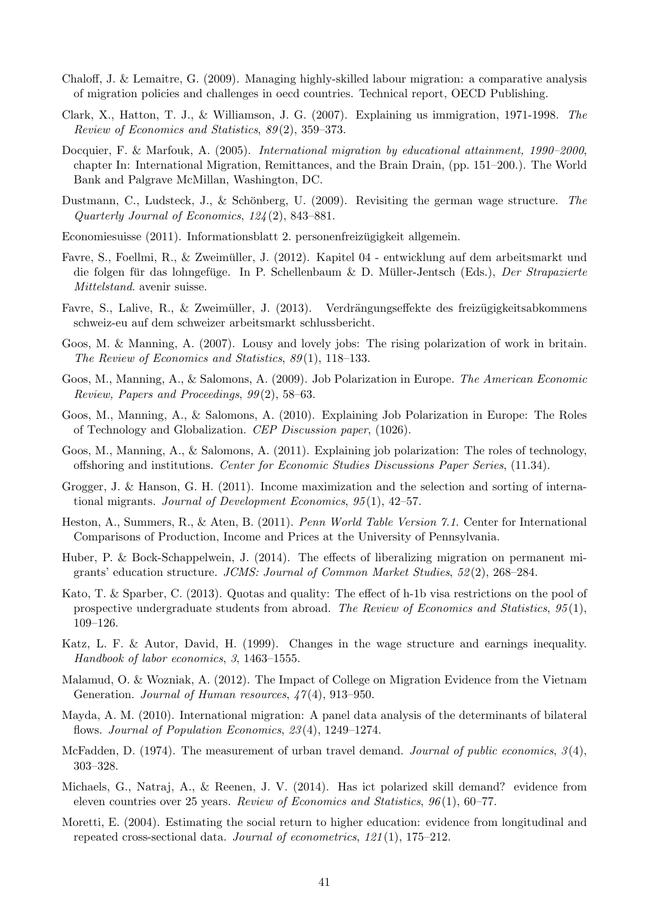- <span id="page-40-2"></span>Chaloff, J. & Lemaitre, G. (2009). Managing highly-skilled labour migration: a comparative analysis of migration policies and challenges in oecd countries. Technical report, OECD Publishing.
- <span id="page-40-12"></span>Clark, X., Hatton, T. J., & Williamson, J. G. (2007). Explaining us immigration, 1971-1998. The Review of Economics and Statistics, 89 (2), 359–373.
- <span id="page-40-1"></span>Docquier, F. & Marfouk, A. (2005). International migration by educational attainment, 1990–2000, chapter In: International Migration, Remittances, and the Brain Drain, (pp. 151–200.). The World Bank and Palgrave McMillan, Washington, DC.
- <span id="page-40-15"></span>Dustmann, C., Ludsteck, J., & Schönberg, U. (2009). Revisiting the german wage structure. The Quarterly Journal of Economics, 124 (2), 843–881.
- <span id="page-40-20"></span>Economiesuisse (2011). Informationsblatt 2. personenfreizugigkeit allgemein. ¨
- <span id="page-40-18"></span>Favre, S., Foellmi, R., & Zweimuller, J. (2012). Kapitel 04 - entwicklung auf dem arbeitsmarkt und ¨ die folgen für das lohngefüge. In P. Schellenbaum & D. Müller-Jentsch (Eds.), Der Strapazierte Mittelstand. avenir suisse.
- <span id="page-40-3"></span>Favre, S., Lalive, R., & Zweimüller, J. (2013). Verdrängungseffekte des freizügigkeitsabkommens schweiz-eu auf dem schweizer arbeitsmarkt schlussbericht.
- <span id="page-40-14"></span>Goos, M. & Manning, A. (2007). Lousy and lovely jobs: The rising polarization of work in britain. The Review of Economics and Statistics, 89 (1), 118–133.
- <span id="page-40-7"></span>Goos, M., Manning, A., & Salomons, A. (2009). Job Polarization in Europe. The American Economic Review, Papers and Proceedings, 99 (2), 58–63.
- <span id="page-40-8"></span>Goos, M., Manning, A., & Salomons, A. (2010). Explaining Job Polarization in Europe: The Roles of Technology and Globalization. CEP Discussion paper, (1026).
- <span id="page-40-9"></span>Goos, M., Manning, A., & Salomons, A. (2011). Explaining job polarization: The roles of technology, offshoring and institutions. Center for Economic Studies Discussions Paper Series, (11.34).
- <span id="page-40-0"></span>Grogger, J. & Hanson, G. H. (2011). Income maximization and the selection and sorting of international migrants. Journal of Development Economics, 95 (1), 42–57.
- <span id="page-40-17"></span>Heston, A., Summers, R., & Aten, B. (2011). Penn World Table Version 7.1. Center for International Comparisons of Production, Income and Prices at the University of Pennsylvania.
- <span id="page-40-11"></span>Huber, P. & Bock-Schappelwein, J. (2014). The effects of liberalizing migration on permanent migrants' education structure. JCMS: Journal of Common Market Studies, 52 (2), 268–284.
- <span id="page-40-10"></span>Kato, T. & Sparber, C. (2013). Quotas and quality: The effect of h-1b visa restrictions on the pool of prospective undergraduate students from abroad. The Review of Economics and Statistics,  $95(1)$ , 109–126.
- <span id="page-40-6"></span>Katz, L. F. & Autor, David, H. (1999). Changes in the wage structure and earnings inequality. Handbook of labor economics, 3, 1463–1555.
- <span id="page-40-19"></span>Malamud, O. & Wozniak, A. (2012). The Impact of College on Migration Evidence from the Vietnam Generation. Journal of Human resources,  $47(4)$ , 913-950.
- <span id="page-40-4"></span>Mayda, A. M. (2010). International migration: A panel data analysis of the determinants of bilateral flows. Journal of Population Economics, 23(4), 1249–1274.
- <span id="page-40-13"></span>McFadden, D. (1974). The measurement of urban travel demand. Journal of public economics,  $3(4)$ , 303–328.
- <span id="page-40-5"></span>Michaels, G., Natraj, A., & Reenen, J. V. (2014). Has ict polarized skill demand? evidence from eleven countries over 25 years. Review of Economics and Statistics,  $96(1)$ , 60–77.
- <span id="page-40-16"></span>Moretti, E. (2004). Estimating the social return to higher education: evidence from longitudinal and repeated cross-sectional data. Journal of econometrics, 121 (1), 175–212.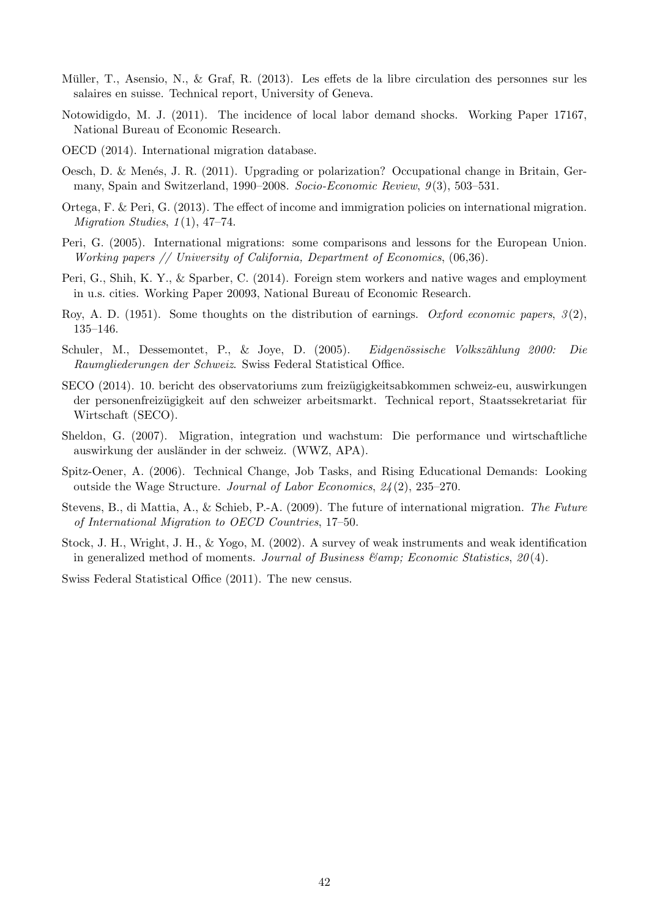- <span id="page-41-11"></span>Müller, T., Asensio, N., & Graf, R. (2013). Les effets de la libre circulation des personnes sur les salaires en suisse. Technical report, University of Geneva.
- <span id="page-41-6"></span>Notowidigdo, M. J. (2011). The incidence of local labor demand shocks. Working Paper 17167, National Bureau of Economic Research.
- <span id="page-41-2"></span>OECD (2014). International migration database.
- <span id="page-41-10"></span>Oesch, D. & Menés, J. R. (2011). Upgrading or polarization? Occupational change in Britain, Germany, Spain and Switzerland, 1990–2008. Socio-Economic Review, 9(3), 503–531.
- <span id="page-41-3"></span>Ortega, F. & Peri, G. (2013). The effect of income and immigration policies on international migration. Migration Studies,  $1(1)$ ,  $47-74$ .
- <span id="page-41-1"></span>Peri, G. (2005). International migrations: some comparisons and lessons for the European Union. Working papers // University of California, Department of Economics, (06,36).
- <span id="page-41-7"></span>Peri, G., Shih, K. Y., & Sparber, C. (2014). Foreign stem workers and native wages and employment in u.s. cities. Working Paper 20093, National Bureau of Economic Research.
- <span id="page-41-4"></span>Roy, A. D. (1951). Some thoughts on the distribution of earnings. Oxford economic papers,  $3(2)$ , 135–146.
- <span id="page-41-9"></span>Schuler, M., Dessemontet, P., & Joye, D. (2005). Eidgenössische Volkszählung 2000: Die Raumgliederungen der Schweiz. Swiss Federal Statistical Office.
- <span id="page-41-14"></span>SECO (2014). 10. bericht des observatoriums zum freizugigkeitsabkommen schweiz-eu, auswirkungen ¨ der personenfreizügigkeit auf den schweizer arbeitsmarkt. Technical report, Staatssekretariat für Wirtschaft (SECO).
- <span id="page-41-13"></span>Sheldon, G. (2007). Migration, integration und wachstum: Die performance und wirtschaftliche auswirkung der ausländer in der schweiz. (WWZ, APA).
- <span id="page-41-5"></span>Spitz-Oener, A. (2006). Technical Change, Job Tasks, and Rising Educational Demands: Looking outside the Wage Structure. Journal of Labor Economics, 24 (2), 235–270.
- <span id="page-41-0"></span>Stevens, B., di Mattia, A., & Schieb, P.-A. (2009). The future of international migration. The Future of International Migration to OECD Countries, 17–50.
- <span id="page-41-12"></span>Stock, J. H., Wright, J. H., & Yogo, M. (2002). A survey of weak instruments and weak identification in generalized method of moments. Journal of Business  $\mathcal{E}$ amp; Economic Statistics, 20(4).

<span id="page-41-8"></span>Swiss Federal Statistical Office (2011). The new census.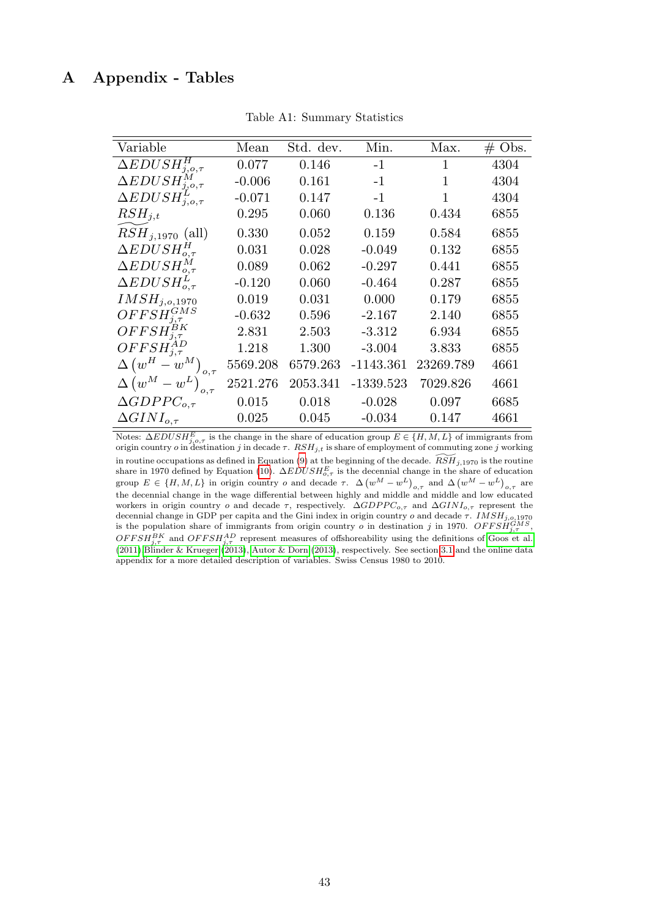# <span id="page-42-0"></span>A Appendix - Tables

| Variable                                   | Mean     | Std. dev. | Min.        | Max.         | $\#$ Obs. |
|--------------------------------------------|----------|-----------|-------------|--------------|-----------|
| $\Delta EDUSH_{j,o,\tau}^H$                | 0.077    | 0.146     | $-1$        | $\mathbf{1}$ | 4304      |
| $\Delta EDUSH_{j,o,\tau}^M$                | $-0.006$ | 0.161     | $-1$        | $\mathbf 1$  | 4304      |
| $\Delta EDUSH_{j,o,\tau}^L$                | $-0.071$ | 0.147     | $-1$        | 1            | 4304      |
| $RSH_{j,t}$                                | 0.295    | 0.060     | 0.136       | 0.434        | 6855      |
| $RSH_{j,1970}$ (all)                       | 0.330    | 0.052     | 0.159       | 0.584        | 6855      |
| $\Delta EDUSH_{o,\tau}^H$                  | 0.031    | 0.028     | $-0.049$    | 0.132        | 6855      |
| $\Delta EDUSH_{o.\tau}^M$                  | 0.089    | 0.062     | $-0.297$    | 0.441        | 6855      |
| $\Delta EDUSH_{o,\tau}^{L}$                | $-0.120$ | 0.060     | $-0.464$    | 0.287        | 6855      |
| IMSH <sub>j,o,1970</sub>                   | 0.019    | 0.031     | 0.000       | 0.179        | 6855      |
| $OFFSH^{GMS}_{j,\tau}$                     | $-0.632$ | 0.596     | $-2.167$    | 2.140        | 6855      |
| $OFFSH^{BK}_{j,\tau}$                      | 2.831    | 2.503     | $-3.312$    | 6.934        | 6855      |
| $OFFSH_{j,\tau}^{AD}$                      | 1.218    | 1.300     | $-3.004$    | 3.833        | 6855      |
| $\Delta \left( w^H - w^M \right)_{o,\tau}$ | 5569.208 | 6579.263  | $-1143.361$ | 23269.789    | 4661      |
| $\Delta \left( w^M - w^L \right)_{o,\tau}$ | 2521.276 | 2053.341  | $-1339.523$ | 7029.826     | 4661      |
| $\Delta GDPPC_{o,\tau}$                    | 0.015    | 0.018     | $-0.028$    | 0.097        | 6685      |
| $\Delta GINI_{o.\tau}$                     | 0.025    | 0.045     | $-0.034$    | 0.147        | 4661      |

Table A1: Summary Statistics

Notes:  $\Delta EDUSH_{j,o,\tau}^{E}$  is the change in the share of education group  $E \in \{H, M, L\}$  of immigrants from origin country *o* in destination *j* in decade  $\tau$ .  $RSH_{j,t}$  is share of employment of commuting zone *j* working in routine occupations as defined in Equation [\(9\)](#page-14-2) at the beginning of the decade.  $\widetilde{RSH}$ <sub>1,1970</sub> is the routine share in 1970 defined by Equation [\(10\)](#page-21-0).  $\Delta EDUSH_{o,\tau}^{E}$  is the decennial change in the share of education group  $E \in \{H, M, L\}$  in origin country  $o$  and decade  $\tau$ .  $\Delta \left(w^M - w^L\right)_{o,\tau}$  and  $\Delta \left(w^M - w^L\right)_{o,\tau}$  are the decennial change in the wage differential between highly and middle and middle and low educated workers in origin country o and decade  $\tau$ , respectively.  $\Delta GDPPC_{o,\tau}$  and  $\Delta GINI_{o,\tau}$  represent the decennial change in GDP per capita and the Gini index in origin country o and decade  $\tau$ .  $IMSH_{j,o,1970}$ is the population share of immigrants from origin country *o* in destination *j* in 1970.  $OFFSH_{j,\tau}^{GMS}$ ,  $OFFSH_{j,\tau}^{BK}$  and  $OFFSH_{j,\tau}^{AD}$  represent measures of offshoreability using the definitions of [Goos et al.](#page-40-9) [\(2011\)](#page-40-9)[,Blinder & Krueger](#page-39-19) [\(2013\)](#page-39-19), [Autor & Dorn](#page-39-1) [\(2013\)](#page-39-1), respectively. See section [3.1](#page-10-1) and the online data appendix for a more detailed description of variables. Swiss Census 1980 to 2010.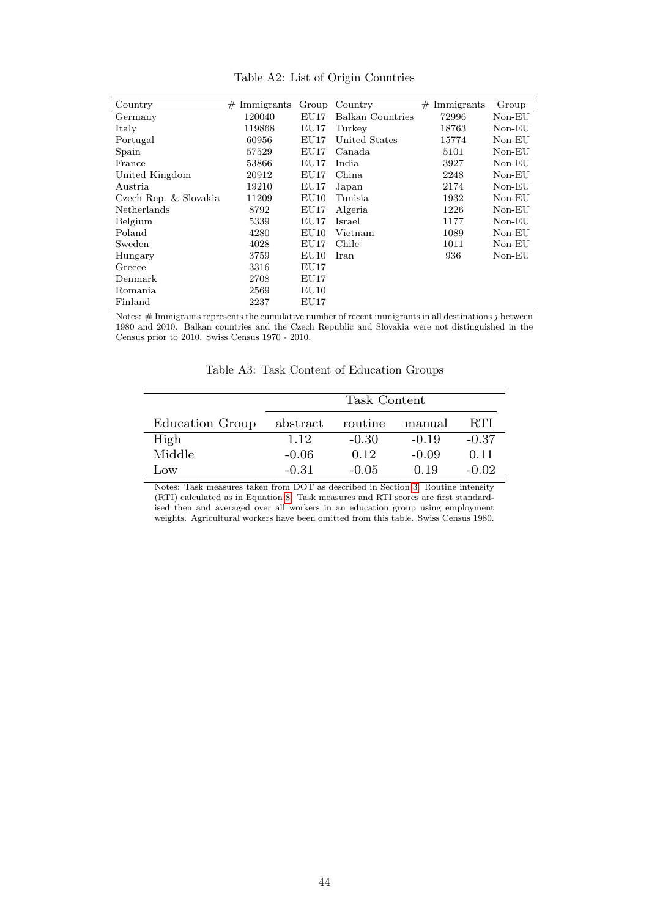<span id="page-43-0"></span>

| Country               | Immigrants<br># | Group           | Country          | Immigrants<br># | Group    |
|-----------------------|-----------------|-----------------|------------------|-----------------|----------|
| Germany               | 120040          | $\mathrm{EU}17$ | Balkan Countries | 72996           | $Non-EU$ |
| Italy                 | 119868          | EU17            | Turkey           | 18763           | $Non-EU$ |
| Portugal              | 60956           | EU17            | United States    | 15774           | Non-EU   |
| Spain                 | 57529           | EU17            | Canada           | 5101            | $Non-EU$ |
| France                | 53866           | EU17            | India            | 3927            | $Non-EU$ |
| United Kingdom        | 20912           | EU17            | China            | 2248            | $Non-EU$ |
| Austria               | 19210           | EU17            | Japan            | 2174            | $Non-EU$ |
| Czech Rep. & Slovakia | 11209           | EU10            | Tunisia          | 1932            | $Non-EU$ |
| <b>Netherlands</b>    | 8792            | EU17            | Algeria          | 1226            | $Non-EU$ |
| Belgium               | 5339            | EU17            | Israel           | 1177            | $Non-EU$ |
| Poland                | 4280            | EU10            | Vietnam          | 1089            | $Non-EU$ |
| Sweden                | 4028            | EU17            | Chile            | 1011            | $Non-EU$ |
| Hungary               | 3759            | EU10            | Iran             | 936             | $Non-EU$ |
| Greece                | 3316            | EU17            |                  |                 |          |
| Denmark               | 2708            | EU17            |                  |                 |          |
| Romania               | 2569            | EU10            |                  |                 |          |
| Finland               | 2237            | ${\rm EU17}$    |                  |                 |          |

Table A2: List of Origin Countries

<span id="page-43-1"></span>Notes:  $#$  Immigrants represents the cumulative number of recent immigrants in all destinations  $j$  between 1980 and 2010. Balkan countries and the Czech Republic and Slovakia were not distinguished in the Census prior to 2010. Swiss Census 1970 - 2010.

Table A3: Task Content of Education Groups

|                 | Task Content |         |         |            |  |  |  |  |
|-----------------|--------------|---------|---------|------------|--|--|--|--|
| Education Group | abstract     | routine | manual  | <b>RTI</b> |  |  |  |  |
| High            | 1.12         | $-0.30$ | $-0.19$ | $-0.37$    |  |  |  |  |
| Middle          | $-0.06$      | 0.12    | $-0.09$ | 0.11       |  |  |  |  |
| <b>JOW</b>      | $-0.31$      | $-0.05$ | 0.19    | $-0.02$    |  |  |  |  |

Notes: Task measures taken from DOT as described in Section [3.](#page-10-0) Routine intensity (RTI) calculated as in Equation [8.](#page-13-0) Task measures and RTI scores are first standardised then and averaged over all workers in an education group using employment weights. Agricultural workers have been omitted from this table. Swiss Census 1980.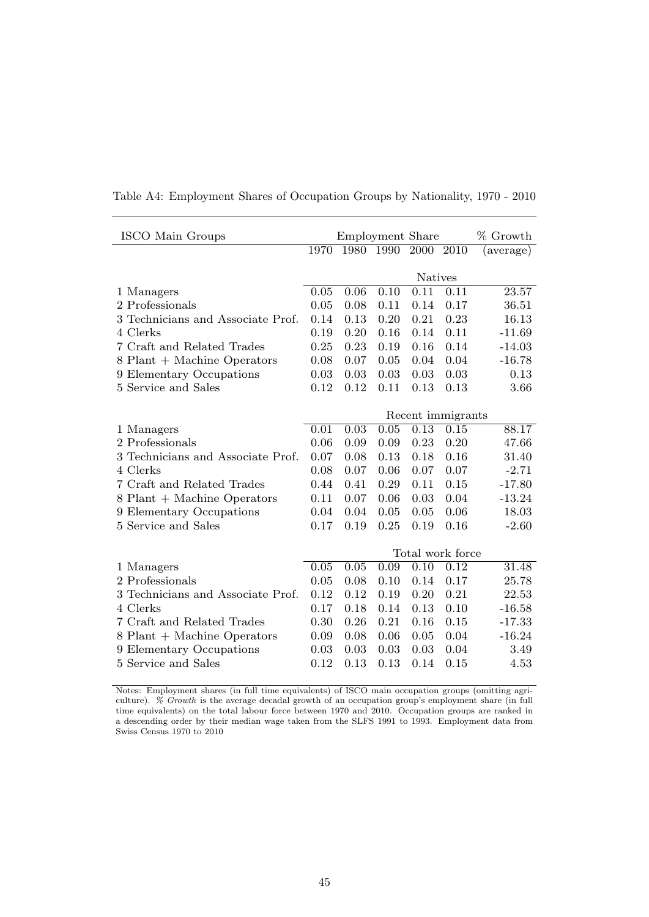|      |                           |              |      |                   | % Growth                                                                                        |
|------|---------------------------|--------------|------|-------------------|-------------------------------------------------------------------------------------------------|
| 1970 | 1980                      | 1990         |      |                   | (average)                                                                                       |
|      |                           |              |      |                   |                                                                                                 |
|      |                           |              |      |                   |                                                                                                 |
|      |                           |              |      | 0.11              | 23.57                                                                                           |
|      |                           | 0.11         | 0.14 | 0.17              | 36.51                                                                                           |
| 0.14 | 0.13                      | 0.20         | 0.21 | 0.23              | 16.13                                                                                           |
| 0.19 | 0.20                      | 0.16         | 0.14 | 0.11              | $-11.69$                                                                                        |
| 0.25 | 0.23                      | 0.19         | 0.16 | 0.14              | $-14.03$                                                                                        |
| 0.08 | 0.07                      | 0.05         | 0.04 | 0.04              | $-16.78$                                                                                        |
| 0.03 | 0.03                      | 0.03         | 0.03 | 0.03              | 0.13                                                                                            |
| 0.12 | 0.12                      | 0.11         | 0.13 | 0.13              | 3.66                                                                                            |
|      |                           |              |      |                   |                                                                                                 |
|      |                           |              |      |                   |                                                                                                 |
| 0.01 | 0.03                      | 0.05         | 0.13 | 0.15              | 88.17                                                                                           |
| 0.06 | 0.09                      | 0.09         | 0.23 | 0.20              | 47.66                                                                                           |
| 0.07 | 0.08                      | 0.13         | 0.18 | 0.16              | 31.40                                                                                           |
| 0.08 | 0.07                      | 0.06         | 0.07 | 0.07              | $-2.71$                                                                                         |
| 0.44 | 0.41                      | 0.29         | 0.11 | 0.15              | $-17.80$                                                                                        |
| 0.11 | 0.07                      | 0.06         | 0.03 | 0.04              | $-13.24$                                                                                        |
| 0.04 | 0.04                      | 0.05         | 0.05 | 0.06              | 18.03                                                                                           |
| 0.17 | 0.19                      | 0.25         | 0.19 | 0.16              | $-2.60$                                                                                         |
|      |                           |              |      |                   |                                                                                                 |
|      |                           |              |      |                   |                                                                                                 |
| 0.05 | 0.05                      | 0.09         | 0.10 | 0.12              | 31.48                                                                                           |
| 0.05 | 0.08                      | 0.10         | 0.14 | 0.17              | 25.78                                                                                           |
| 0.12 | 0.12                      | 0.19         | 0.20 | 0.21              | 22.53                                                                                           |
| 0.17 | 0.18                      | 0.14         | 0.13 | 0.10              | $-16.58$                                                                                        |
| 0.30 | 0.26                      | 0.21         | 0.16 | 0.15              | $-17.33$                                                                                        |
| 0.09 | 0.08                      | 0.06         | 0.05 | 0.04              | $-16.24$                                                                                        |
| 0.03 | 0.03                      | 0.03         | 0.03 | 0.04              | 3.49                                                                                            |
| 0.12 | 0.13                      | 0.13         | 0.14 | 0.15              | 4.53                                                                                            |
|      | $\overline{0.05}$<br>0.05 | 0.06<br>0.08 | 0.10 | $\overline{0.11}$ | <b>Employment Share</b><br>2000 2010<br><b>Natives</b><br>Recent immigrants<br>Total work force |

<span id="page-44-0"></span>Table A4: Employment Shares of Occupation Groups by Nationality, 1970 - 2010

Notes: Employment shares (in full time equivalents) of ISCO main occupation groups (omitting agriculture). % Growth is the average decadal growth of an occupation group's employment share (in full time equivalents) on the total labour force between 1970 and 2010. Occupation groups are ranked in a descending order by their median wage taken from the SLFS 1991 to 1993. Employment data from Swiss Census 1970 to 2010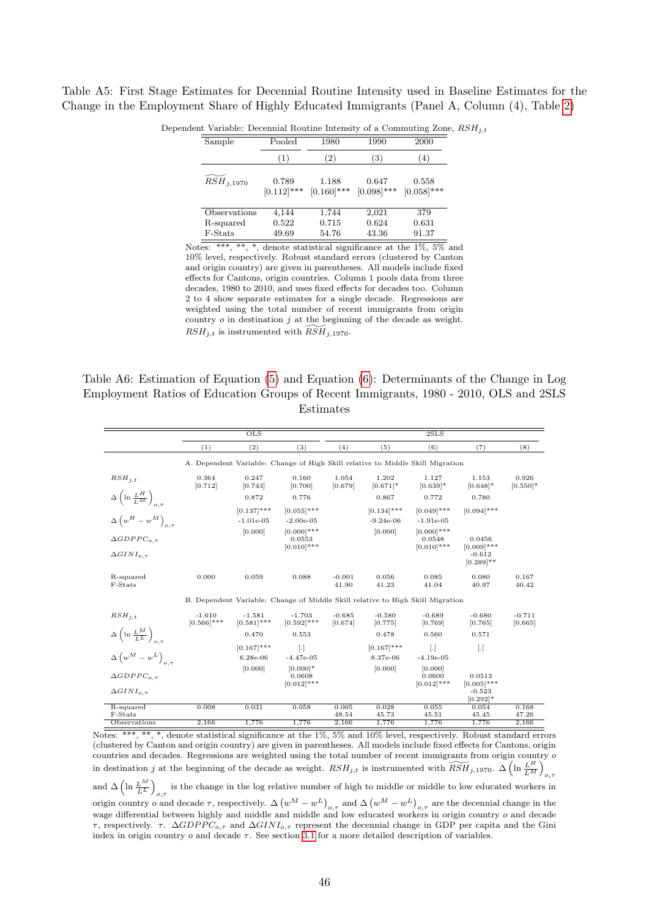<span id="page-45-1"></span>Table A5: First Stage Estimates for Decennial Routine Intensity used in Baseline Estimates for the Change in the Employment Share of Highly Educated Immigrants (Panel A, Column (4), Table [2\)](#page-23-0)

| Sample         | Pooled                 | 1980                   | 1990                   | 2000                   |
|----------------|------------------------|------------------------|------------------------|------------------------|
|                | (1)                    | $\left( 2\right)$      | (3)                    | (4)                    |
| $RSH_{j,1970}$ | 0.789<br>$[0.112]$ *** | 1.188<br>$[0.160]$ *** | 0.647<br>$[0.098]$ *** | 0.558<br>$[0.058]$ *** |
| Observations   | 4,144                  | 1,744                  | 2,021                  | 379                    |
| R-squared      | 0.522                  | 0.715                  | 0.624                  | 0.631                  |
| F-Stats        | 49.69                  | 54.76                  | 43.36                  | 91.37                  |

Dependent Variable: Decennial Routine Intensity of a Commuting Zone,  $RSH_{i,t}$ 

Notes: \*\*\*, \*\*, \*, denote statistical significance at the 1%, 5% and 10% level, respectively. Robust standard errors (clustered by Canton and origin country) are given in parentheses. All models include fixed effects for Cantons, origin countries. Column 1 pools data from three decades, 1980 to 2010, and uses fixed effects for decades too. Column 2 to 4 show separate estimates for a single decade. Regressions are weighted using the total number of recent immigrants from origin country  $o$  in destination  $j$  at the beginning of the decade as weight.  $RSH_{j,t}$  is instrumented with  $RSH_{j,1970}$ .

<span id="page-45-0"></span>Table A6: Estimation of Equation [\(5\)](#page-9-0) and Equation [\(6\)](#page-9-1): Determinants of the Change in Log Employment Ratios of Education Groups of Recent Immigrants, 1980 - 2010, OLS and 2SLS Estimates

|                                                      |                           | $_{\text{OLS}}$              |                                                                                |                     |                              | 2SLS                                     |                                                     |                      |
|------------------------------------------------------|---------------------------|------------------------------|--------------------------------------------------------------------------------|---------------------|------------------------------|------------------------------------------|-----------------------------------------------------|----------------------|
|                                                      | (1)                       | (2)                          | (3)                                                                            | (4)                 | (5)                          | (6)                                      | (7)                                                 | (8)                  |
|                                                      |                           |                              | A. Dependent Variable: Change of High Skill relative to Middle Skill Migration |                     |                              |                                          |                                                     |                      |
| $RSH_{i,t}$                                          | 0.364<br>[0.712]          | 0.247<br>[0.743]             | 0.160<br>[0.700]                                                               | 1.054<br>[0.679]    | 1.202<br>$[0.671]$ *         | 1.127<br>$[0.639]$ *                     | 1.153<br>$[0.648]$ *                                | 0.926<br>$[0.550]$ * |
| $\Delta \left( \ln \frac{L^H}{L^M} \right)_{o,\tau}$ |                           | 0.872                        | 0.776                                                                          |                     | 0.867                        | 0.772                                    | 0.780                                               |                      |
| $\Delta \left( w^H - w^M \right)_{o,\tau}$           |                           | $[0.137]$ ***<br>$-1.01e-05$ | $[0.055]$ ***<br>$-2.00e-05$                                                   |                     | $[0.134]$ ***<br>$-9.24e-06$ | $[0.049]$ ***<br>$-1.91e-05$             | $[0.094]$ ***                                       |                      |
| $\triangle GDPPC_{o.\tau}$<br>$\Delta GINI_{o.\tau}$ |                           | [0.000]                      | $[0.000]$ ***<br>0.0553<br>$[0.010]$ ***                                       |                     | [0.000]                      | $[0.000]$ ***<br>0.0548<br>$[0.010]$ *** | 0.0456<br>$[0.009]$ ***<br>$-0.612$<br>$[0.289]$ ** |                      |
| R-squared<br>F-Stats                                 | 0.000                     | 0.059                        | 0.088                                                                          | $-0.001$<br>41.90   | 0.056<br>41.23               | 0.085<br>41.04                           | 0.080<br>40.97                                      | 0.167<br>40.42       |
|                                                      |                           |                              | B. Dependent Variable: Change of Middle Skill relative to High Skill Migration |                     |                              |                                          |                                                     |                      |
| $RSH_{j,t}$                                          | $-1.610$<br>$[0.566]$ *** | $-1.581$<br>$[0.581]$ ***    | $-1.703$<br>$[0.592]$ ***                                                      | $-0.685$<br>[0.674] | $-0.580$<br>[0.775]          | $-0.689$<br>[0.769]                      | $-0.680$<br>[0.765]                                 | $-0.711$<br>[0.665]  |
| $\Delta \left( \ln \frac{L^M}{L^L} \right)_{o,\tau}$ |                           | 0.470                        | 0.553                                                                          |                     | 0.478                        | 0.560                                    | 0.571                                               |                      |
| $\Delta \left( w^M - w^L \right)_{o,\tau}$           |                           | $[0.167]$ ***<br>6.28e-06    | $\lceil . \rceil$<br>$-4.47e-05$                                               |                     | $[0.167]$ ***<br>8.37e-06    | $\lceil . \rceil$<br>$-4.19e-05$         | $[.]$                                               |                      |
| $\triangle GDPPC_{o.\tau}$<br>$\Delta GINI_{o,\tau}$ |                           | [0.000]                      | $[0.000]$ *<br>0.0608<br>$[0.012]$ ***                                         |                     | [0.000]                      | [0.000]<br>0.0600<br>$[0.012]$ ***       | 0.0513<br>$[0.005]$ ***<br>$-0.523$<br>$[0.292]$ *  |                      |
| R-squared<br>F-Stats                                 | 0.008                     | 0.031                        | 0.058                                                                          | 0.005<br>48.54      | 0.028<br>45.73               | 0.055<br>45.51                           | 0.054<br>45.45                                      | 0.168<br>47.26       |
| Observations                                         | 2,166                     | 1,776                        | 1,776                                                                          | 2,166               | 1,776                        | 1,776                                    | 1,776                                               | 2,166                |

Notes: \*\*\*, \*\*, \*, denote statistical significance at the 1%, 5% and 10% level, respectively. Robust standard errors (clustered by Canton and origin country) are given in parentheses. All models include fixed effects for Cantons, origin countries and decades. Regressions are weighted using the total number of recent immigrants from origin country o in destination j at the beginning of the decade as weight.  $RSH_{j,t}$  is instrumented with  $\widetilde{RSH}_{j,1970}$ .  $\Delta\left(\ln\frac{L^H}{L^M}\right)$ o,τ and  $\Delta \left(\ln \frac{L^M}{L^L}\right)_{\alpha \tau}$  is the change in the log relative number of high to middle or middle to low educated workers in origin country *o* and decade  $\tau$ , respectively.  $\Delta (w^M - w^L)_{o,\tau}$  and  $\Delta (w^M - w^L)_{o,\tau}$  are the decennial change in the wage differential between highly and middle and middle and low educated workers in origin country  $o$  and decade τ, respectively. τ.  $\Delta GDPPC_{o,\tau}$  and  $\Delta GINI_{o,\tau}$  represent the decennial change in GDP per capita and the Gini index in origin country  $o$  and decade  $\tau$ . See section [3.1](#page-10-1) for a more detailed description of variables.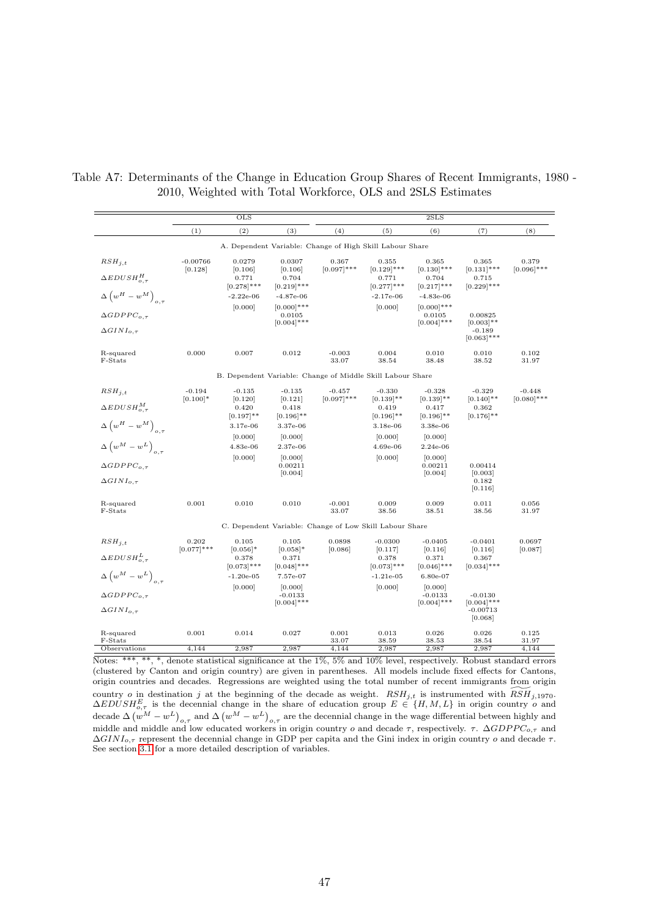|                                                  | <b>OLS</b>             |                                                            |                                          | 2SLS                   |                                                          |                                          |                                        |                        |
|--------------------------------------------------|------------------------|------------------------------------------------------------|------------------------------------------|------------------------|----------------------------------------------------------|------------------------------------------|----------------------------------------|------------------------|
|                                                  | (1)                    | (2)                                                        | (3)                                      | (4)                    | (5)                                                      | (6)                                      | (7)                                    | (8)                    |
|                                                  |                        |                                                            |                                          |                        | A. Dependent Variable: Change of High Skill Labour Share |                                          |                                        |                        |
| $RSH_{i,t}$                                      | $-0.00766$<br>[0.128]  | 0.0279<br>[0.106]                                          | 0.0307<br>[0.106]                        | 0.367<br>$[0.097]$ *** | 0.355<br>$[0.129]$ ***                                   | 0.365<br>$[0.130]$ ***                   | 0.365<br>$[0.131]$ ***                 | 0.379<br>$[0.096]$ *** |
| $\Delta EDUSH_{o.\tau}^H$                        |                        | 0.771<br>$[0.278]$ ***                                     | 0.704<br>$[0.219]$ ***                   |                        | 0.771<br>$[0.277]$ ***                                   | 0.704<br>$[0.217]$ ***                   | 0.715<br>$[0.229]$ ***                 |                        |
| $\Delta \left( w^H - w^M \right)_{o,\tau}$       |                        | $-2.22e-06$                                                | $-4.87e-06$                              |                        | $-2.17e-06$                                              | $-4.83e-06$                              |                                        |                        |
| $\triangle GDPPC_{o.\tau}$                       |                        | [0.000]                                                    | $[0.000]$ ***<br>0.0105<br>$[0.004]$ *** |                        | [0.000]                                                  | $[0.000]$ ***<br>0.0105<br>$[0.004]$ *** | 0.00825<br>$[0.003]$ **                |                        |
| $\Delta GINI_{o,\tau}$                           |                        |                                                            |                                          |                        |                                                          |                                          | $-0.189$<br>$[0.063]$ ***              |                        |
| R-squared<br>F-Stats                             | 0.000                  | 0.007                                                      | 0.012                                    | $-0.003$<br>33.07      | 0.004<br>38.54                                           | 0.010<br>38.48                           | 0.010<br>38.52                         | 0.102<br>31.97         |
|                                                  |                        | B. Dependent Variable: Change of Middle Skill Labour Share |                                          |                        |                                                          |                                          |                                        |                        |
| $RSH_{i,t}$                                      | $-0.194$               | $-0.135$                                                   | $-0.135$                                 | $-0.457$               | $-0.330$                                                 | $-0.328$                                 | $-0.329$                               | $-0.448$               |
| $\Delta EDUSH_{o.\tau}^{M}$                      | $[0.100]$ *            | [0.120]<br>0.420                                           | [0.121]<br>0.418                         | $[0.097]$ ***          | $[0.139]$ **<br>0.419                                    | $[0.139]$ **<br>0.417                    | $[0.140]$ **<br>0.362                  | $[0.080]$ ***          |
| $\Delta \left( w^H - w^M \right)_{o,\tau}$       |                        | $[0.197]$ **<br>3.17e-06                                   | $[0.196]$ **<br>3.37e-06                 |                        | $[0.196]$ **<br>$3.18e-06$                               | $[0.196]$ **<br>3.38e-06                 | $[0.176]$ **                           |                        |
|                                                  |                        | [0.000]                                                    | [0.000]                                  |                        | [0.000]                                                  | [0.000]                                  |                                        |                        |
| $\Delta \left( w^M - w^L \right)_{\alpha, \tau}$ |                        | 4.83e-06                                                   | 2.37e-06                                 |                        | 4.69e-06                                                 | $2.24e-06$                               |                                        |                        |
| $\triangle GDPPC_{o.\tau}$                       |                        | [0.000]                                                    | [0.000]<br>0.00211                       |                        | [0.000]                                                  | [0.000]<br>0.00211                       | 0.00414                                |                        |
| $\Delta GINI_{o.\tau}$                           |                        |                                                            | [0.004]                                  |                        |                                                          | [0.004]                                  | [0.003]<br>0.182<br>[0.116]            |                        |
| R-squared<br>F-Stats                             | 0.001                  | 0.010                                                      | 0.010                                    | $-0.001$<br>33.07      | 0.009<br>38.56                                           | 0.009<br>38.51                           | 0.011<br>38.56                         | 0.056<br>31.97         |
|                                                  |                        |                                                            |                                          |                        | C. Dependent Variable: Change of Low Skill Labour Share  |                                          |                                        |                        |
| $RSH_{i,t}$                                      | 0.202<br>$[0.077]$ *** | 0.105<br>$[0.056]$ *                                       | 0.105<br>$[0.058]$ *                     | 0.0898<br>[0.086]      | $-0.0300$<br>[0.117]                                     | $-0.0405$<br>[0.116]                     | $-0.0401$<br>[0.116]                   | 0.0697<br>[0.087]      |
| $\Delta EDUSH_{o,\tau}^{L}$                      |                        | 0.378<br>$[0.073]$ ***                                     | 0.371<br>$[0.048]$ ***                   |                        | 0.378<br>$[0.073]$ ***                                   | 0.371<br>$[0.046]$ ***                   | 0.367<br>$[0.034]$ ***                 |                        |
| $\Delta \left( w^M - w^L \right)_{o,\tau}$       |                        | $-1.20e-05$                                                | 7.57e-07                                 |                        | $-1.21e-05$                                              | $6.80e-07$                               |                                        |                        |
| $\triangle GDPPC_{o.\tau}$                       |                        | [0.000]                                                    | [0.000]<br>$-0.0133$                     |                        | [0.000]                                                  | [0.000]<br>$-0.0133$                     | $-0.0130$                              |                        |
| $\Delta GINI_{o.\tau}$                           |                        |                                                            | $[0.004]$ ***                            |                        |                                                          | $[0.004]$ ***                            | $[0.004]$ ***<br>$-0.00713$<br>[0.068] |                        |
| R-squared                                        | 0.001                  | 0.014                                                      | 0.027                                    | 0.001                  | 0.013                                                    | 0.026                                    | 0.026                                  | 0.125                  |
| F-Stats<br>Observations                          | 4,144                  | 2,987                                                      | 2,987                                    | 33.07<br>4,144         | 38.59<br>2,987                                           | 38.53<br>2,987                           | 38.54<br>2,987                         | 31.97<br>4,144         |

<span id="page-46-0"></span>Table A7: Determinants of the Change in Education Group Shares of Recent Immigrants, 1980 - 2010, Weighted with Total Workforce, OLS and 2SLS Estimates

Notes: \*\*\*, \*\*, \*, denote statistical significance at the 1%, 5% and 10% level, respectively. Robust standard errors (clustered by Canton and origin country) are given in parentheses. All models include fixed effects for Cantons, origin countries and decades. Regressions are weighted using the total number of recent immigrants from origin country *o* in destination *j* at the beginning of the decade as weight.  $RSH_{j,t}$  is instrumented with  $\widetilde{RSH}_{j,1970}$ .  $\triangle EDUSH_{o,\tau}^{E}$  is the decennial change in the share of education group  $E \in \{H, M, L\}$  in origin country o and decade  $\Delta (w^M - w^L)_{o,\tau}$  and  $\Delta (w^M - w^L)_{o,\tau}$  are the decennial change in the wage differential between highly and middle and middle and low educated workers in origin country o and decade  $\tau$ , respectively.  $\tau$ .  $\Delta GDPPC_{o,\tau}$  and  $\Delta GINI_{o,\tau}$  represent the decennial change in GDP per capita and the Gini index in origin country o and decade  $\tau$ . See section [3.1](#page-10-1) for a more detailed description of variables.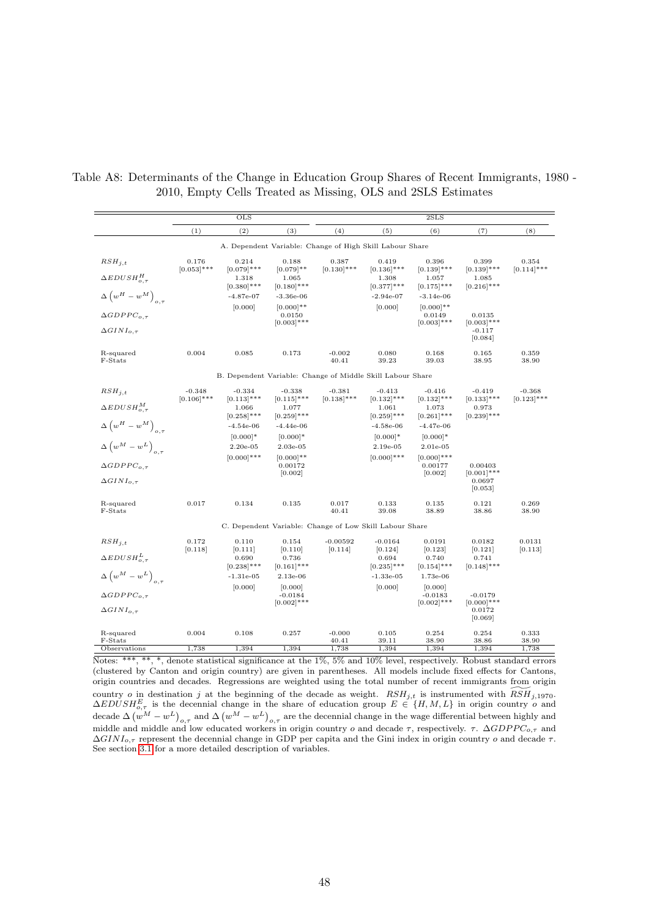|                                            |                           | $_{\text{OLS}}$                                            |                                    |                           | 2SLS                                                     |                                     |                                      |                           |  |
|--------------------------------------------|---------------------------|------------------------------------------------------------|------------------------------------|---------------------------|----------------------------------------------------------|-------------------------------------|--------------------------------------|---------------------------|--|
|                                            | (1)                       | (2)                                                        | (3)                                | (4)                       | (5)                                                      | (6)                                 | (7)                                  | (8)                       |  |
|                                            |                           |                                                            |                                    |                           | A. Dependent Variable: Change of High Skill Labour Share |                                     |                                      |                           |  |
| $RSH_{i,t}$                                | 0.176<br>$[0.053]$ ***    | 0.214<br>$[0.079]$ ***                                     | 0.188<br>$[0.079]$ **              | 0.387<br>$[0.130]$ ***    | 0.419<br>$[0.136]$ ***                                   | 0.396<br>$[0.139]$ ***              | 0.399<br>$[0.139]$ ***               | 0.354<br>$[0.114]$ ***    |  |
| $\Delta EDUSH_{o.\tau}^H$                  |                           | 1.318<br>$[0.380]$ ***                                     | 1.065<br>$[0.180]$ ***             |                           | 1.308<br>$[0.377]$ ***                                   | 1.057<br>$[0.175]$ ***              | 1.085<br>$[0.216]$ ***               |                           |  |
| $\Delta \left( w^H - w^M \right)_{o,\tau}$ |                           | $-4.87e-07$                                                | $-3.36e-06$                        |                           | $-2.94e-07$                                              | $-3.14e-06$                         |                                      |                           |  |
| $\triangle GDPPC_{o.\tau}$                 |                           | [0.000]                                                    | $[0.000]**$<br>0.0150              |                           | [0.000]                                                  | $[0.000]**$<br>0.0149               | 0.0135                               |                           |  |
| $\Delta GINI_{o.\tau}$                     |                           |                                                            | $[0.003]$ ***                      |                           |                                                          | $[0.003]$ ***                       | $[0.003]$ ***<br>$-0.117$<br>[0.084] |                           |  |
| R-squared<br>F-Stats                       | 0.004                     | 0.085                                                      | 0.173                              | $-0.002$<br>40.41         | 0.080<br>39.23                                           | 0.168<br>39.03                      | 0.165<br>38.95                       | 0.359<br>38.90            |  |
|                                            |                           | B. Dependent Variable: Change of Middle Skill Labour Share |                                    |                           |                                                          |                                     |                                      |                           |  |
| $RSH_{i,t}$                                | $-0.348$<br>$[0.106]$ *** | $-0.334$<br>$[0.113]$ ***                                  | $-0.338$<br>$[0.115]$ ***          | $-0.381$<br>$[0.138]$ *** | $-0.413$<br>$[0.132]$ ***                                | $-0.416$<br>$[0.132]$ ***           | $-0.419$<br>$[0.133]$ ***            | $-0.368$<br>$[0.123]$ *** |  |
| $\triangle EDUSH_{o,\tau}^{M}$             |                           | 1.066<br>$[0.258]$ ***                                     | 1.077<br>$[0.259]$ ***             |                           | 1.061<br>$[0.259]$ ***                                   | 1.073<br>$[0.261]$ ***              | 0.973<br>$[0.239]$ ***               |                           |  |
| $\Delta \left( w^H - w^M \right)_{o,\tau}$ |                           | $-4.54e-06$                                                | $-4.44e-06$                        |                           | $-4.58e-06$                                              | $-4.47e-06$                         |                                      |                           |  |
|                                            |                           | $[0.000]$ *                                                | $[0.000]$ *                        |                           | $[0.000]*$                                               | $[0.000]$ *                         |                                      |                           |  |
| $\Delta \left( w^M - w^L \right)_{o,\tau}$ |                           | $2.20e-0.5$                                                | $2.03e-05$                         |                           | $2.19e-05$                                               | $2.01e-0.5$                         |                                      |                           |  |
| $\triangle GDPPC_{o.\tau}$                 |                           | $[0.000]$ ***                                              | $[0.000]$ **<br>0.00172<br>[0.002] |                           | $[0.000]$ ***                                            | $[0.000]$ ***<br>0.00177<br>[0.002] | 0.00403<br>$[0.001]$ ***             |                           |  |
| $\Delta GINI_{o,\tau}$                     |                           |                                                            |                                    |                           |                                                          |                                     | 0.0697<br>[0.053]                    |                           |  |
| R-squared<br>F-Stats                       | 0.017                     | 0.134                                                      | 0.135                              | 0.017<br>40.41            | 0.133<br>39.08                                           | 0.135<br>38.89                      | 0.121<br>38.86                       | 0.269<br>38.90            |  |
|                                            |                           |                                                            |                                    |                           | C. Dependent Variable: Change of Low Skill Labour Share  |                                     |                                      |                           |  |
| $RSH_{i,t}$                                | 0.172<br>[0.118]          | 0.110<br>[0.111]                                           | 0.154<br>[0.110]                   | $-0.00592$<br>[0.114]     | $-0.0164$<br>[0.124]                                     | 0.0191<br>[0.123]                   | 0.0182<br>[0.121]                    | 0.0131<br>[0.113]         |  |
| $\Delta EDUSH_{o.\tau}^L$                  |                           | 0.690                                                      | 0.736                              |                           | 0.694                                                    | 0.740                               | 0.741                                |                           |  |
| $\Delta \left( w^M - w^L \right)_{o,\tau}$ |                           | $[0.238]$ ***<br>$-1.31e-05$                               | $[0.161]$ ***<br>$2.13e-06$        |                           | $[0.235]$ ***<br>$-1.33e-05$                             | $[0.154]$ ***<br>1.73e-06           | $[0.148]$ ***                        |                           |  |
| $\triangle GDPPC_{o.\tau}$                 |                           | [0.000]                                                    | [0.000]<br>$-0.0184$               |                           | [0.000]                                                  | [0.000]<br>$-0.0183$                | $-0.0179$                            |                           |  |
| $\Delta GINI_{o,\tau}$                     |                           |                                                            | $[0.002]$ ***                      |                           |                                                          | $[0.002]$ ***                       | $[0.000]$ ***<br>0.0172<br>[0.069]   |                           |  |
| R-squared<br>F-Stats                       | 0.004                     | 0.108                                                      | 0.257                              | $-0.000$<br>40.41         | 0.105<br>39.11                                           | 0.254<br>38.90                      | 0.254<br>38.86                       | 0.333<br>38.90            |  |
| Observations                               | 1,738                     | 1,394                                                      | 1,394                              | 1,738                     | 1,394                                                    | 1,394                               | 1,394                                | 1,738                     |  |

<span id="page-47-0"></span>Table A8: Determinants of the Change in Education Group Shares of Recent Immigrants, 1980 - 2010, Empty Cells Treated as Missing, OLS and 2SLS Estimates

Notes: \*\*\*, \*\*, \*, denote statistical significance at the 1%, 5% and 10% level, respectively. Robust standard errors (clustered by Canton and origin country) are given in parentheses. All models include fixed effects for Cantons, origin countries and decades. Regressions are weighted using the total number of recent immigrants from origin country o in destination j at the beginning of the decade as weight.  $RSH_{j,t}$  is instrumented with  $\widetilde{RSH}_{j,1970}$ .  $\triangle EDUSH_{o,\tau}^{E}$  is the decennial change in the share of education group  $E \in \{H, M, L\}$  in origin country o and decade  $\Delta (w^M - w^L)_{o,\tau}$  and  $\Delta (w^M - w^L)_{o,\tau}$  are the decennial change in the wage differential between highly and middle and middle and low educated workers in origin country o and decade  $\tau$ , respectively.  $\tau$ .  $\Delta GDPPC_{o,\tau}$  and  $\Delta GINI_{o,\tau}$  represent the decennial change in GDP per capita and the Gini index in origin country o and decade  $\tau$ . See section [3.1](#page-10-1) for a more detailed description of variables.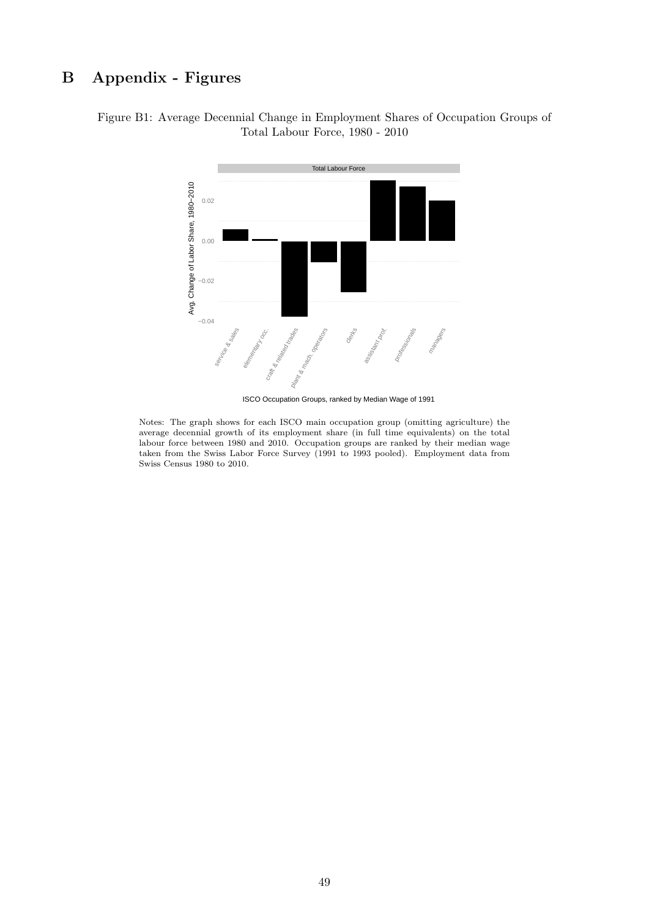# <span id="page-48-0"></span>B Appendix - Figures

# Figure B1: Average Decennial Change in Employment Shares of Occupation Groups of Total Labour Force, 1980 - 2010



ISCO Occupation Groups, ranked by Median Wage of 1991

Notes: The graph shows for each ISCO main occupation group (omitting agriculture) the average decennial growth of its employment share (in full time equivalents) on the total labour force between 1980 and 2010. Occupation groups are ranked by their median wage taken from the Swiss Labor Force Survey (1991 to 1993 pooled). Employment data from Swiss Census 1980 to 2010.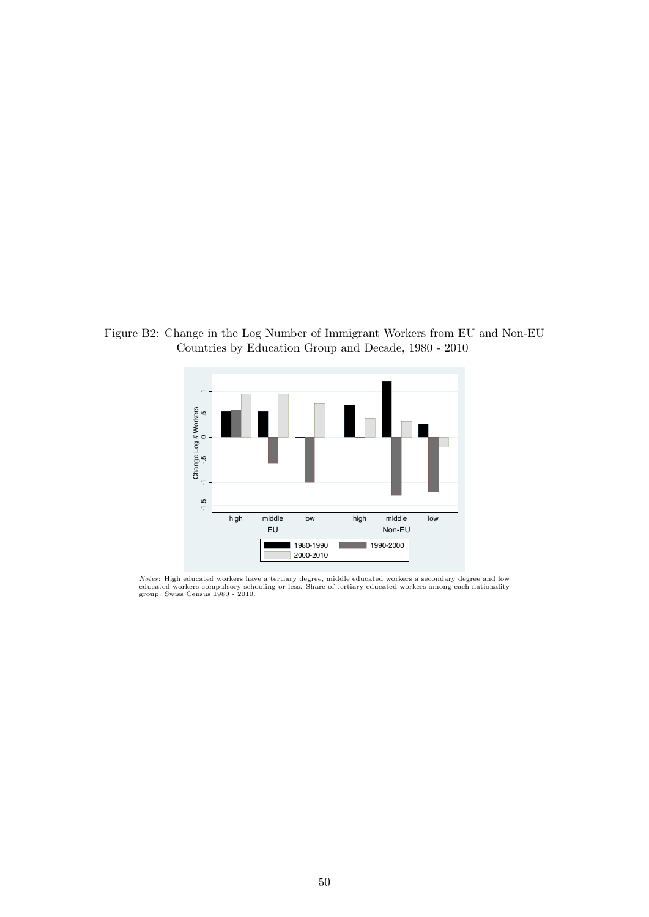<span id="page-49-0"></span>Figure B2: Change in the Log Number of Immigrant Workers from EU and Non-EU Countries by Education Group and Decade, 1980 - 2010



*Notes*: High educated workers have a tertiary degree, middle educated workers a secondary degree and low<br>educated workers compulsory schooling or less. Share of tertiary educated workers among each nationality<br>group. Swis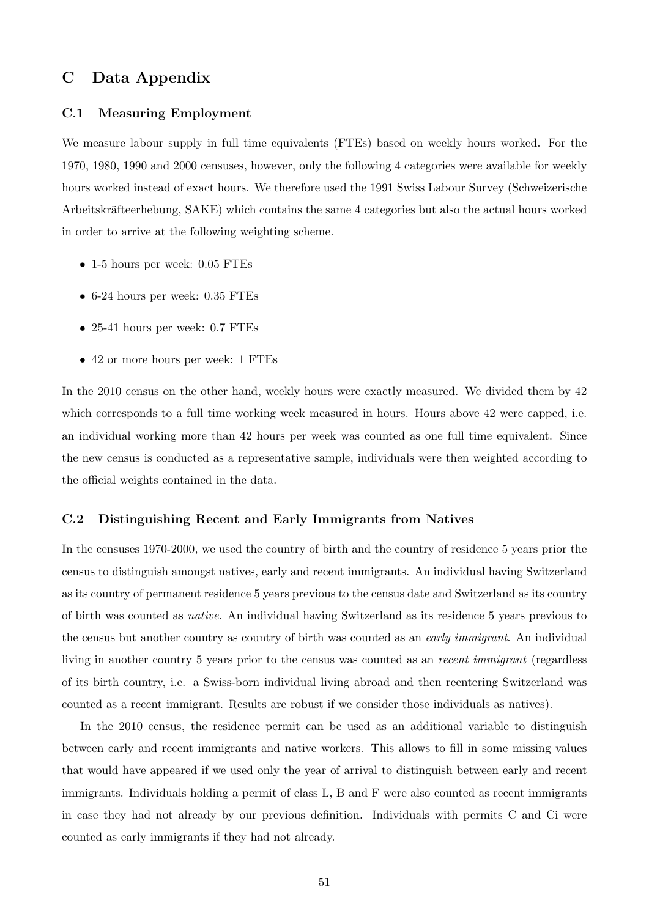# C Data Appendix

#### C.1 Measuring Employment

We measure labour supply in full time equivalents (FTEs) based on weekly hours worked. For the 1970, 1980, 1990 and 2000 censuses, however, only the following 4 categories were available for weekly hours worked instead of exact hours. We therefore used the 1991 Swiss Labour Survey (Schweizerische Arbeitskräfteerhebung, SAKE) which contains the same 4 categories but also the actual hours worked in order to arrive at the following weighting scheme.

- 1-5 hours per week: 0.05 FTEs
- 6-24 hours per week: 0.35 FTEs
- 25-41 hours per week: 0.7 FTEs
- 42 or more hours per week: 1 FTEs

In the 2010 census on the other hand, weekly hours were exactly measured. We divided them by 42 which corresponds to a full time working week measured in hours. Hours above 42 were capped, i.e. an individual working more than 42 hours per week was counted as one full time equivalent. Since the new census is conducted as a representative sample, individuals were then weighted according to the official weights contained in the data.

### C.2 Distinguishing Recent and Early Immigrants from Natives

In the censuses 1970-2000, we used the country of birth and the country of residence 5 years prior the census to distinguish amongst natives, early and recent immigrants. An individual having Switzerland as its country of permanent residence 5 years previous to the census date and Switzerland as its country of birth was counted as native. An individual having Switzerland as its residence 5 years previous to the census but another country as country of birth was counted as an *early immigrant*. An individual living in another country 5 years prior to the census was counted as an *recent immigrant* (regardless of its birth country, i.e. a Swiss-born individual living abroad and then reentering Switzerland was counted as a recent immigrant. Results are robust if we consider those individuals as natives).

In the 2010 census, the residence permit can be used as an additional variable to distinguish between early and recent immigrants and native workers. This allows to fill in some missing values that would have appeared if we used only the year of arrival to distinguish between early and recent immigrants. Individuals holding a permit of class L, B and F were also counted as recent immigrants in case they had not already by our previous definition. Individuals with permits C and Ci were counted as early immigrants if they had not already.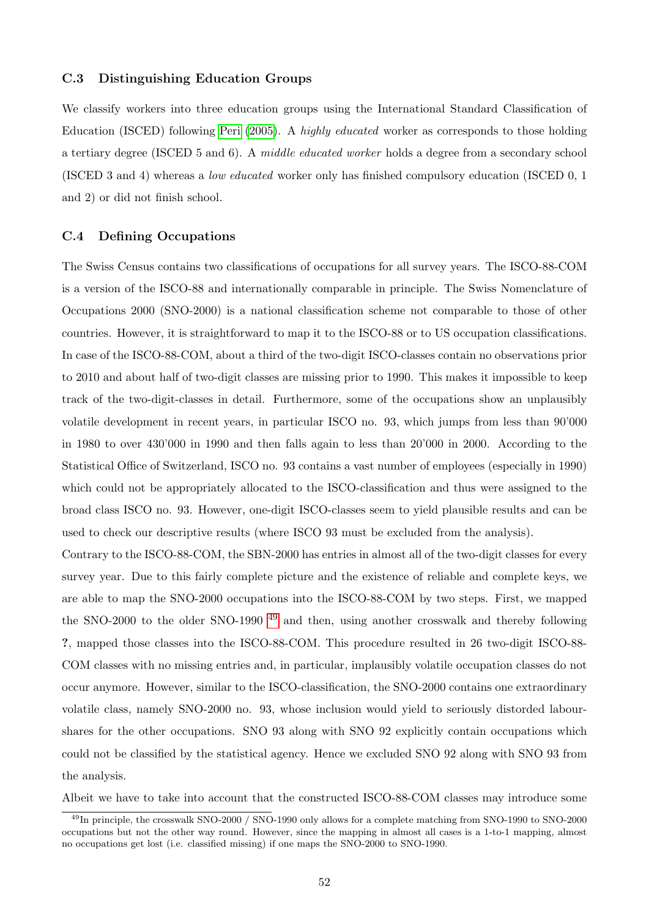## C.3 Distinguishing Education Groups

We classify workers into three education groups using the International Standard Classification of Education (ISCED) following [Peri](#page-41-1) [\(2005\)](#page-41-1). A highly educated worker as corresponds to those holding a tertiary degree (ISCED 5 and 6). A middle educated worker holds a degree from a secondary school (ISCED 3 and 4) whereas a low educated worker only has finished compulsory education (ISCED 0, 1 and 2) or did not finish school.

## C.4 Defining Occupations

The Swiss Census contains two classifications of occupations for all survey years. The ISCO-88-COM is a version of the ISCO-88 and internationally comparable in principle. The Swiss Nomenclature of Occupations 2000 (SNO-2000) is a national classification scheme not comparable to those of other countries. However, it is straightforward to map it to the ISCO-88 or to US occupation classifications. In case of the ISCO-88-COM, about a third of the two-digit ISCO-classes contain no observations prior to 2010 and about half of two-digit classes are missing prior to 1990. This makes it impossible to keep track of the two-digit-classes in detail. Furthermore, some of the occupations show an unplausibly volatile development in recent years, in particular ISCO no. 93, which jumps from less than 90'000 in 1980 to over 430'000 in 1990 and then falls again to less than 20'000 in 2000. According to the Statistical Office of Switzerland, ISCO no. 93 contains a vast number of employees (especially in 1990) which could not be appropriately allocated to the ISCO-classification and thus were assigned to the broad class ISCO no. 93. However, one-digit ISCO-classes seem to yield plausible results and can be used to check our descriptive results (where ISCO 93 must be excluded from the analysis).

Contrary to the ISCO-88-COM, the SBN-2000 has entries in almost all of the two-digit classes for every survey year. Due to this fairly complete picture and the existence of reliable and complete keys, we are able to map the SNO-2000 occupations into the ISCO-88-COM by two steps. First, we mapped the SNO-2000 to the older SNO-1990<sup>[49](#page-0-0)</sup> and then, using another crosswalk and thereby following ?, mapped those classes into the ISCO-88-COM. This procedure resulted in 26 two-digit ISCO-88- COM classes with no missing entries and, in particular, implausibly volatile occupation classes do not occur anymore. However, similar to the ISCO-classification, the SNO-2000 contains one extraordinary volatile class, namely SNO-2000 no. 93, whose inclusion would yield to seriously distorded labourshares for the other occupations. SNO 93 along with SNO 92 explicitly contain occupations which could not be classified by the statistical agency. Hence we excluded SNO 92 along with SNO 93 from the analysis.

Albeit we have to take into account that the constructed ISCO-88-COM classes may introduce some

<sup>&</sup>lt;sup>49</sup>In principle, the crosswalk SNO-2000 / SNO-1990 only allows for a complete matching from SNO-1990 to SNO-2000 occupations but not the other way round. However, since the mapping in almost all cases is a 1-to-1 mapping, almost no occupations get lost (i.e. classified missing) if one maps the SNO-2000 to SNO-1990.